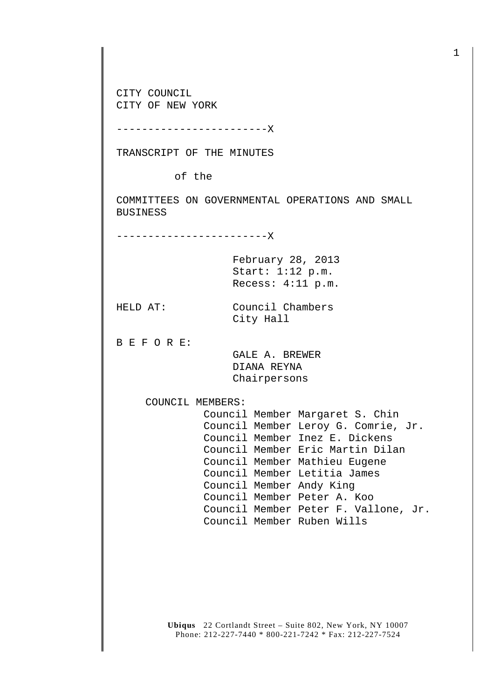CITY COUNCIL CITY OF NEW YORK

------------------------X

TRANSCRIPT OF THE MINUTES

of the

COMMITTEES ON GOVERNMENTAL OPERATIONS AND SMALL BUSINESS

City Hall

--------------------X

February 28, 2013 Start: 1:12 p.m. Recess: 4:11 p.m.

HELD AT: Council Chambers

B E F O R E:

 GALE A. BREWER DIANA REYNA Chairpersons

COUNCIL MEMBERS:

 Council Member Margaret S. Chin Council Member Leroy G. Comrie, Jr. Council Member Inez E. Dickens Council Member Eric Martin Dilan Council Member Mathieu Eugene Council Member Letitia James Council Member Andy King Council Member Peter A. Koo Council Member Peter F. Vallone, Jr. Council Member Ruben Wills

**Ubiqus** 22 Cortlandt Street – Suite 802, New York, NY 10007 Phone: 212-227-7440 \* 800-221-7242 \* Fax: 212-227-7524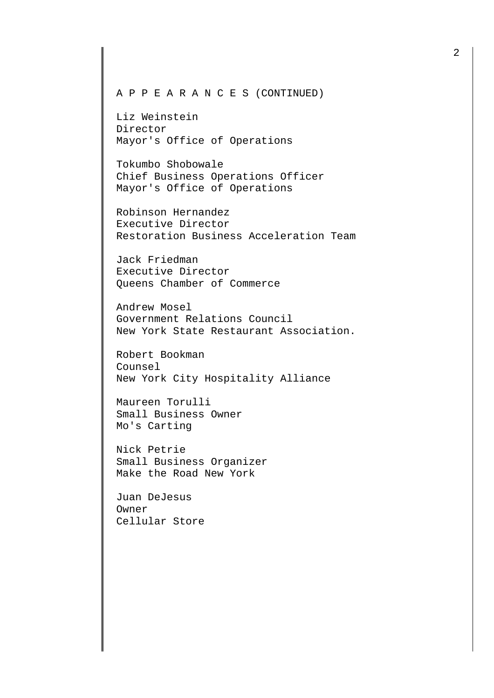## A P P E A R A N C E S (CONTINUED)

Liz Weinstein Director Mayor's Office of Operations

Tokumbo Shobowale Chief Business Operations Officer Mayor's Office of Operations

Robinson Hernandez Executive Director Restoration Business Acceleration Team

Jack Friedman Executive Director Queens Chamber of Commerce

Andrew Mosel Government Relations Council New York State Restaurant Association.

Robert Bookman Counsel New York City Hospitality Alliance

Maureen Torulli Small Business Owner Mo's Carting

Nick Petrie Small Business Organizer Make the Road New York

Juan DeJesus Owner Cellular Store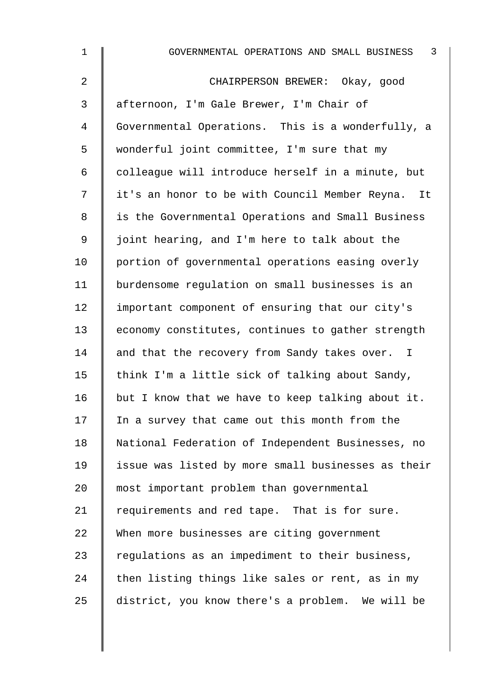| $\mathbf 1$    | 3<br>GOVERNMENTAL OPERATIONS AND SMALL BUSINESS    |
|----------------|----------------------------------------------------|
| $\overline{a}$ | CHAIRPERSON BREWER: Okay, good                     |
| 3              | afternoon, I'm Gale Brewer, I'm Chair of           |
| 4              | Governmental Operations. This is a wonderfully, a  |
| 5              | wonderful joint committee, I'm sure that my        |
| 6              | colleague will introduce herself in a minute, but  |
| 7              | it's an honor to be with Council Member Reyna. It  |
| 8              | is the Governmental Operations and Small Business  |
| 9              | joint hearing, and I'm here to talk about the      |
| 10             | portion of governmental operations easing overly   |
| 11             | burdensome regulation on small businesses is an    |
| 12             | important component of ensuring that our city's    |
| 13             | economy constitutes, continues to gather strength  |
| 14             | and that the recovery from Sandy takes over. I     |
| 15             | think I'm a little sick of talking about Sandy,    |
| 16             | but I know that we have to keep talking about it.  |
| 17             | In a survey that came out this month from the      |
| 18             | National Federation of Independent Businesses, no  |
| 19             | issue was listed by more small businesses as their |
| 20             | most important problem than governmental           |
| 21             | requirements and red tape. That is for sure.       |
| 22             | When more businesses are citing government         |
| 23             | regulations as an impediment to their business,    |
| 24             | then listing things like sales or rent, as in my   |
| 25             | district, you know there's a problem. We will be   |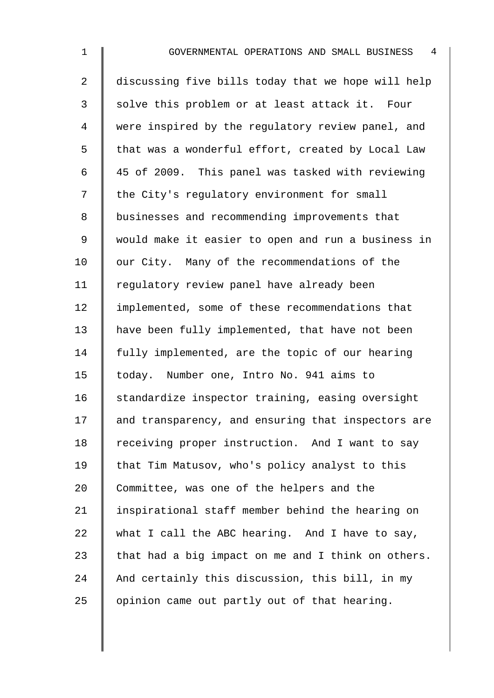2 discussing five bills today that we hope will help 3 Solve this problem or at least attack it. Four 4 were inspired by the requlatory review panel, and 5 | that was a wonderful effort, created by Local Law 6  $\parallel$  45 of 2009. This panel was tasked with reviewing 7 | the City's regulatory environment for small 8 businesses and recommending improvements that 9 would make it easier to open and run a business in  $10$  | our City. Many of the recommendations of the 11 | regulatory review panel have already been 12 | implemented, some of these recommendations that 13 have been fully implemented, that have not been 14 | fully implemented, are the topic of our hearing 15 | today. Number one, Intro No. 941 aims to 16 Standardize inspector training, easing oversight 17 | and transparency, and ensuring that inspectors are 18 Teceiving proper instruction. And I want to say 19 | that Tim Matusov, who's policy analyst to this 20 Committee, was one of the helpers and the 21 | inspirational staff member behind the hearing on 22 what I call the ABC hearing. And I have to say, 23  $\parallel$  that had a big impact on me and I think on others. 24  $\parallel$  And certainly this discussion, this bill, in my 25  $\parallel$  opinion came out partly out of that hearing.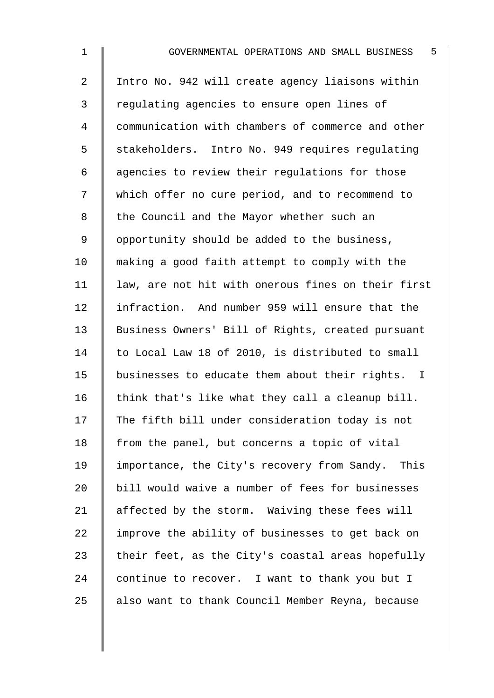| $\mathbf 1$ | 5<br>GOVERNMENTAL OPERATIONS AND SMALL BUSINESS    |
|-------------|----------------------------------------------------|
| 2           | Intro No. 942 will create agency liaisons within   |
| 3           | regulating agencies to ensure open lines of        |
| 4           | communication with chambers of commerce and other  |
| 5           | stakeholders. Intro No. 949 requires regulating    |
| 6           | agencies to review their regulations for those     |
| 7           | which offer no cure period, and to recommend to    |
| 8           | the Council and the Mayor whether such an          |
| 9           | opportunity should be added to the business,       |
| 10          | making a good faith attempt to comply with the     |
| 11          | law, are not hit with onerous fines on their first |
| 12          | infraction. And number 959 will ensure that the    |
| 13          | Business Owners' Bill of Rights, created pursuant  |
| 14          | to Local Law 18 of 2010, is distributed to small   |
| 15          | businesses to educate them about their rights. I   |
| 16          | think that's like what they call a cleanup bill.   |
| 17          | The fifth bill under consideration today is not    |
| 18          | from the panel, but concerns a topic of vital      |
| 19          | importance, the City's recovery from Sandy. This   |
| 20          | bill would waive a number of fees for businesses   |
| 21          | affected by the storm. Waiving these fees will     |
| 22          | improve the ability of businesses to get back on   |
| 23          | their feet, as the City's coastal areas hopefully  |
| 24          | continue to recover. I want to thank you but I     |
| 25          | also want to thank Council Member Reyna, because   |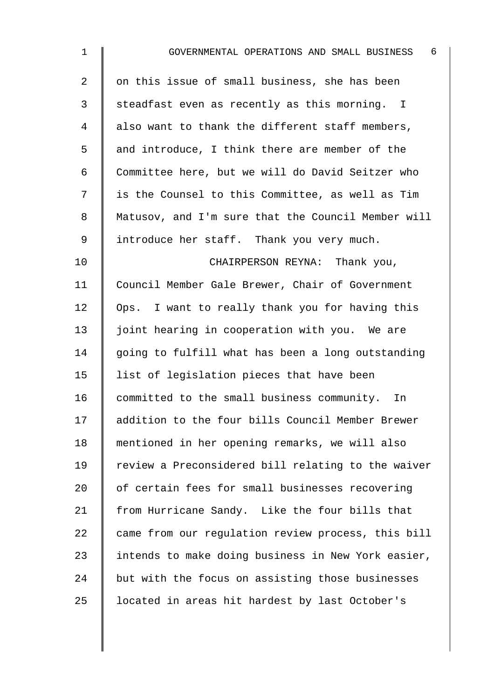| $\mathbf 1$ | - 6<br>GOVERNMENTAL OPERATIONS AND SMALL BUSINESS  |
|-------------|----------------------------------------------------|
| 2           | on this issue of small business, she has been      |
| 3           | steadfast even as recently as this morning. I      |
| 4           | also want to thank the different staff members,    |
| 5           | and introduce, I think there are member of the     |
| 6           | Committee here, but we will do David Seitzer who   |
| 7           | is the Counsel to this Committee, as well as Tim   |
| 8           | Matusov, and I'm sure that the Council Member will |
| 9           | introduce her staff. Thank you very much.          |
| 10          | CHAIRPERSON REYNA: Thank you,                      |
| 11          | Council Member Gale Brewer, Chair of Government    |
| 12          | Ops. I want to really thank you for having this    |
| 13          | joint hearing in cooperation with you. We are      |
| 14          | going to fulfill what has been a long outstanding  |
| 15          | list of legislation pieces that have been          |
| 16          | committed to the small business community.<br>In   |
| 17          | addition to the four bills Council Member Brewer   |
| 18          | mentioned in her opening remarks, we will also     |
| 19          | review a Preconsidered bill relating to the waiver |
| 20          | of certain fees for small businesses recovering    |
| 21          | from Hurricane Sandy. Like the four bills that     |
| 22          | came from our regulation review process, this bill |
| 23          | intends to make doing business in New York easier, |
| 24          | but with the focus on assisting those businesses   |
| 25          | located in areas hit hardest by last October's     |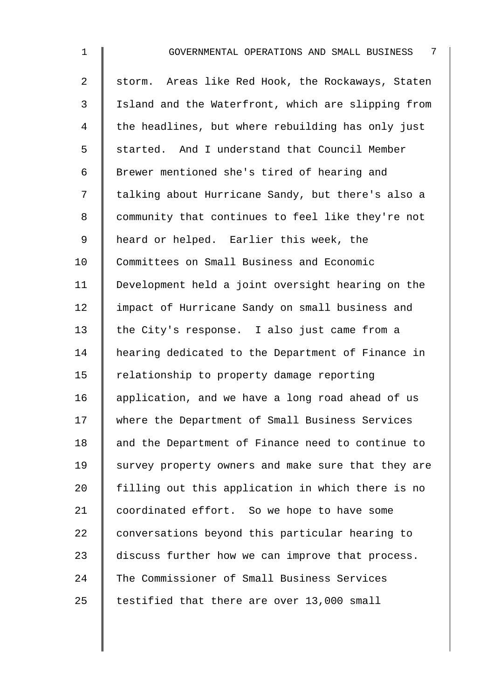| $\mathbf 1$    | 7<br>GOVERNMENTAL OPERATIONS AND SMALL BUSINESS    |
|----------------|----------------------------------------------------|
| $\overline{2}$ | storm. Areas like Red Hook, the Rockaways, Staten  |
| $\mathfrak{Z}$ | Island and the Waterfront, which are slipping from |
| 4              | the headlines, but where rebuilding has only just  |
| 5              | started. And I understand that Council Member      |
| 6              | Brewer mentioned she's tired of hearing and        |
| 7              | talking about Hurricane Sandy, but there's also a  |
| 8              | community that continues to feel like they're not  |
| 9              | heard or helped. Earlier this week, the            |
| 10             | Committees on Small Business and Economic          |
| 11             | Development held a joint oversight hearing on the  |
| 12             | impact of Hurricane Sandy on small business and    |
| 13             | the City's response. I also just came from a       |
| 14             | hearing dedicated to the Department of Finance in  |
| 15             | relationship to property damage reporting          |
| 16             | application, and we have a long road ahead of us   |
| 17             | where the Department of Small Business Services    |
| 18             | and the Department of Finance need to continue to  |
| 19             | survey property owners and make sure that they are |
| 20             | filling out this application in which there is no  |
| 21             | coordinated effort. So we hope to have some        |
| 22             | conversations beyond this particular hearing to    |
| 23             | discuss further how we can improve that process.   |
| 24             | The Commissioner of Small Business Services        |
| 25             | testified that there are over 13,000 small         |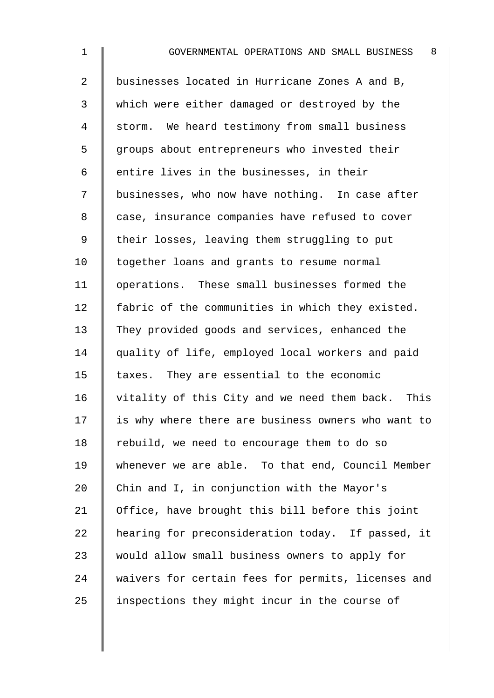| $\mathbf 1$    | 8<br>GOVERNMENTAL OPERATIONS AND SMALL BUSINESS      |
|----------------|------------------------------------------------------|
| $\overline{2}$ | businesses located in Hurricane Zones A and B,       |
| 3              | which were either damaged or destroyed by the        |
| 4              | storm. We heard testimony from small business        |
| 5              | groups about entrepreneurs who invested their        |
| 6              | entire lives in the businesses, in their             |
| 7              | businesses, who now have nothing. In case after      |
| 8              | case, insurance companies have refused to cover      |
| $\mathsf 9$    | their losses, leaving them struggling to put         |
| 10             | together loans and grants to resume normal           |
| 11             | operations. These small businesses formed the        |
| 12             | fabric of the communities in which they existed.     |
| 13             | They provided goods and services, enhanced the       |
| 14             | quality of life, employed local workers and paid     |
| 15             | taxes. They are essential to the economic            |
| 16             | vitality of this City and we need them back.<br>This |
| 17             | is why where there are business owners who want to   |
| 18             | rebuild, we need to encourage them to do so          |
| 19             | whenever we are able. To that end, Council Member    |
| 20             | Chin and I, in conjunction with the Mayor's          |
| 21             | Office, have brought this bill before this joint     |
| 22             | hearing for preconsideration today. If passed, it    |
| 23             | would allow small business owners to apply for       |

24 waivers for certain fees for permits, licenses and

25 | inspections they might incur in the course of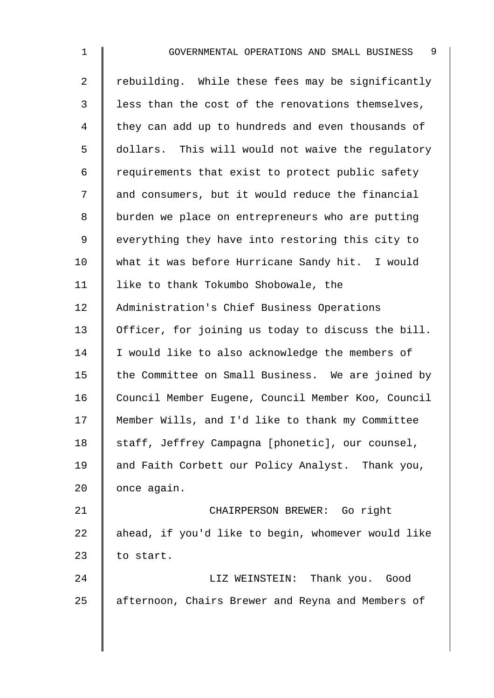| $\mathbf 1$ | 9<br>GOVERNMENTAL OPERATIONS AND SMALL BUSINESS    |
|-------------|----------------------------------------------------|
| 2           | rebuilding. While these fees may be significantly  |
| 3           | less than the cost of the renovations themselves,  |
| 4           | they can add up to hundreds and even thousands of  |
| 5           | dollars. This will would not waive the regulatory  |
| 6           | requirements that exist to protect public safety   |
| 7           | and consumers, but it would reduce the financial   |
| 8           | burden we place on entrepreneurs who are putting   |
| 9           | everything they have into restoring this city to   |
| 10          | what it was before Hurricane Sandy hit. I would    |
| 11          | like to thank Tokumbo Shobowale, the               |
| 12          | Administration's Chief Business Operations         |
| 13          | Officer, for joining us today to discuss the bill. |
| 14          | I would like to also acknowledge the members of    |
| 15          | the Committee on Small Business. We are joined by  |
| 16          | Council Member Eugene, Council Member Koo, Council |
| 17          | Member Wills, and I'd like to thank my Committee   |
| 18          | staff, Jeffrey Campagna [phonetic], our counsel,   |
| 19          | and Faith Corbett our Policy Analyst. Thank you,   |
| 20          | once again.                                        |
| 21          | CHAIRPERSON BREWER: Go right                       |
| 22          | ahead, if you'd like to begin, whomever would like |
| 23          | to start.                                          |
| 24          | LIZ WEINSTEIN: Thank you. Good                     |
| 25          | afternoon, Chairs Brewer and Reyna and Members of  |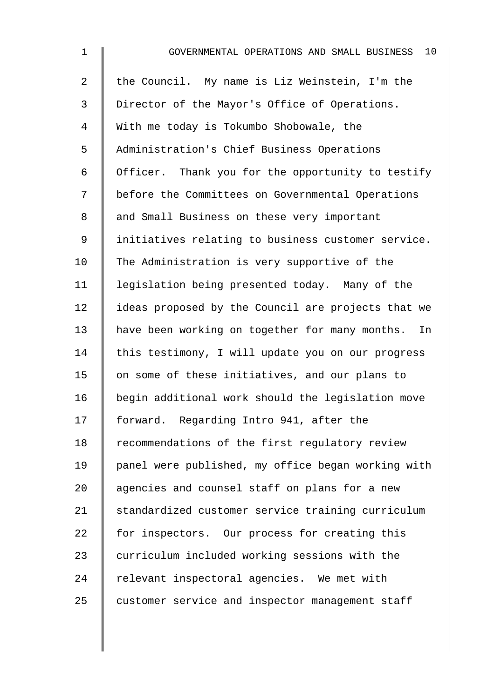| $\mathbf{1}$   | $10 \,$<br>GOVERNMENTAL OPERATIONS AND SMALL BUSINESS |
|----------------|-------------------------------------------------------|
| $\overline{a}$ | the Council. My name is Liz Weinstein, I'm the        |
| 3              | Director of the Mayor's Office of Operations.         |
| 4              | With me today is Tokumbo Shobowale, the               |
| 5              | Administration's Chief Business Operations            |
| 6              | Officer. Thank you for the opportunity to testify     |
| 7              | before the Committees on Governmental Operations      |
| 8              | and Small Business on these very important            |
| $\mathsf 9$    | initiatives relating to business customer service.    |
| 10             | The Administration is very supportive of the          |
| 11             | legislation being presented today. Many of the        |
| 12             | ideas proposed by the Council are projects that we    |
| 13             | have been working on together for many months.<br>In  |
| 14             | this testimony, I will update you on our progress     |
| 15             | on some of these initiatives, and our plans to        |
| 16             | begin additional work should the legislation move     |
| 17             | forward. Regarding Intro 941, after the               |
| 18             | recommendations of the first regulatory review        |
| 19             | panel were published, my office began working with    |
| 20             | agencies and counsel staff on plans for a new         |
| 21             | standardized customer service training curriculum     |
| 22             | for inspectors. Our process for creating this         |
| 23             | curriculum included working sessions with the         |
| 24             | relevant inspectoral agencies. We met with            |
| 25             | customer service and inspector management staff       |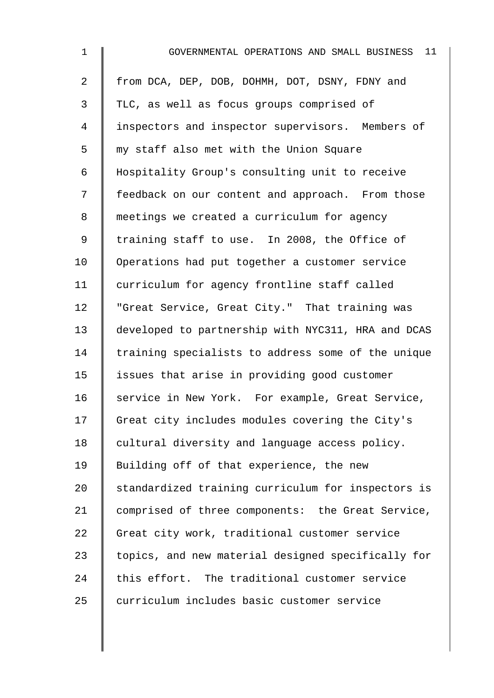| $\mathbf 1$    | 11<br>GOVERNMENTAL OPERATIONS AND SMALL BUSINESS   |
|----------------|----------------------------------------------------|
| $\overline{a}$ | from DCA, DEP, DOB, DOHMH, DOT, DSNY, FDNY and     |
| 3              | TLC, as well as focus groups comprised of          |
| 4              | inspectors and inspector supervisors. Members of   |
| 5              | my staff also met with the Union Square            |
| 6              | Hospitality Group's consulting unit to receive     |
| 7              | feedback on our content and approach. From those   |
| 8              | meetings we created a curriculum for agency        |
| 9              | training staff to use. In 2008, the Office of      |
| 10             | Operations had put together a customer service     |
| 11             | curriculum for agency frontline staff called       |
| 12             | "Great Service, Great City." That training was     |
| 13             | developed to partnership with NYC311, HRA and DCAS |
| 14             | training specialists to address some of the unique |
| 15             | issues that arise in providing good customer       |
| 16             | service in New York. For example, Great Service,   |
| 17             | Great city includes modules covering the City's    |
| 18             | cultural diversity and language access policy.     |
| 19             | Building off of that experience, the new           |
| 20             | standardized training curriculum for inspectors is |
| 21             | comprised of three components: the Great Service,  |
| 22             | Great city work, traditional customer service      |
| 23             | topics, and new material designed specifically for |
| 24             | this effort. The traditional customer service      |
| 25             | curriculum includes basic customer service         |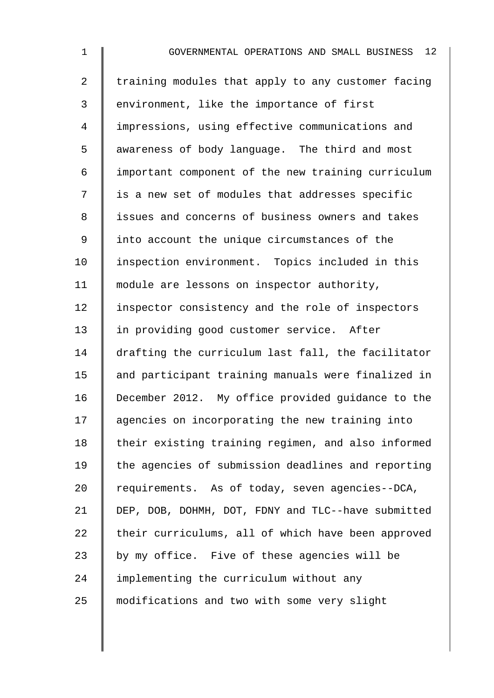1 GOVERNMENTAL OPERATIONS AND SMALL BUSINESS 12 2 | training modules that apply to any customer facing 3 environment, like the importance of first 4 impressions, using effective communications and 5 awareness of body language. The third and most 6 important component of the new training curriculum 7 | is a new set of modules that addresses specific 8 | issues and concerns of business owners and takes 9 I into account the unique circumstances of the 10 I inspection environment. Topics included in this 11 | module are lessons on inspector authority, 12 | inspector consistency and the role of inspectors 13 in providing good customer service. After 14 drafting the curriculum last fall, the facilitator 15 | and participant training manuals were finalized in 16 December 2012. My office provided guidance to the 17 agencies on incorporating the new training into 18 | their existing training regimen, and also informed 19 the agencies of submission deadlines and reporting 20 Tequirements. As of today, seven agencies--DCA, 21 DEP, DOB, DOHMH, DOT, FDNY and TLC--have submitted 22  $\parallel$  their curriculums, all of which have been approved 23  $\parallel$  by my office. Five of these agencies will be 24 I implementing the curriculum without any 25 modifications and two with some very slight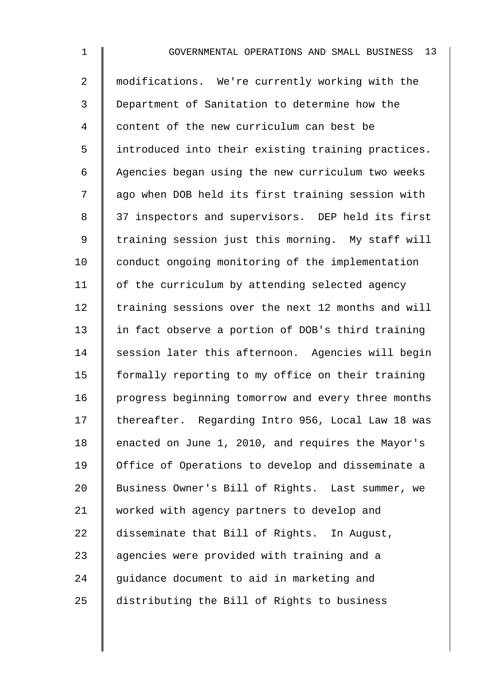| 1              | 13<br>GOVERNMENTAL OPERATIONS AND SMALL BUSINESS   |
|----------------|----------------------------------------------------|
| $\overline{2}$ | modifications. We're currently working with the    |
| 3              | Department of Sanitation to determine how the      |
| 4              | content of the new curriculum can best be          |
| 5              | introduced into their existing training practices. |
| 6              | Agencies began using the new curriculum two weeks  |
| 7              | ago when DOB held its first training session with  |
| 8              | 37 inspectors and supervisors. DEP held its first  |
| 9              | training session just this morning. My staff will  |
| 10             | conduct ongoing monitoring of the implementation   |
| 11             | of the curriculum by attending selected agency     |
| 12             | training sessions over the next 12 months and will |
| 13             | in fact observe a portion of DOB's third training  |
| 14             | session later this afternoon. Agencies will begin  |
| 15             | formally reporting to my office on their training  |
| 16             | progress beginning tomorrow and every three months |
| 17             | thereafter. Regarding Intro 956, Local Law 18 was  |
| 18             | enacted on June 1, 2010, and requires the Mayor's  |
| 19             | Office of Operations to develop and disseminate a  |
| 20             | Business Owner's Bill of Rights. Last summer, we   |
| 21             | worked with agency partners to develop and         |
| 22             | disseminate that Bill of Rights. In August,        |
| 23             | agencies were provided with training and a         |
| 24             | guidance document to aid in marketing and          |

25 distributing the Bill of Rights to business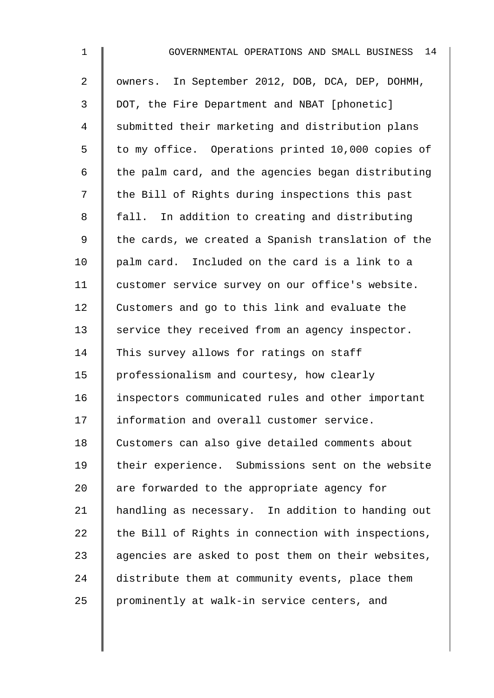| $\mathbf{1}$   | 14<br>GOVERNMENTAL OPERATIONS AND SMALL BUSINESS   |
|----------------|----------------------------------------------------|
| $\overline{a}$ | owners. In September 2012, DOB, DCA, DEP, DOHMH,   |
| 3              | DOT, the Fire Department and NBAT [phonetic]       |
| 4              | submitted their marketing and distribution plans   |
| 5              | to my office. Operations printed 10,000 copies of  |
| 6              | the palm card, and the agencies began distributing |
| 7              | the Bill of Rights during inspections this past    |
| 8              | fall. In addition to creating and distributing     |
| $\mathsf 9$    | the cards, we created a Spanish translation of the |
| 10             | palm card. Included on the card is a link to a     |
| 11             | customer service survey on our office's website.   |
| 12             | Customers and go to this link and evaluate the     |
| 13             | service they received from an agency inspector.    |
| 14             | This survey allows for ratings on staff            |
| 15             | professionalism and courtesy, how clearly          |
| 16             | inspectors communicated rules and other important  |
| 17             | information and overall customer service.          |
| 18             | Customers can also give detailed comments about    |
| 19             | their experience. Submissions sent on the website  |
| 20             | are forwarded to the appropriate agency for        |
| 21             | handling as necessary. In addition to handing out  |
| 22             | the Bill of Rights in connection with inspections, |
| 23             | agencies are asked to post them on their websites, |
| 24             | distribute them at community events, place them    |
| 25             | prominently at walk-in service centers, and        |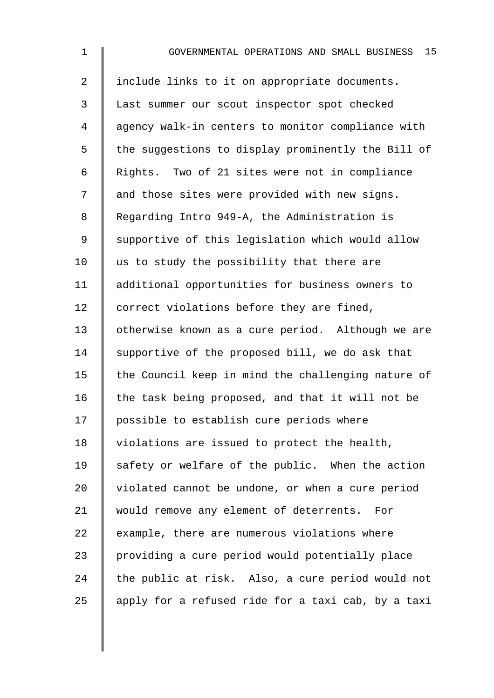| $\mathbf 1$    | 15<br>GOVERNMENTAL OPERATIONS AND SMALL BUSINESS   |
|----------------|----------------------------------------------------|
| $\overline{a}$ | include links to it on appropriate documents.      |
| $\mathfrak{Z}$ | Last summer our scout inspector spot checked       |
| 4              | agency walk-in centers to monitor compliance with  |
| 5              | the suggestions to display prominently the Bill of |
| 6              | Rights. Two of 21 sites were not in compliance     |
| 7              | and those sites were provided with new signs.      |
| 8              | Regarding Intro 949-A, the Administration is       |
| 9              | supportive of this legislation which would allow   |
| 10             | us to study the possibility that there are         |
| 11             | additional opportunities for business owners to    |
| 12             | correct violations before they are fined,          |
| 13             | otherwise known as a cure period. Although we are  |
| 14             | supportive of the proposed bill, we do ask that    |
| 15             | the Council keep in mind the challenging nature of |
| 16             | the task being proposed, and that it will not be   |
| 17             | possible to establish cure periods where           |
| 18             | violations are issued to protect the health,       |
| 19             | safety or welfare of the public. When the action   |
| 20             | violated cannot be undone, or when a cure period   |
| 21             | would remove any element of deterrents. For        |
| 22             | example, there are numerous violations where       |
| 23             | providing a cure period would potentially place    |
| 24             | the public at risk. Also, a cure period would not  |
| 25             | apply for a refused ride for a taxi cab, by a taxi |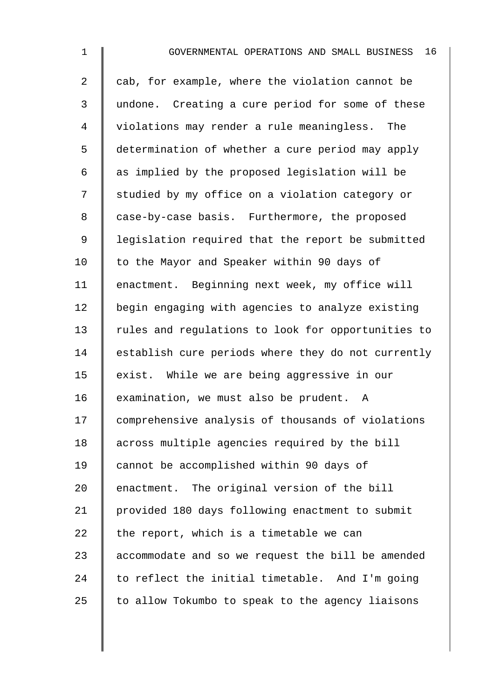2 cab, for example, where the violation cannot be 3 undone. Creating a cure period for some of these 4 violations may render a rule meaningless. The 5 determination of whether a cure period may apply 6  $\parallel$  as implied by the proposed legislation will be 7 Studied by my office on a violation category or 8 case-by-case basis. Furthermore, the proposed 9 | legislation required that the report be submitted 10 | to the Mayor and Speaker within 90 days of 11 | enactment. Beginning next week, my office will 12 begin engaging with agencies to analyze existing 13 Tules and requlations to look for opportunities to  $14$  establish cure periods where they do not currently 15 exist. While we are being aggressive in our 16 examination, we must also be prudent. A 17 comprehensive analysis of thousands of violations 18 | across multiple agencies required by the bill 19 cannot be accomplished within 90 days of 20  $\parallel$  enactment. The original version of the bill 21 provided 180 days following enactment to submit 22  $\parallel$  the report, which is a timetable we can  $23$  | accommodate and so we request the bill be amended  $24$  to reflect the initial timetable. And I'm going 25  $\parallel$  to allow Tokumbo to speak to the agency liaisons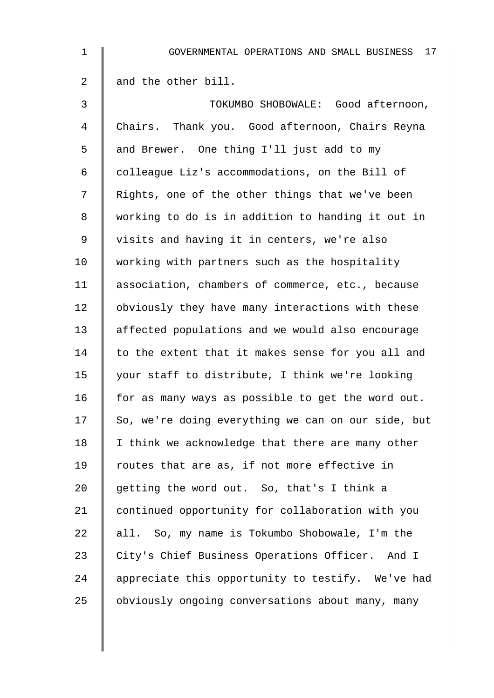| 1  | 17<br>GOVERNMENTAL OPERATIONS AND SMALL BUSINESS   |
|----|----------------------------------------------------|
| 2  | and the other bill.                                |
| 3  | TOKUMBO SHOBOWALE: Good afternoon,                 |
| 4  | Chairs. Thank you. Good afternoon, Chairs Reyna    |
| 5  | and Brewer. One thing I'll just add to my          |
| 6  | colleague Liz's accommodations, on the Bill of     |
| 7  | Rights, one of the other things that we've been    |
| 8  | working to do is in addition to handing it out in  |
| 9  | visits and having it in centers, we're also        |
| 10 | working with partners such as the hospitality      |
| 11 | association, chambers of commerce, etc., because   |
| 12 | obviously they have many interactions with these   |
| 13 | affected populations and we would also encourage   |
| 14 | to the extent that it makes sense for you all and  |
| 15 | your staff to distribute, I think we're looking    |
| 16 | for as many ways as possible to get the word out.  |
| 17 | So, we're doing everything we can on our side, but |
| 18 | I think we acknowledge that there are many other   |
| 19 | routes that are as, if not more effective in       |
| 20 | getting the word out. So, that's I think a         |
| 21 | continued opportunity for collaboration with you   |
| 22 | all. So, my name is Tokumbo Shobowale, I'm the     |
| 23 | City's Chief Business Operations Officer. And I    |
| 24 | appreciate this opportunity to testify. We've had  |
| 25 | obviously ongoing conversations about many, many   |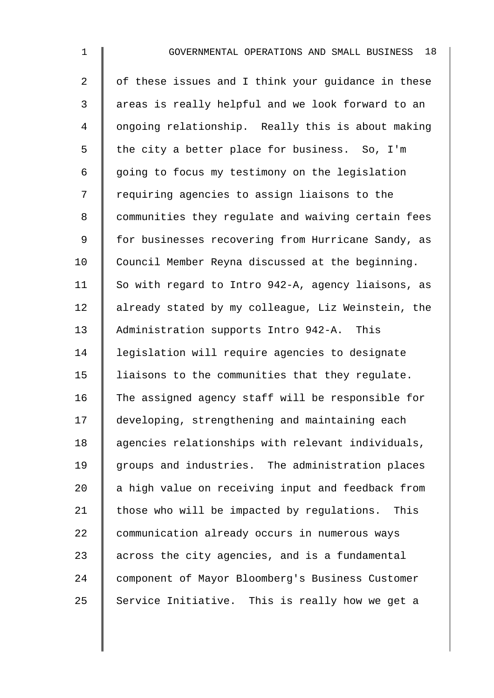$2 \parallel$  of these issues and I think your quidance in these 3 || areas is really helpful and we look forward to an 4 | ongoing relationship. Really this is about making 5  $\parallel$  the city a better place for business. So, I'm  $6 \parallel$  going to focus my testimony on the legislation 7 | requiring agencies to assign liaisons to the 8 | communities they regulate and waiving certain fees 9 | for businesses recovering from Hurricane Sandy, as 10 Council Member Reyna discussed at the beginning. 11 So with regard to Intro 942-A, agency liaisons, as 12 already stated by my colleague, Liz Weinstein, the 13 Administration supports Intro 942-A. This 14 | legislation will require agencies to designate 15 | liaisons to the communities that they regulate. 16 The assigned agency staff will be responsible for 17 | developing, strengthening and maintaining each 18 | agencies relationships with relevant individuals, 19 groups and industries. The administration places  $20$  a high value on receiving input and feedback from 21  $\parallel$  those who will be impacted by regulations. This 22 communication already occurs in numerous ways 23  $\parallel$  across the city agencies, and is a fundamental 24 component of Mayor Bloomberg's Business Customer 25 Service Initiative. This is really how we get a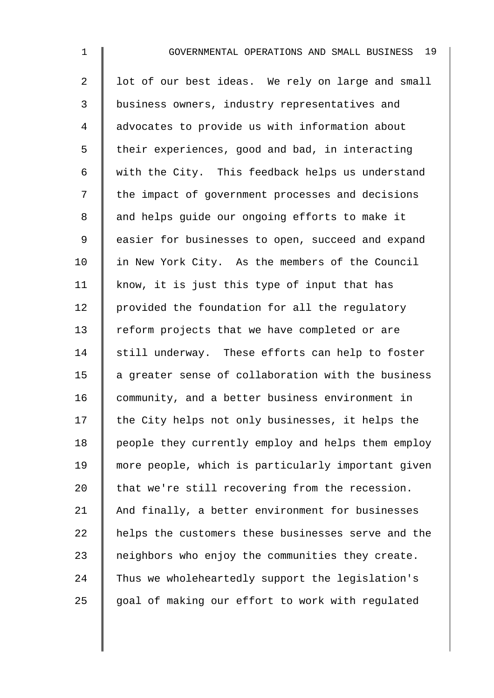| $\mathbf 1$    | GOVERNMENTAL OPERATIONS AND SMALL BUSINESS 19      |
|----------------|----------------------------------------------------|
| $\overline{2}$ | lot of our best ideas. We rely on large and small  |
| $\mathfrak{Z}$ | business owners, industry representatives and      |
| 4              | advocates to provide us with information about     |
| 5              | their experiences, good and bad, in interacting    |
| 6              | with the City. This feedback helps us understand   |
| 7              | the impact of government processes and decisions   |
| 8              | and helps guide our ongoing efforts to make it     |
| 9              | easier for businesses to open, succeed and expand  |
| 10             | in New York City. As the members of the Council    |
| 11             | know, it is just this type of input that has       |
| 12             | provided the foundation for all the regulatory     |
| 13             | reform projects that we have completed or are      |
| 14             | still underway. These efforts can help to foster   |
| 15             | a greater sense of collaboration with the business |
| 16             | community, and a better business environment in    |
| 17             | the City helps not only businesses, it helps the   |
| 18             | people they currently employ and helps them employ |
| 19             | more people, which is particularly important given |
| 20             | that we're still recovering from the recession.    |
| 21             | And finally, a better environment for businesses   |
| 22             | helps the customers these businesses serve and the |
| 23             | neighbors who enjoy the communities they create.   |
| 24             | Thus we wholeheartedly support the legislation's   |

25 goal of making our effort to work with regulated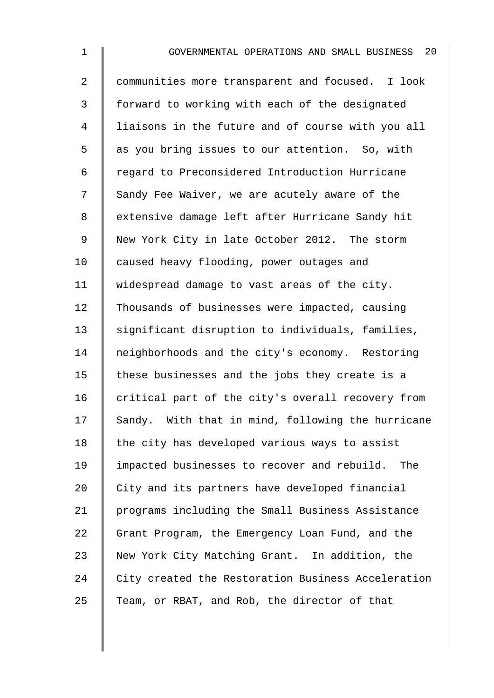2 communities more transparent and focused. I look 3 | forward to working with each of the designated 4 I liaisons in the future and of course with you all 5 as you bring issues to our attention. So, with 6 regard to Preconsidered Introduction Hurricane 7 Sandy Fee Waiver, we are acutely aware of the 8 | extensive damage left after Hurricane Sandy hit 9 New York City in late October 2012. The storm 10 caused heavy flooding, power outages and 11 | widespread damage to vast areas of the city. 12 Thousands of businesses were impacted, causing 13 | significant disruption to individuals, families, 14 neighborhoods and the city's economy. Restoring 15  $\parallel$  these businesses and the jobs they create is a 16  $\parallel$  critical part of the city's overall recovery from  $17$  Sandy. With that in mind, following the hurricane 18  $\parallel$  the city has developed various ways to assist 19 | impacted businesses to recover and rebuild. The 20 City and its partners have developed financial 21 programs including the Small Business Assistance 22 Grant Program, the Emergency Loan Fund, and the 23 New York City Matching Grant. In addition, the 24 City created the Restoration Business Acceleration 25  $\parallel$  Team, or RBAT, and Rob, the director of that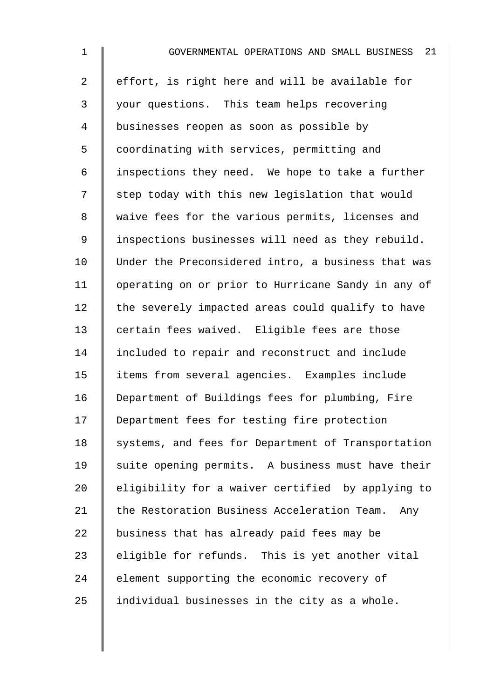| $\mathbf 1$    | 21<br>GOVERNMENTAL OPERATIONS AND SMALL BUSINESS   |
|----------------|----------------------------------------------------|
| $\overline{2}$ | effort, is right here and will be available for    |
| $\mathsf{3}$   | your questions. This team helps recovering         |
| $\overline{4}$ | businesses reopen as soon as possible by           |
| 5              | coordinating with services, permitting and         |
| $\epsilon$     | inspections they need. We hope to take a further   |
| 7              | step today with this new legislation that would    |
| 8              | waive fees for the various permits, licenses and   |
| $\mathsf 9$    | inspections businesses will need as they rebuild.  |
| 10             | Under the Preconsidered intro, a business that was |
| 11             | operating on or prior to Hurricane Sandy in any of |
| 12             | the severely impacted areas could qualify to have  |
| 13             | certain fees waived. Eligible fees are those       |
| 14             | included to repair and reconstruct and include     |
| 15             | items from several agencies. Examples include      |
| 16             | Department of Buildings fees for plumbing, Fire    |
| 17             | Department fees for testing fire protection        |
| 18             | systems, and fees for Department of Transportation |
| 19             | suite opening permits. A business must have their  |
| 20             | eligibility for a waiver certified by applying to  |
| 21             | the Restoration Business Acceleration Team.<br>Any |
| 22             | business that has already paid fees may be         |
| 23             | eligible for refunds. This is yet another vital    |
| 24             | element supporting the economic recovery of        |
| 25             | individual businesses in the city as a whole.      |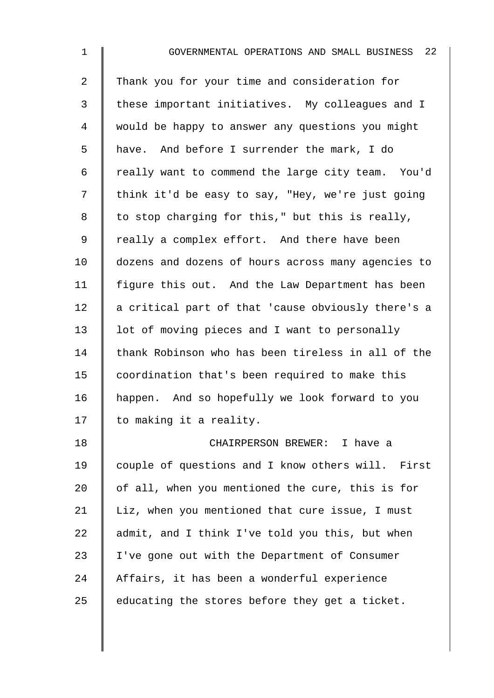| $\mathbf{1}$   | 22<br>GOVERNMENTAL OPERATIONS AND SMALL BUSINESS   |
|----------------|----------------------------------------------------|
| $\overline{2}$ | Thank you for your time and consideration for      |
| 3              | these important initiatives. My colleagues and I   |
| 4              | would be happy to answer any questions you might   |
| 5              | have. And before I surrender the mark, I do        |
| 6              | really want to commend the large city team. You'd  |
| 7              | think it'd be easy to say, "Hey, we're just going  |
| 8              | to stop charging for this," but this is really,    |
| $\mathsf 9$    | really a complex effort. And there have been       |
| 10             | dozens and dozens of hours across many agencies to |
| 11             | figure this out. And the Law Department has been   |
| 12             | a critical part of that 'cause obviously there's a |
| 13             | lot of moving pieces and I want to personally      |
| 14             | thank Robinson who has been tireless in all of the |
| 15             | coordination that's been required to make this     |
| 16             | happen. And so hopefully we look forward to you    |
| 17             | to making it a reality.                            |
| 18             | CHAIRPERSON BREWER: I have a                       |
| 19             | couple of questions and I know others will. First  |
| 20             | of all, when you mentioned the cure, this is for   |
| 21             | Liz, when you mentioned that cure issue, I must    |
| 22             | admit, and I think I've told you this, but when    |
| 23             | I've gone out with the Department of Consumer      |
| 24             | Affairs, it has been a wonderful experience        |
| 25             | educating the stores before they get a ticket.     |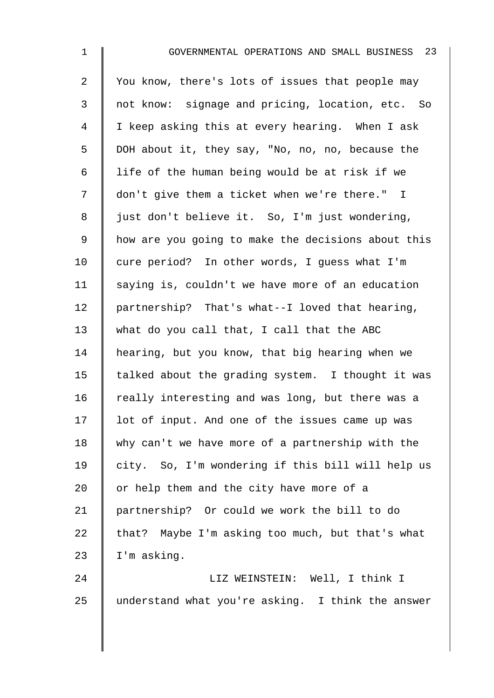2 You know, there's lots of issues that people may 3 not know: signage and pricing, location, etc. So 4 I keep asking this at every hearing. When I ask 5 DOH about it, they say, "No, no, no, because the 6  $\parallel$  life of the human being would be at risk if we 7 | don't give them a ticket when we're there." I 8 | just don't believe it. So, I'm just wondering, 9 | how are you going to make the decisions about this  $10$   $\parallel$  cure period? In other words, I quess what I'm 11 | saying is, couldn't we have more of an education 12 | partnership? That's what--I loved that hearing, 13 what do you call that, I call that the ABC 14 | hearing, but you know, that big hearing when we 15  $\parallel$  talked about the grading system. I thought it was 16  $\parallel$  really interesting and was long, but there was a 17 | lot of input. And one of the issues came up was 18 why can't we have more of a partnership with the 19 city. So, I'm wondering if this bill will help us 20  $\parallel$  or help them and the city have more of a 21 partnership? Or could we work the bill to do 22  $\parallel$  that? Maybe I'm asking too much, but that's what  $23$  | I'm asking.

24 | LIZ WEINSTEIN: Well, I think I 25 understand what you're asking. I think the answer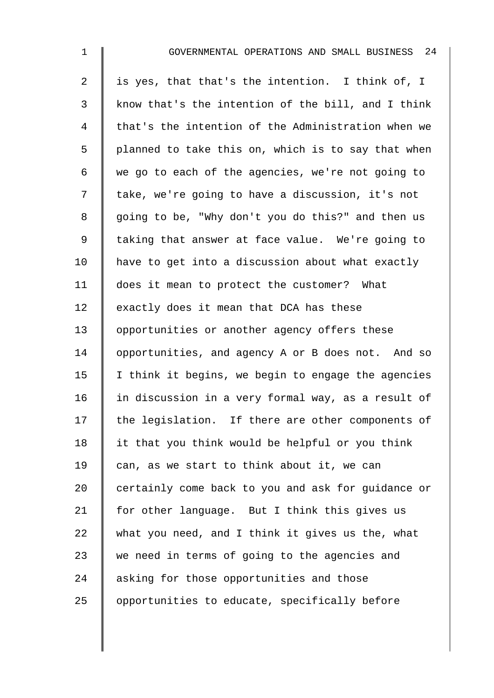| $\mathbf 1$    | GOVERNMENTAL OPERATIONS AND SMALL BUSINESS 24      |
|----------------|----------------------------------------------------|
| $\overline{a}$ | is yes, that that's the intention. I think of, I   |
| 3              | know that's the intention of the bill, and I think |
| 4              | that's the intention of the Administration when we |
| 5              | planned to take this on, which is to say that when |
| 6              | we go to each of the agencies, we're not going to  |
| 7              | take, we're going to have a discussion, it's not   |
| 8              | going to be, "Why don't you do this?" and then us  |
| 9              | taking that answer at face value. We're going to   |
| 10             | have to get into a discussion about what exactly   |
| 11             | does it mean to protect the customer? What         |
| 12             | exactly does it mean that DCA has these            |
| 13             | opportunities or another agency offers these       |
| 14             | opportunities, and agency A or B does not. And so  |
| 15             | I think it begins, we begin to engage the agencies |
| 16             | in discussion in a very formal way, as a result of |
| 17             | the legislation. If there are other components of  |
| 18             | it that you think would be helpful or you think    |
| 19             | can, as we start to think about it, we can         |
| 20             | certainly come back to you and ask for guidance or |
| 21             | for other language. But I think this gives us      |
| 22             | what you need, and I think it gives us the, what   |
| 23             | we need in terms of going to the agencies and      |
| 24             | asking for those opportunities and those           |
| 25             | opportunities to educate, specifically before      |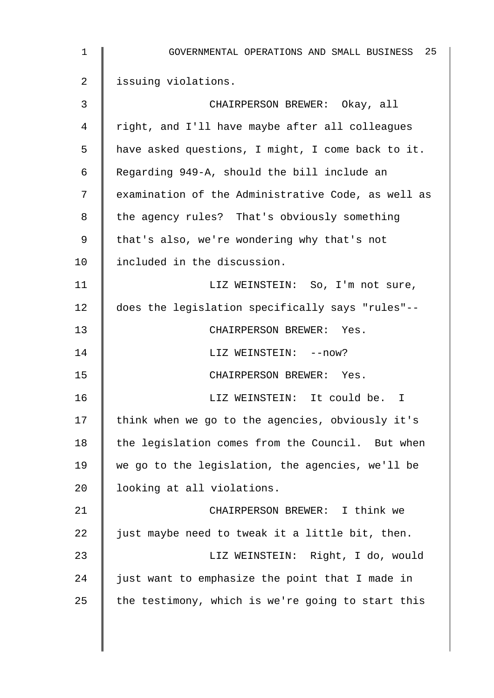| $\mathbf 1$ | GOVERNMENTAL OPERATIONS AND SMALL BUSINESS 25      |
|-------------|----------------------------------------------------|
| 2           | issuing violations.                                |
| 3           | CHAIRPERSON BREWER: Okay, all                      |
| 4           | right, and I'll have maybe after all colleagues    |
| 5           | have asked questions, I might, I come back to it.  |
| 6           | Regarding 949-A, should the bill include an        |
| 7           | examination of the Administrative Code, as well as |
| 8           | the agency rules? That's obviously something       |
| 9           | that's also, we're wondering why that's not        |
| 10          | included in the discussion.                        |
| 11          | LIZ WEINSTEIN: So, I'm not sure,                   |
| 12          | does the legislation specifically says "rules"--   |
| 13          | CHAIRPERSON BREWER: Yes.                           |
| 14          | LIZ WEINSTEIN: -- now?                             |
| 15          | CHAIRPERSON BREWER: Yes.                           |
| 16          | LIZ WEINSTEIN: It could be. I                      |
| 17          | think when we go to the agencies, obviously it's   |
| 18          | the legislation comes from the Council. But when   |
| 19          | we go to the legislation, the agencies, we'll be   |
| 20          | looking at all violations.                         |
| 21          | CHAIRPERSON BREWER: I think we                     |
| 22          | just maybe need to tweak it a little bit, then.    |
| 23          | LIZ WEINSTEIN: Right, I do, would                  |
| 24          | just want to emphasize the point that I made in    |
| 25          | the testimony, which is we're going to start this  |
|             |                                                    |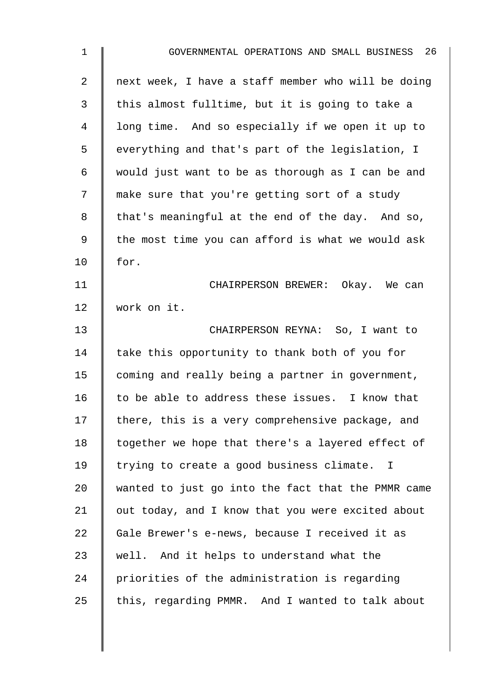| $\mathbf{1}$ | GOVERNMENTAL OPERATIONS AND SMALL BUSINESS 26      |
|--------------|----------------------------------------------------|
| 2            | next week, I have a staff member who will be doing |
| 3            | this almost fulltime, but it is going to take a    |
| 4            | long time. And so especially if we open it up to   |
| 5            | everything and that's part of the legislation, I   |
| 6            | would just want to be as thorough as I can be and  |
| 7            | make sure that you're getting sort of a study      |
| 8            | that's meaningful at the end of the day. And so,   |
| $\mathsf 9$  | the most time you can afford is what we would ask  |
| 10           | for.                                               |
| 11           | CHAIRPERSON BREWER: Okay. We can                   |
| 12           | work on it.                                        |
| 13           | CHAIRPERSON REYNA: So, I want to                   |
| 14           | take this opportunity to thank both of you for     |
| 15           | coming and really being a partner in government,   |
| 16           | to be able to address these issues. I know that    |
| 17           | there, this is a very comprehensive package, and   |
| 18           | together we hope that there's a layered effect of  |
| 19           | trying to create a good business climate. I        |
| 20           | wanted to just go into the fact that the PMMR came |
| 21           | out today, and I know that you were excited about  |
| 22           | Gale Brewer's e-news, because I received it as     |
| 23           | well. And it helps to understand what the          |
| 24           | priorities of the administration is regarding      |
| 25           | this, regarding PMMR. And I wanted to talk about   |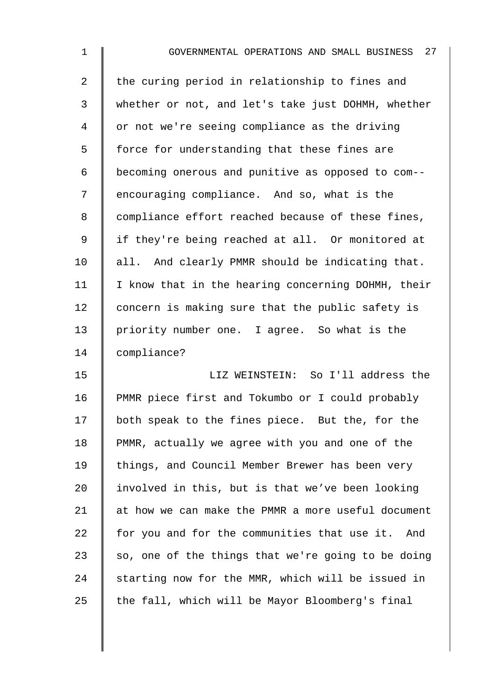2  $\parallel$  the curing period in relationship to fines and 3 whether or not, and let's take just DOHMH, whether 4 | or not we're seeing compliance as the driving 5 | force for understanding that these fines are 6 becoming onerous and punitive as opposed to com-- 7 encouraging compliance. And so, what is the 8 | compliance effort reached because of these fines, 9 | if they're being reached at all. Or monitored at  $10$  | all. And clearly PMMR should be indicating that.  $11$  | I know that in the hearing concerning DOHMH, their 12 concern is making sure that the public safety is 13 priority number one. I agree. So what is the 14 compliance?

15 LIZ WEINSTEIN: So I'll address the 16 PMMR piece first and Tokumbo or I could probably 17 both speak to the fines piece. But the, for the 18 PMMR, actually we agree with you and one of the 19 | things, and Council Member Brewer has been very 20  $\parallel$  involved in this, but is that we've been looking  $21$  at how we can make the PMMR a more useful document 22  $\parallel$  for you and for the communities that use it. And 23  $\parallel$  so, one of the things that we're going to be doing 24  $\parallel$  starting now for the MMR, which will be issued in 25  $\parallel$  the fall, which will be Mayor Bloomberg's final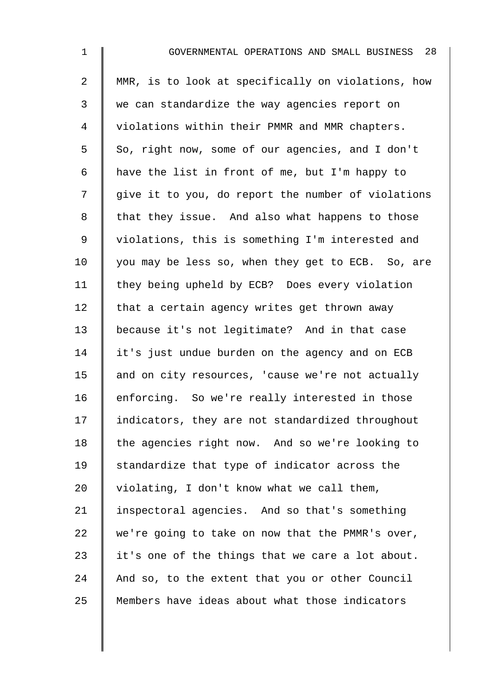| $\mathbf 1$    | 28<br>GOVERNMENTAL OPERATIONS AND SMALL BUSINESS   |
|----------------|----------------------------------------------------|
| $\overline{2}$ | MMR, is to look at specifically on violations, how |
| 3              | we can standardize the way agencies report on      |
| $\overline{4}$ | violations within their PMMR and MMR chapters.     |
| 5              | So, right now, some of our agencies, and I don't   |
| 6              | have the list in front of me, but I'm happy to     |
| 7              | give it to you, do report the number of violations |
| 8              | that they issue. And also what happens to those    |
| $\mathsf 9$    | violations, this is something I'm interested and   |
| 10             | you may be less so, when they get to ECB. So, are  |
| 11             | they being upheld by ECB? Does every violation     |
| 12             | that a certain agency writes get thrown away       |
| 13             | because it's not legitimate? And in that case      |
| 14             | it's just undue burden on the agency and on ECB    |
| 15             | and on city resources, 'cause we're not actually   |
| 16             | enforcing. So we're really interested in those     |
| 17             | indicators, they are not standardized throughout   |
| 18             | the agencies right now. And so we're looking to    |
| 19             | standardize that type of indicator across the      |
| 20             | violating, I don't know what we call them,         |
| 21             | inspectoral agencies. And so that's something      |
| 22             | we're going to take on now that the PMMR's over,   |
| 23             | it's one of the things that we care a lot about.   |
| 24             | And so, to the extent that you or other Council    |
| 25             | Members have ideas about what those indicators     |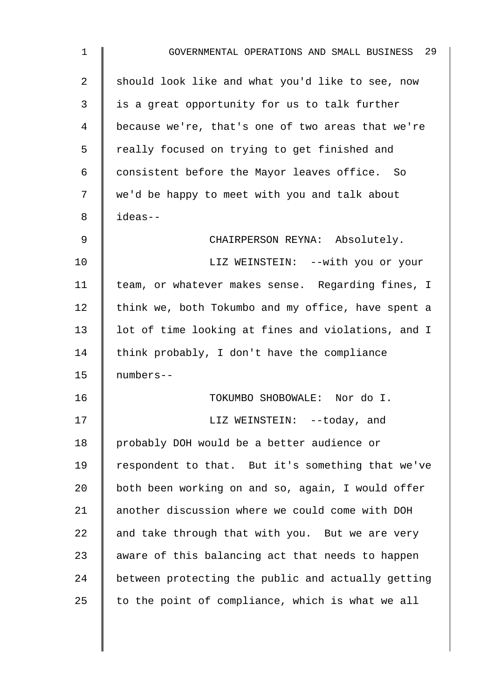| $\mathbf{1}$ | GOVERNMENTAL OPERATIONS AND SMALL BUSINESS 29      |
|--------------|----------------------------------------------------|
| 2            | should look like and what you'd like to see, now   |
| 3            | is a great opportunity for us to talk further      |
| 4            | because we're, that's one of two areas that we're  |
| 5            | really focused on trying to get finished and       |
| 6            | consistent before the Mayor leaves office. So      |
| 7            | we'd be happy to meet with you and talk about      |
| 8            | ideas--                                            |
| 9            | CHAIRPERSON REYNA: Absolutely.                     |
| 10           | LIZ WEINSTEIN: --with you or your                  |
| 11           | team, or whatever makes sense. Regarding fines, I  |
| 12           | think we, both Tokumbo and my office, have spent a |
| 13           | lot of time looking at fines and violations, and I |
| 14           | think probably, I don't have the compliance        |
| 15           | numbers--                                          |
| 16           | TOKUMBO SHOBOWALE: Nor do I.                       |
| 17           | LIZ WEINSTEIN: --today, and                        |
| 18           | probably DOH would be a better audience or         |
| 19           | respondent to that. But it's something that we've  |
| 20           | both been working on and so, again, I would offer  |
| 21           | another discussion where we could come with DOH    |
| 22           | and take through that with you. But we are very    |
| 23           | aware of this balancing act that needs to happen   |
| 24           | between protecting the public and actually getting |
| 25           | to the point of compliance, which is what we all   |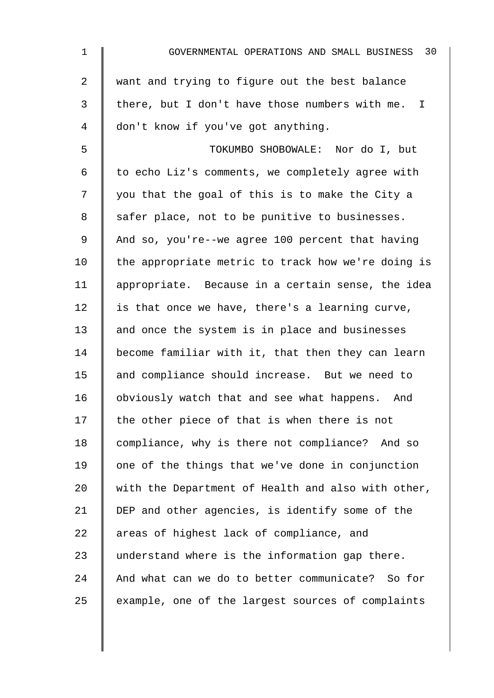| 1              | 30<br>GOVERNMENTAL OPERATIONS AND SMALL BUSINESS   |
|----------------|----------------------------------------------------|
| $\overline{2}$ | want and trying to figure out the best balance     |
| 3              | there, but I don't have those numbers with me. I   |
| 4              | don't know if you've got anything.                 |
| 5              | TOKUMBO SHOBOWALE: Nor do I, but                   |
| 6              | to echo Liz's comments, we completely agree with   |
| 7              | you that the goal of this is to make the City a    |
| 8              | safer place, not to be punitive to businesses.     |
| 9              | And so, you're--we agree 100 percent that having   |
| 10             | the appropriate metric to track how we're doing is |
| 11             | appropriate. Because in a certain sense, the idea  |
| 12             | is that once we have, there's a learning curve,    |
| 13             | and once the system is in place and businesses     |
| 14             | become familiar with it, that then they can learn  |
| 15             | and compliance should increase. But we need to     |
| 16             | obviously watch that and see what happens. And     |
| 17             | the other piece of that is when there is not       |
| 18             | compliance, why is there not compliance? And so    |
| 19             | one of the things that we've done in conjunction   |
| 20             | with the Department of Health and also with other, |
| 21             | DEP and other agencies, is identify some of the    |
| 22             | areas of highest lack of compliance, and           |
| 23             | understand where is the information gap there.     |
| 24             | And what can we do to better communicate? So for   |
| 25             | example, one of the largest sources of complaints  |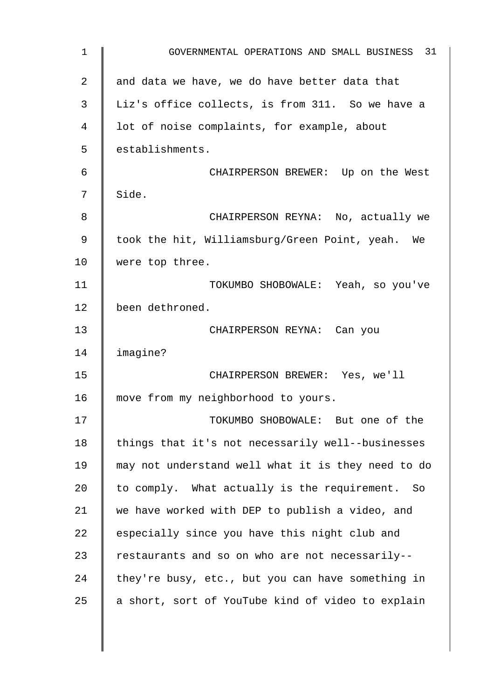| $\mathbf 1$ | GOVERNMENTAL OPERATIONS AND SMALL BUSINESS 31      |
|-------------|----------------------------------------------------|
| 2           | and data we have, we do have better data that      |
| 3           | Liz's office collects, is from 311. So we have a   |
| 4           | lot of noise complaints, for example, about        |
| 5           | establishments.                                    |
| 6           | CHAIRPERSON BREWER: Up on the West                 |
| 7           | Side.                                              |
| 8           | CHAIRPERSON REYNA: No, actually we                 |
| 9           | took the hit, Williamsburg/Green Point, yeah. We   |
| 10          | were top three.                                    |
| 11          | TOKUMBO SHOBOWALE: Yeah, so you've                 |
| 12          | been dethroned.                                    |
| 13          | CHAIRPERSON REYNA: Can you                         |
| 14          | imagine?                                           |
| 15          | CHAIRPERSON BREWER: Yes, we'll                     |
| 16          | move from my neighborhood to yours.                |
| 17          | TOKUMBO SHOBOWALE: But one of the                  |
| 18          | things that it's not necessarily well--businesses  |
| 19          | may not understand well what it is they need to do |
| 20          | to comply. What actually is the requirement. So    |
| 21          | we have worked with DEP to publish a video, and    |
| 22          | especially since you have this night club and      |
| 23          | restaurants and so on who are not necessarily--    |
| 24          | they're busy, etc., but you can have something in  |
| 25          | a short, sort of YouTube kind of video to explain  |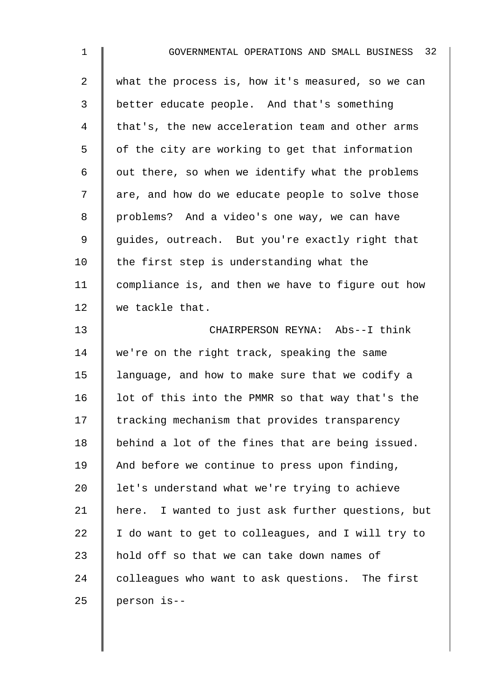1 GOVERNMENTAL OPERATIONS AND SMALL BUSINESS 32 2 what the process is, how it's measured, so we can 3 better educate people. And that's something 4 | that's, the new acceleration team and other arms 5 | of the city are working to get that information 6  $\parallel$  out there, so when we identify what the problems 7 are, and how do we educate people to solve those 8 | problems? And a video's one way, we can have 9 guides, outreach. But you're exactly right that 10  $\parallel$  the first step is understanding what the 11 compliance is, and then we have to figure out how 12 we tackle that. 13 CHAIRPERSON REYNA: Abs--I think 14 we're on the right track, speaking the same 15 | language, and how to make sure that we codify a 16  $\parallel$  1ot of this into the PMMR so that way that's the 17 Tracking mechanism that provides transparency 18 behind a lot of the fines that are being issued. 19  $\parallel$  And before we continue to press upon finding, 20  $\parallel$  let's understand what we're trying to achieve 21 | here. I wanted to just ask further questions, but 22  $\parallel$  I do want to get to colleagues, and I will try to 23  $\parallel$  hold off so that we can take down names of 24 colleagues who want to ask questions. The first  $25$  person is--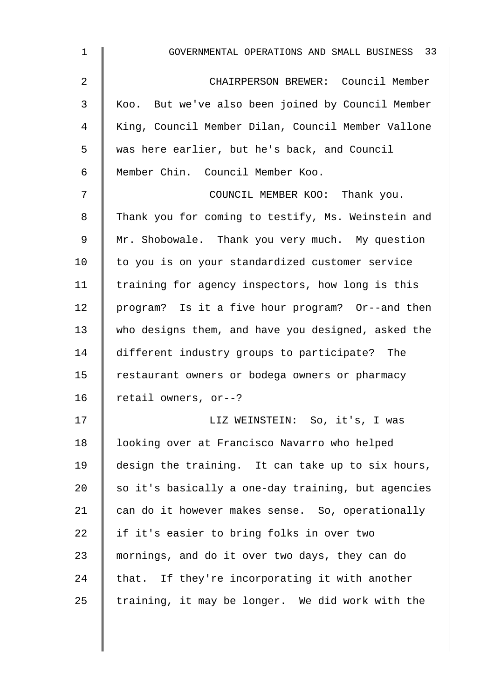| $\mathbf 1$ | GOVERNMENTAL OPERATIONS AND SMALL BUSINESS 33      |
|-------------|----------------------------------------------------|
| 2           | CHAIRPERSON BREWER: Council Member                 |
| 3           | Koo. But we've also been joined by Council Member  |
| 4           | King, Council Member Dilan, Council Member Vallone |
| 5           | was here earlier, but he's back, and Council       |
| 6           | Member Chin. Council Member Koo.                   |
| 7           | COUNCIL MEMBER KOO: Thank you.                     |
| 8           | Thank you for coming to testify, Ms. Weinstein and |
| 9           | Mr. Shobowale. Thank you very much. My question    |
| 10          | to you is on your standardized customer service    |
| 11          | training for agency inspectors, how long is this   |
| 12          | program? Is it a five hour program? Or--and then   |
| 13          | who designs them, and have you designed, asked the |
| 14          | different industry groups to participate? The      |
| 15          | restaurant owners or bodega owners or pharmacy     |
| 16          | retail owners, or--?                               |
| 17          | LIZ WEINSTEIN: So, it's, I was                     |
| 18          | looking over at Francisco Navarro who helped       |
| 19          | design the training. It can take up to six hours,  |
| 20          | so it's basically a one-day training, but agencies |
| 21          | can do it however makes sense. So, operationally   |
| 22          | if it's easier to bring folks in over two          |
| 23          | mornings, and do it over two days, they can do     |
| 24          | that. If they're incorporating it with another     |
| 25          | training, it may be longer. We did work with the   |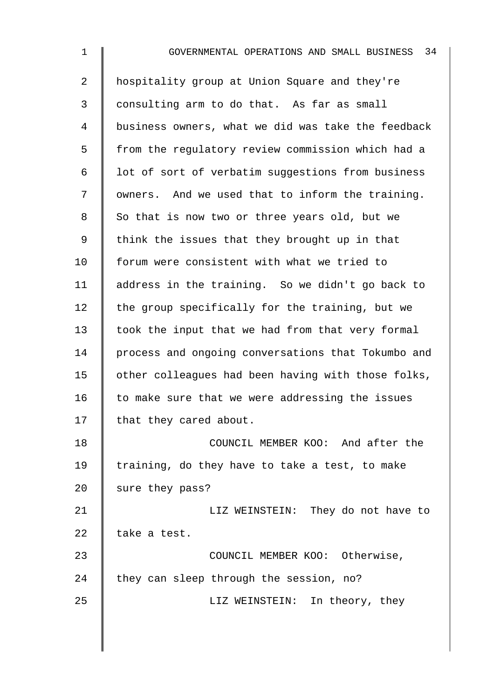| $\mathbf{1}$ | 34<br>GOVERNMENTAL OPERATIONS AND SMALL BUSINESS   |
|--------------|----------------------------------------------------|
| 2            | hospitality group at Union Square and they're      |
| 3            | consulting arm to do that. As far as small         |
| 4            | business owners, what we did was take the feedback |
| 5            | from the regulatory review commission which had a  |
| 6            | lot of sort of verbatim suggestions from business  |
| 7            | owners. And we used that to inform the training.   |
| 8            | So that is now two or three years old, but we      |
| 9            | think the issues that they brought up in that      |
| 10           | forum were consistent with what we tried to        |
| 11           | address in the training. So we didn't go back to   |
| 12           | the group specifically for the training, but we    |
| 13           | took the input that we had from that very formal   |
| 14           | process and ongoing conversations that Tokumbo and |
| 15           | other colleagues had been having with those folks, |
| 16           | to make sure that we were addressing the issues    |
| 17           | that they cared about.                             |
| 18           | COUNCIL MEMBER KOO: And after the                  |
| 19           | training, do they have to take a test, to make     |
| 20           | sure they pass?                                    |
| 21           | LIZ WEINSTEIN: They do not have to                 |
| 22           | take a test.                                       |
| 23           | COUNCIL MEMBER KOO: Otherwise,                     |
| 24           | they can sleep through the session, no?            |
| 25           | LIZ WEINSTEIN: In theory, they                     |
|              |                                                    |
|              |                                                    |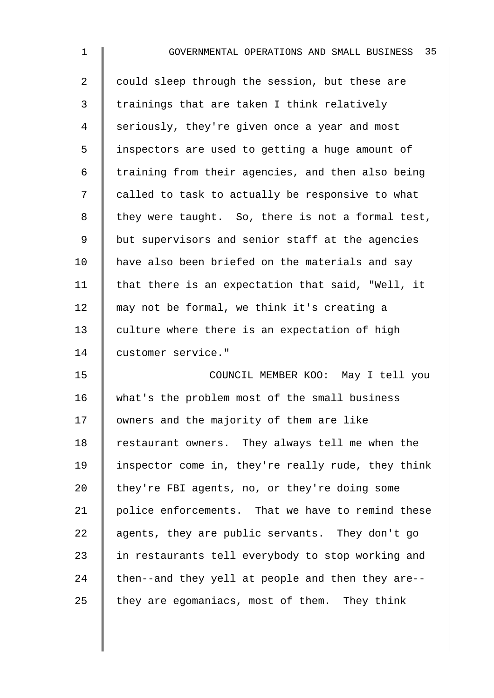| 1  | 35<br>GOVERNMENTAL OPERATIONS AND SMALL BUSINESS   |
|----|----------------------------------------------------|
| 2  | could sleep through the session, but these are     |
| 3  | trainings that are taken I think relatively        |
| 4  | seriously, they're given once a year and most      |
| 5  | inspectors are used to getting a huge amount of    |
| 6  | training from their agencies, and then also being  |
| 7  | called to task to actually be responsive to what   |
| 8  | they were taught. So, there is not a formal test,  |
| 9  | but supervisors and senior staff at the agencies   |
| 10 | have also been briefed on the materials and say    |
| 11 | that there is an expectation that said, "Well, it  |
| 12 | may not be formal, we think it's creating a        |
| 13 | culture where there is an expectation of high      |
| 14 | customer service."                                 |
| 15 | COUNCIL MEMBER KOO: May I tell you                 |
| 16 | what's the problem most of the small business      |
| 17 | owners and the majority of them are like           |
| 18 | restaurant owners. They always tell me when the    |
| 19 | inspector come in, they're really rude, they think |
| 20 | they're FBI agents, no, or they're doing some      |
| 21 | police enforcements. That we have to remind these  |
| 22 | agents, they are public servants. They don't go    |
| 23 | in restaurants tell everybody to stop working and  |
| 24 | then--and they yell at people and then they are--  |
| 25 | they are egomaniacs, most of them. They think      |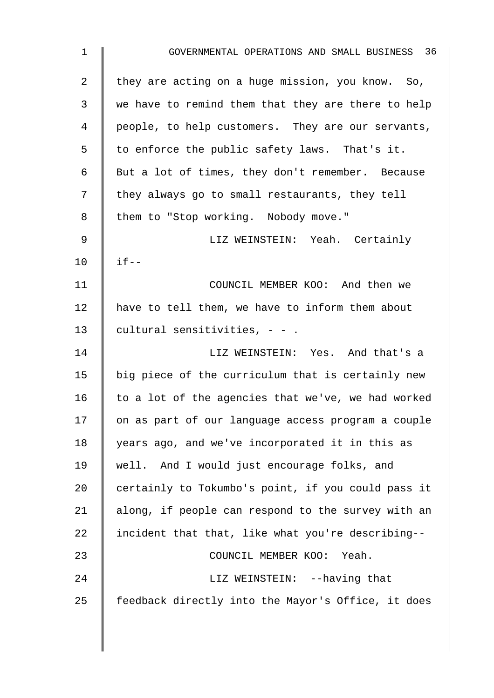| $\mathbf{1}$   | GOVERNMENTAL OPERATIONS AND SMALL BUSINESS 36      |
|----------------|----------------------------------------------------|
| $\overline{2}$ | they are acting on a huge mission, you know. So,   |
| 3              | we have to remind them that they are there to help |
| 4              | people, to help customers. They are our servants,  |
| 5              | to enforce the public safety laws. That's it.      |
| 6              | But a lot of times, they don't remember. Because   |
| 7              | they always go to small restaurants, they tell     |
| 8              | them to "Stop working. Nobody move."               |
| 9              | LIZ WEINSTEIN: Yeah. Certainly                     |
| 10             | $if --$                                            |
| 11             | COUNCIL MEMBER KOO: And then we                    |
| 12             | have to tell them, we have to inform them about    |
| 13             | cultural sensitivities, $- -$ .                    |
| 14             | LIZ WEINSTEIN: Yes. And that's a                   |
| 15             | big piece of the curriculum that is certainly new  |
| 16             | to a lot of the agencies that we've, we had worked |
| 17             | on as part of our language access program a couple |
| 18             | years ago, and we've incorporated it in this as    |
| 19             | well. And I would just encourage folks, and        |
| 20             | certainly to Tokumbo's point, if you could pass it |
| 21             | along, if people can respond to the survey with an |
| 22             | incident that that, like what you're describing--  |
| 23             | COUNCIL MEMBER KOO: Yeah.                          |
| 24             | LIZ WEINSTEIN: --having that                       |
| 25             | feedback directly into the Mayor's Office, it does |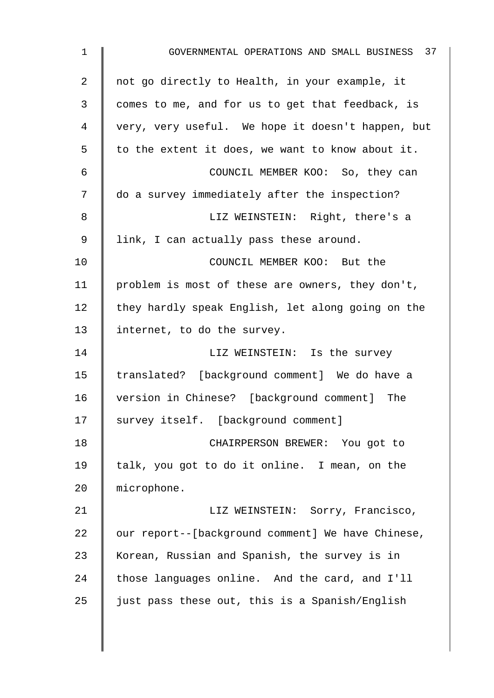| $\mathbf 1$ | GOVERNMENTAL OPERATIONS AND SMALL BUSINESS 37     |
|-------------|---------------------------------------------------|
| 2           | not go directly to Health, in your example, it    |
| 3           | comes to me, and for us to get that feedback, is  |
| 4           | very, very useful. We hope it doesn't happen, but |
| 5           | to the extent it does, we want to know about it.  |
| 6           | COUNCIL MEMBER KOO: So, they can                  |
| 7           | do a survey immediately after the inspection?     |
| 8           | LIZ WEINSTEIN: Right, there's a                   |
| 9           | link, I can actually pass these around.           |
| 10          | COUNCIL MEMBER KOO: But the                       |
| 11          | problem is most of these are owners, they don't,  |
| 12          | they hardly speak English, let along going on the |
| 13          | internet, to do the survey.                       |
| 14          | LIZ WEINSTEIN: Is the survey                      |
| 15          | translated? [background comment] We do have a     |
| 16          | version in Chinese? [background comment] The      |
| 17          | survey itself. [background comment]               |
| 18          | CHAIRPERSON BREWER: You got to                    |
| 19          | talk, you got to do it online. I mean, on the     |
| 20          | microphone.                                       |
| 21          | LIZ WEINSTEIN: Sorry, Francisco,                  |
| 22          | our report--[background comment] We have Chinese, |
| 23          | Korean, Russian and Spanish, the survey is in     |
| 24          | those languages online. And the card, and I'll    |
| 25          | just pass these out, this is a Spanish/English    |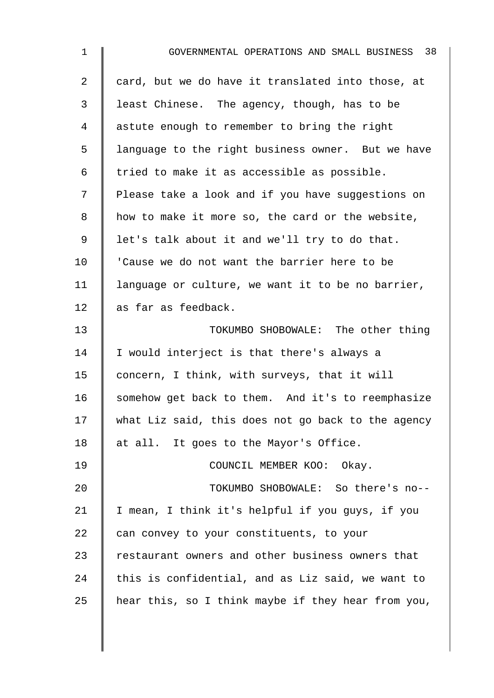| $\mathbf 1$    | GOVERNMENTAL OPERATIONS AND SMALL BUSINESS 38      |
|----------------|----------------------------------------------------|
| $\overline{2}$ | card, but we do have it translated into those, at  |
| 3              | least Chinese. The agency, though, has to be       |
| 4              | astute enough to remember to bring the right       |
| 5              | language to the right business owner. But we have  |
| 6              | tried to make it as accessible as possible.        |
| 7              | Please take a look and if you have suggestions on  |
| 8              | how to make it more so, the card or the website,   |
| 9              | let's talk about it and we'll try to do that.      |
| 10             | 'Cause we do not want the barrier here to be       |
| 11             | language or culture, we want it to be no barrier,  |
| 12             | as far as feedback.                                |
| 13             | TOKUMBO SHOBOWALE: The other thing                 |
| 14             | I would interject is that there's always a         |
| 15             | concern, I think, with surveys, that it will       |
| 16             | somehow get back to them. And it's to reemphasize  |
| 17             | what Liz said, this does not go back to the agency |
| 18             | at all. It goes to the Mayor's Office.             |
| 19             | COUNCIL MEMBER KOO: Okay.                          |
| 20             | TOKUMBO SHOBOWALE: So there's no--                 |
| 21             | I mean, I think it's helpful if you guys, if you   |
| 22             | can convey to your constituents, to your           |
| 23             | restaurant owners and other business owners that   |
| 24             | this is confidential, and as Liz said, we want to  |
| 25             | hear this, so I think maybe if they hear from you, |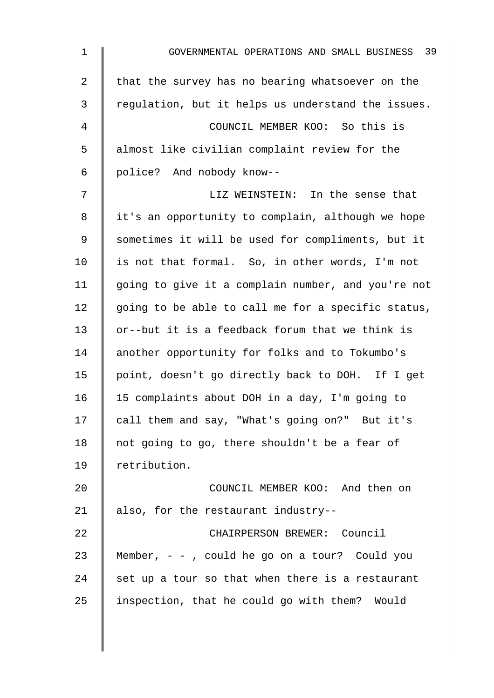| $\mathbf 1$    | 39<br>GOVERNMENTAL OPERATIONS AND SMALL BUSINESS   |
|----------------|----------------------------------------------------|
| $\overline{2}$ | that the survey has no bearing whatsoever on the   |
| 3              | regulation, but it helps us understand the issues. |
| 4              | COUNCIL MEMBER KOO: So this is                     |
| 5              | almost like civilian complaint review for the      |
| 6              | police? And nobody know--                          |
| 7              | LIZ WEINSTEIN: In the sense that                   |
| 8              | it's an opportunity to complain, although we hope  |
| 9              | sometimes it will be used for compliments, but it  |
| 10             | is not that formal. So, in other words, I'm not    |
| 11             | going to give it a complain number, and you're not |
| 12             | going to be able to call me for a specific status, |
| 13             | or--but it is a feedback forum that we think is    |
| 14             | another opportunity for folks and to Tokumbo's     |
| 15             | point, doesn't go directly back to DOH. If I get   |
| 16             | 15 complaints about DOH in a day, I'm going to     |
| 17             | call them and say, "What's going on?" But it's     |
| 18             | not going to go, there shouldn't be a fear of      |
| 19             | retribution.                                       |
| 20             | COUNCIL MEMBER KOO: And then on                    |
| 21             | also, for the restaurant industry--                |
| 22             | CHAIRPERSON BREWER: Council                        |
| 23             | Member, $-$ , could he go on a tour? Could you     |
| 24             | set up a tour so that when there is a restaurant   |
| 25             | inspection, that he could go with them? Would      |
|                |                                                    |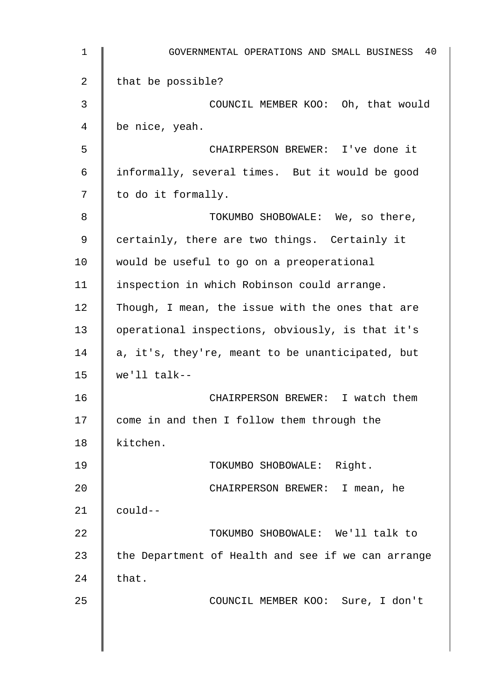| 1  | 40<br>GOVERNMENTAL OPERATIONS AND SMALL BUSINESS   |
|----|----------------------------------------------------|
| 2  | that be possible?                                  |
| 3  | COUNCIL MEMBER KOO: Oh, that would                 |
| 4  | be nice, yeah.                                     |
| 5  | CHAIRPERSON BREWER: I've done it                   |
| 6  | informally, several times. But it would be good    |
| 7  | to do it formally.                                 |
| 8  | TOKUMBO SHOBOWALE: We, so there,                   |
| 9  | certainly, there are two things. Certainly it      |
| 10 | would be useful to go on a preoperational          |
| 11 | inspection in which Robinson could arrange.        |
| 12 | Though, I mean, the issue with the ones that are   |
| 13 | operational inspections, obviously, is that it's   |
| 14 | a, it's, they're, meant to be unanticipated, but   |
| 15 | $we'll$ talk--                                     |
| 16 | CHAIRPERSON BREWER: I watch them                   |
| 17 | come in and then I follow them through the         |
| 18 | kitchen.                                           |
| 19 | TOKUMBO SHOBOWALE: Right.                          |
| 20 | CHAIRPERSON BREWER: I mean, he                     |
| 21 | could--                                            |
| 22 | TOKUMBO SHOBOWALE: We'll talk to                   |
| 23 | the Department of Health and see if we can arrange |
| 24 | that.                                              |
| 25 | COUNCIL MEMBER KOO: Sure, I don't                  |
|    |                                                    |
|    |                                                    |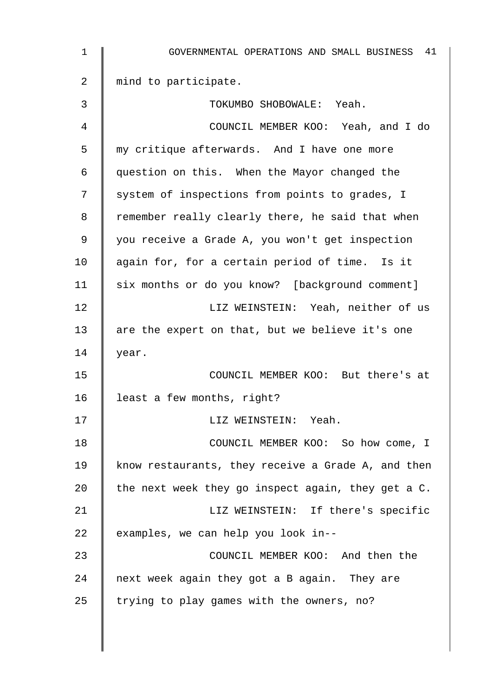| $\mathbf 1$    | GOVERNMENTAL OPERATIONS AND SMALL BUSINESS 41      |
|----------------|----------------------------------------------------|
| $\overline{a}$ | mind to participate.                               |
| 3              | TOKUMBO SHOBOWALE: Yeah.                           |
| 4              | COUNCIL MEMBER KOO: Yeah, and I do                 |
| 5              | my critique afterwards. And I have one more        |
| 6              | question on this. When the Mayor changed the       |
| 7              | system of inspections from points to grades, I     |
| 8              | remember really clearly there, he said that when   |
| 9              | you receive a Grade A, you won't get inspection    |
| 10             | again for, for a certain period of time. Is it     |
| 11             | six months or do you know? [background comment]    |
| 12             | LIZ WEINSTEIN: Yeah, neither of us                 |
| 13             | are the expert on that, but we believe it's one    |
| 14             | year.                                              |
| 15             | COUNCIL MEMBER KOO: But there's at                 |
| 16             | least a few months, right?                         |
| 17             | LIZ WEINSTEIN: Yeah.                               |
| 18             | COUNCIL MEMBER KOO: So how come, I                 |
| 19             | know restaurants, they receive a Grade A, and then |
| 20             | the next week they go inspect again, they get a C. |
| 21             | LIZ WEINSTEIN: If there's specific                 |
| 22             | examples, we can help you look in--                |
| 23             | COUNCIL MEMBER KOO: And then the                   |
| 24             | next week again they got a B again. They are       |
| 25             | trying to play games with the owners, no?          |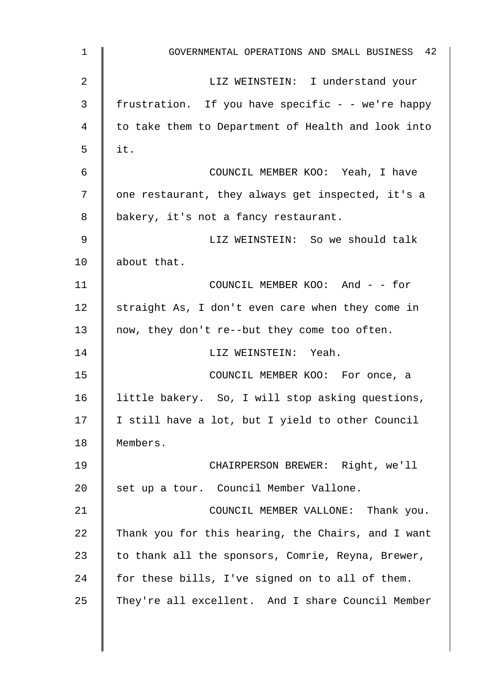| $\mathbf 1$ | GOVERNMENTAL OPERATIONS AND SMALL BUSINESS 42      |
|-------------|----------------------------------------------------|
| 2           | LIZ WEINSTEIN: I understand your                   |
| 3           | frustration. If you have specific - - we're happy  |
| 4           | to take them to Department of Health and look into |
| 5           | it.                                                |
| 6           | COUNCIL MEMBER KOO: Yeah, I have                   |
| 7           | one restaurant, they always get inspected, it's a  |
| 8           | bakery, it's not a fancy restaurant.               |
| 9           | LIZ WEINSTEIN: So we should talk                   |
| 10          | about that.                                        |
| 11          | COUNCIL MEMBER KOO: And - - for                    |
| 12          | straight As, I don't even care when they come in   |
| 13          | now, they don't re--but they come too often.       |
| 14          | LIZ WEINSTEIN: Yeah.                               |
| 15          | COUNCIL MEMBER KOO: For once, a                    |
| 16          | little bakery. So, I will stop asking questions,   |
| 17          | I still have a lot, but I yield to other Council   |
| 18          | Members.                                           |
| 19          | CHAIRPERSON BREWER: Right, we'll                   |
| 20          | set up a tour. Council Member Vallone.             |
| 21          | COUNCIL MEMBER VALLONE: Thank you.                 |
| 22          | Thank you for this hearing, the Chairs, and I want |
| 23          | to thank all the sponsors, Comrie, Reyna, Brewer,  |
| 24          | for these bills, I've signed on to all of them.    |
| 25          | They're all excellent. And I share Council Member  |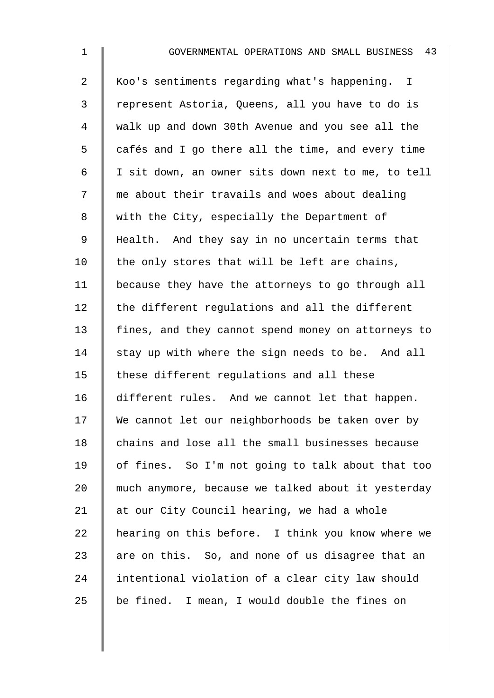| $\mathbf 1$     | GOVERNMENTAL OPERATIONS AND SMALL BUSINESS 43      |
|-----------------|----------------------------------------------------|
| $\overline{2}$  | Koo's sentiments regarding what's happening. I     |
| 3               | represent Astoria, Queens, all you have to do is   |
| 4               | walk up and down 30th Avenue and you see all the   |
| 5               | cafés and I go there all the time, and every time  |
| 6               | I sit down, an owner sits down next to me, to tell |
| 7               | me about their travails and woes about dealing     |
| 8               | with the City, especially the Department of        |
| 9               | Health. And they say in no uncertain terms that    |
| 10 <sub>1</sub> | the only stores that will be left are chains,      |
| 11              | because they have the attorneys to go through all  |
| 12              | the different regulations and all the different    |
| 13              | fines, and they cannot spend money on attorneys to |
| 14              | stay up with where the sign needs to be. And all   |
| 15              | these different regulations and all these          |
| 16              | different rules. And we cannot let that happen.    |
| 17              | We cannot let our neighborhoods be taken over by   |
| 18              | chains and lose all the small businesses because   |
| 19              | of fines. So I'm not going to talk about that too  |
| 20              | much anymore, because we talked about it yesterday |
| 21              | at our City Council hearing, we had a whole        |
| 22              | hearing on this before. I think you know where we  |
| 23              | are on this. So, and none of us disagree that an   |
| 24              | intentional violation of a clear city law should   |

25  $\parallel$  be fined. I mean, I would double the fines on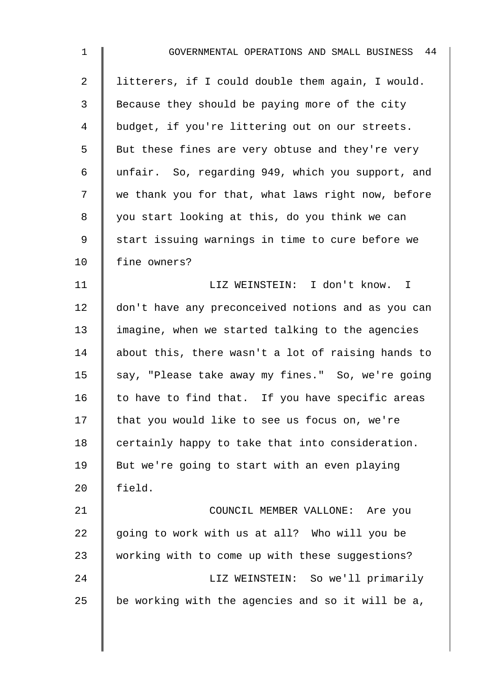| $\mathbf 1$    | GOVERNMENTAL OPERATIONS AND SMALL BUSINESS 44      |
|----------------|----------------------------------------------------|
| $\overline{2}$ | litterers, if I could double them again, I would.  |
| 3              | Because they should be paying more of the city     |
| 4              | budget, if you're littering out on our streets.    |
| 5              | But these fines are very obtuse and they're very   |
| 6              | unfair. So, regarding 949, which you support, and  |
| 7              | we thank you for that, what laws right now, before |
| $\,8\,$        | you start looking at this, do you think we can     |
| 9              | start issuing warnings in time to cure before we   |
| 10             | fine owners?                                       |
| 11             | LIZ WEINSTEIN: I don't know. I                     |
| 12             | don't have any preconceived notions and as you can |
| 13             | imagine, when we started talking to the agencies   |
| 14             | about this, there wasn't a lot of raising hands to |
| 15             | say, "Please take away my fines." So, we're going  |
| 16             | to have to find that. If you have specific areas   |
| 17             | that you would like to see us focus on, we're      |
| 18             | certainly happy to take that into consideration.   |
| 19             | But we're going to start with an even playing      |
| 20             | field.                                             |
| 21             | COUNCIL MEMBER VALLONE: Are you                    |
| 22             | going to work with us at all? Who will you be      |
| 23             | working with to come up with these suggestions?    |
| 24             | LIZ WEINSTEIN: So we'll primarily                  |
| 25             | be working with the agencies and so it will be a,  |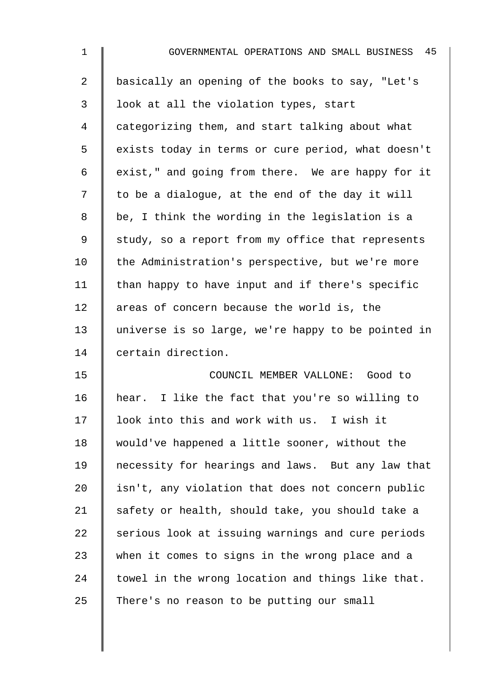| 1              | 45<br>GOVERNMENTAL OPERATIONS AND SMALL BUSINESS   |
|----------------|----------------------------------------------------|
| $\overline{a}$ | basically an opening of the books to say, "Let's   |
| 3              | look at all the violation types, start             |
| $\overline{4}$ | categorizing them, and start talking about what    |
| 5              | exists today in terms or cure period, what doesn't |
| 6              | exist," and going from there. We are happy for it  |
| 7              | to be a dialogue, at the end of the day it will    |
| 8              | be, I think the wording in the legislation is a    |
| 9              | study, so a report from my office that represents  |
| 10             | the Administration's perspective, but we're more   |
| 11             | than happy to have input and if there's specific   |
| 12             | areas of concern because the world is, the         |
| 13             | universe is so large, we're happy to be pointed in |
| 14             | certain direction.                                 |
| 15             | COUNCIL MEMBER VALLONE: Good to                    |
| 16             | hear. I like the fact that you're so willing to    |
| 17             | look into this and work with us. I wish it         |
| 18             | would've happened a little sooner, without the     |
| 19             | necessity for hearings and laws. But any law that  |
| 20             | isn't, any violation that does not concern public  |
| 21             | safety or health, should take, you should take a   |
| 22             | serious look at issuing warnings and cure periods  |
| 23             | when it comes to signs in the wrong place and a    |
| 24             | towel in the wrong location and things like that.  |
| 25             | There's no reason to be putting our small          |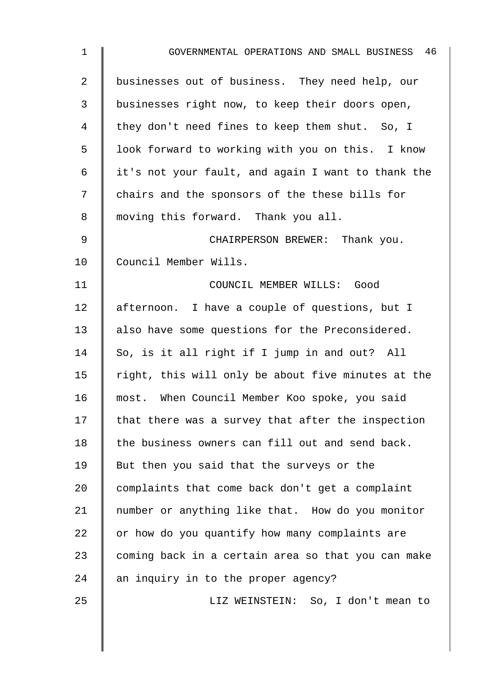| $\mathbf{1}$   | 46<br>GOVERNMENTAL OPERATIONS AND SMALL BUSINESS   |
|----------------|----------------------------------------------------|
| $\overline{2}$ | businesses out of business. They need help, our    |
| 3              | businesses right now, to keep their doors open,    |
| 4              | they don't need fines to keep them shut. So, I     |
| 5              | look forward to working with you on this. I know   |
| 6              | it's not your fault, and again I want to thank the |
| 7              | chairs and the sponsors of the these bills for     |
| 8              | moving this forward. Thank you all.                |
| 9              | CHAIRPERSON BREWER: Thank you.                     |
| 10             | Council Member Wills.                              |
| 11             | COUNCIL MEMBER WILLS: Good                         |
| 12             | afternoon. I have a couple of questions, but I     |
| 13             | also have some questions for the Preconsidered.    |
| 14             | So, is it all right if I jump in and out? All      |
| 15             | right, this will only be about five minutes at the |
| 16             | most. When Council Member Koo spoke, you said      |
| 17             | that there was a survey that after the inspection  |
| 18             | the business owners can fill out and send back.    |
| 19             | But then you said that the surveys or the          |
| 20             | complaints that come back don't get a complaint    |
| 21             | number or anything like that. How do you monitor   |
| 22             | or how do you quantify how many complaints are     |
| 23             | coming back in a certain area so that you can make |
| 24             | an inquiry in to the proper agency?                |
| 25             | LIZ WEINSTEIN: So, I don't mean to                 |
|                |                                                    |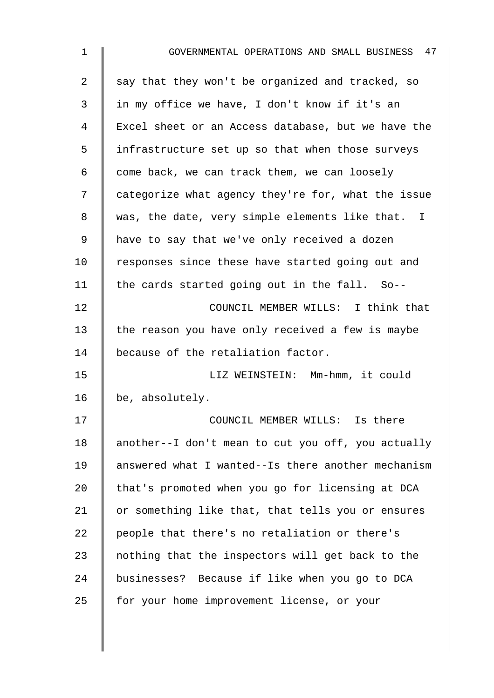| $\mathbf{1}$ | GOVERNMENTAL OPERATIONS AND SMALL BUSINESS 47      |
|--------------|----------------------------------------------------|
| 2            | say that they won't be organized and tracked, so   |
| 3            | in my office we have, I don't know if it's an      |
| 4            | Excel sheet or an Access database, but we have the |
| 5            | infrastructure set up so that when those surveys   |
| 6            | come back, we can track them, we can loosely       |
| 7            | categorize what agency they're for, what the issue |
| 8            | was, the date, very simple elements like that. I   |
| 9            | have to say that we've only received a dozen       |
| 10           | responses since these have started going out and   |
| 11           | the cards started going out in the fall. So--      |
| 12           | COUNCIL MEMBER WILLS: I think that                 |
| 13           | the reason you have only received a few is maybe   |
| 14           | because of the retaliation factor.                 |
| 15           | LIZ WEINSTEIN: Mm-hmm, it could                    |
| 16           | be, absolutely.                                    |
| 17           | COUNCIL MEMBER WILLS: Is there                     |
| 18           | another--I don't mean to cut you off, you actually |
| 19           | answered what I wanted--Is there another mechanism |
| 20           | that's promoted when you go for licensing at DCA   |
| 21           | or something like that, that tells you or ensures  |
| 22           | people that there's no retaliation or there's      |
| 23           | nothing that the inspectors will get back to the   |
| 24           | businesses? Because if like when you go to DCA     |
| 25           | for your home improvement license, or your         |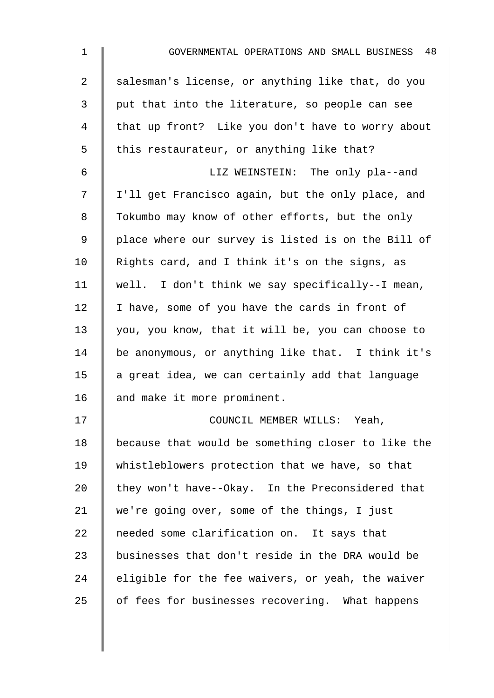| $\mathbf{1}$   | GOVERNMENTAL OPERATIONS AND SMALL BUSINESS 48      |
|----------------|----------------------------------------------------|
| $\overline{a}$ | salesman's license, or anything like that, do you  |
| 3              | put that into the literature, so people can see    |
| 4              | that up front? Like you don't have to worry about  |
| 5              | this restaurateur, or anything like that?          |
| 6              | LIZ WEINSTEIN: The only pla--and                   |
| 7              | I'll get Francisco again, but the only place, and  |
| 8              | Tokumbo may know of other efforts, but the only    |
| 9              | place where our survey is listed is on the Bill of |
| 10             | Rights card, and I think it's on the signs, as     |
| 11             | well. I don't think we say specifically--I mean,   |
| 12             | I have, some of you have the cards in front of     |
| 13             | you, you know, that it will be, you can choose to  |
| 14             | be anonymous, or anything like that. I think it's  |
| 15             | a great idea, we can certainly add that language   |
| 16             | and make it more prominent.                        |
| 17             | COUNCIL MEMBER WILLS: Yeah,                        |
| 18             | because that would be something closer to like the |
| 19             | whistleblowers protection that we have, so that    |
| 20             | they won't have--Okay. In the Preconsidered that   |
| 21             | we're going over, some of the things, I just       |
| 22             | needed some clarification on. It says that         |
| 23             | businesses that don't reside in the DRA would be   |
| 24             | eligible for the fee waivers, or yeah, the waiver  |
| 25             | of fees for businesses recovering. What happens    |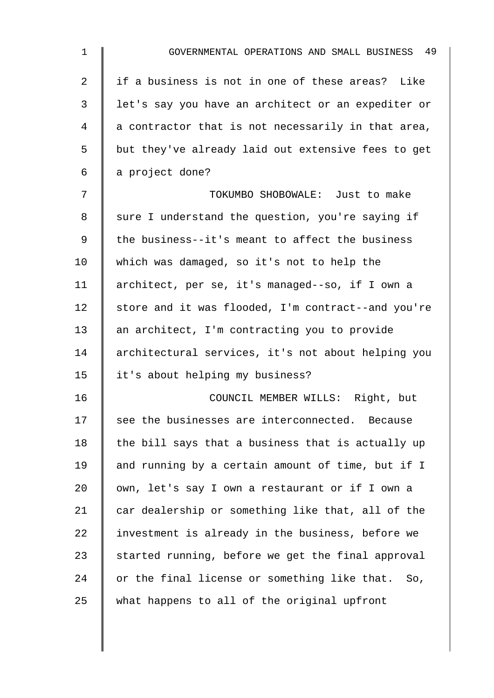| $\mathbf 1$ | GOVERNMENTAL OPERATIONS AND SMALL BUSINESS 49      |
|-------------|----------------------------------------------------|
| 2           | if a business is not in one of these areas? Like   |
| 3           | let's say you have an architect or an expediter or |
| 4           | a contractor that is not necessarily in that area, |
| 5           | but they've already laid out extensive fees to get |
| 6           | a project done?                                    |
| 7           | TOKUMBO SHOBOWALE: Just to make                    |
| 8           | sure I understand the question, you're saying if   |
| 9           | the business--it's meant to affect the business    |
| 10          | which was damaged, so it's not to help the         |
| 11          | architect, per se, it's managed--so, if I own a    |
| 12          | store and it was flooded, I'm contract--and you're |
| 13          | an architect, I'm contracting you to provide       |
| 14          | architectural services, it's not about helping you |
| 15          | it's about helping my business?                    |
| 16          | COUNCIL MEMBER WILLS: Right, but                   |
| 17          | see the businesses are interconnected. Because     |
| 18          | the bill says that a business that is actually up  |
| 19          | and running by a certain amount of time, but if I  |
| 20          | own, let's say I own a restaurant or if I own a    |
| 21          | car dealership or something like that, all of the  |
| 22          | investment is already in the business, before we   |
| 23          | started running, before we get the final approval  |
| 24          | or the final license or something like that. So,   |
| 25          | what happens to all of the original upfront        |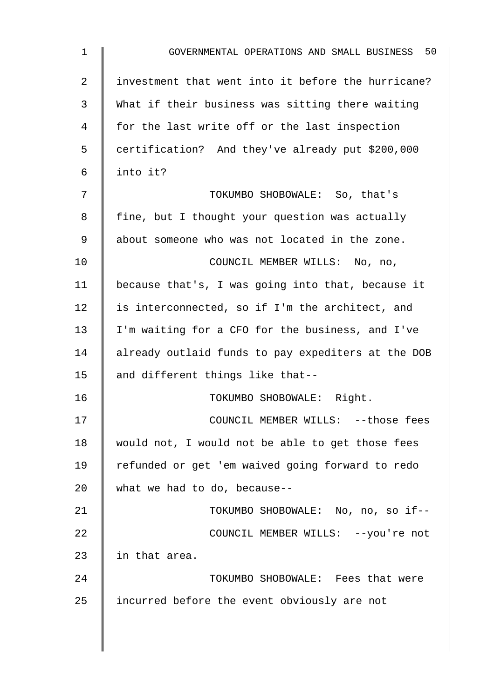| $\mathbf 1$ | GOVERNMENTAL OPERATIONS AND SMALL BUSINESS 50      |
|-------------|----------------------------------------------------|
| 2           | investment that went into it before the hurricane? |
| 3           | What if their business was sitting there waiting   |
| 4           | for the last write off or the last inspection      |
| 5           | certification? And they've already put \$200,000   |
| 6           | into it?                                           |
| 7           | TOKUMBO SHOBOWALE: So, that's                      |
| 8           | fine, but I thought your question was actually     |
| 9           | about someone who was not located in the zone.     |
| 10          | COUNCIL MEMBER WILLS: No, no,                      |
| 11          | because that's, I was going into that, because it  |
| 12          | is interconnected, so if I'm the architect, and    |
| 13          | I'm waiting for a CFO for the business, and I've   |
| 14          | already outlaid funds to pay expediters at the DOB |
| 15          | and different things like that--                   |
| 16          | TOKUMBO SHOBOWALE: Right.                          |
| 17          | COUNCIL MEMBER WILLS: --those fees                 |
| 18          | would not, I would not be able to get those fees   |
| 19          | refunded or get 'em waived going forward to redo   |
| 20          | what we had to do, because--                       |
| 21          | TOKUMBO SHOBOWALE: No, no, so if--                 |
| 22          | COUNCIL MEMBER WILLS: --you're not                 |
| 23          | in that area.                                      |
| 24          | TOKUMBO SHOBOWALE: Fees that were                  |
| 25          | incurred before the event obviously are not        |
|             |                                                    |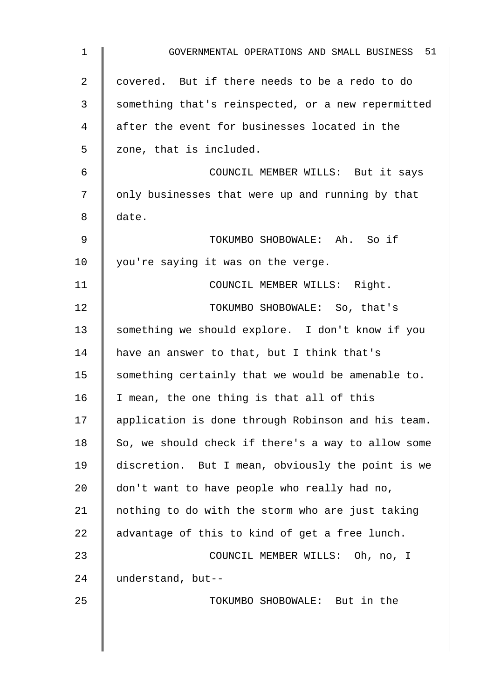| $\mathbf 1$    | GOVERNMENTAL OPERATIONS AND SMALL BUSINESS 51      |
|----------------|----------------------------------------------------|
| $\overline{a}$ | covered. But if there needs to be a redo to do     |
| 3              | something that's reinspected, or a new repermitted |
| 4              | after the event for businesses located in the      |
| 5              | zone, that is included.                            |
| 6              | COUNCIL MEMBER WILLS: But it says                  |
| 7              | only businesses that were up and running by that   |
| 8              | date.                                              |
| $\mathsf 9$    | TOKUMBO SHOBOWALE: Ah. So if                       |
| 10             | you're saying it was on the verge.                 |
| 11             | COUNCIL MEMBER WILLS: Right.                       |
| 12             | TOKUMBO SHOBOWALE: So, that's                      |
| 13             | something we should explore. I don't know if you   |
| 14             | have an answer to that, but I think that's         |
| 15             | something certainly that we would be amenable to.  |
| 16             | I mean, the one thing is that all of this          |
| 17             | application is done through Robinson and his team. |
| 18             | So, we should check if there's a way to allow some |
| 19             | discretion. But I mean, obviously the point is we  |
| 20             | don't want to have people who really had no,       |
| 21             | nothing to do with the storm who are just taking   |
| 22             | advantage of this to kind of get a free lunch.     |
| 23             | COUNCIL MEMBER WILLS: Oh, no, I                    |
| 24             | understand, but--                                  |
| 25             | TOKUMBO SHOBOWALE: But in the                      |
|                |                                                    |
|                |                                                    |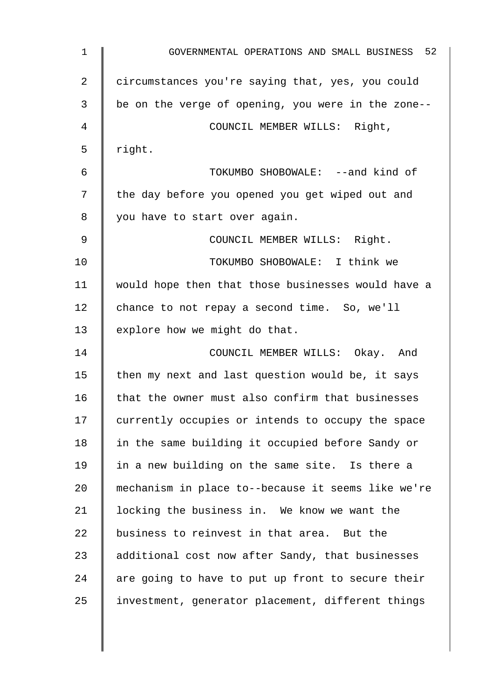| $\mathbf{1}$   | GOVERNMENTAL OPERATIONS AND SMALL BUSINESS 52      |
|----------------|----------------------------------------------------|
| $\overline{2}$ | circumstances you're saying that, yes, you could   |
| 3              | be on the verge of opening, you were in the zone-- |
| 4              | COUNCIL MEMBER WILLS: Right,                       |
| 5              | right.                                             |
| 6              | TOKUMBO SHOBOWALE: --and kind of                   |
| 7              | the day before you opened you get wiped out and    |
| 8              | you have to start over again.                      |
| 9              | COUNCIL MEMBER WILLS: Right.                       |
| 10             | TOKUMBO SHOBOWALE: I think we                      |
| 11             | would hope then that those businesses would have a |
| 12             | chance to not repay a second time. So, we'll       |
| 13             | explore how we might do that.                      |
| 14             | COUNCIL MEMBER WILLS: Okay. And                    |
| 15             | then my next and last question would be, it says   |
| 16             | that the owner must also confirm that businesses   |
| 17             | currently occupies or intends to occupy the space  |
| 18             | in the same building it occupied before Sandy or   |
| 19             | in a new building on the same site. Is there a     |
| 20             | mechanism in place to--because it seems like we're |
| 21             | locking the business in. We know we want the       |
| 22             | business to reinvest in that area. But the         |
| 23             | additional cost now after Sandy, that businesses   |
| 24             | are going to have to put up front to secure their  |
| 25             | investment, generator placement, different things  |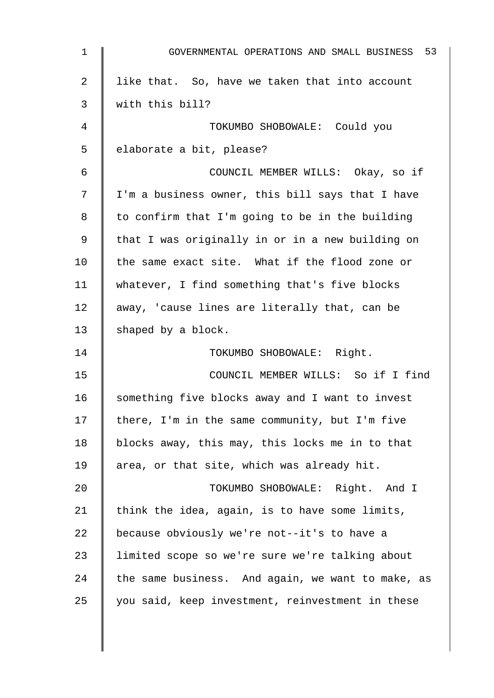| 1  | 53<br>GOVERNMENTAL OPERATIONS AND SMALL BUSINESS  |
|----|---------------------------------------------------|
| 2  | like that. So, have we taken that into account    |
| 3  | with this bill?                                   |
| 4  | TOKUMBO SHOBOWALE: Could you                      |
| 5  | elaborate a bit, please?                          |
| 6  | COUNCIL MEMBER WILLS: Okay, so if                 |
| 7  | I'm a business owner, this bill says that I have  |
| 8  | to confirm that I'm going to be in the building   |
| 9  | that I was originally in or in a new building on  |
| 10 | the same exact site. What if the flood zone or    |
| 11 | whatever, I find something that's five blocks     |
| 12 | away, 'cause lines are literally that, can be     |
| 13 | shaped by a block.                                |
| 14 | TOKUMBO SHOBOWALE: Right.                         |
| 15 | COUNCIL MEMBER WILLS: So if I find                |
| 16 | something five blocks away and I want to invest   |
| 17 | there, I'm in the same community, but I'm five    |
| 18 | blocks away, this may, this locks me in to that   |
| 19 | area, or that site, which was already hit.        |
| 20 | TOKUMBO SHOBOWALE: Right. And I                   |
| 21 | think the idea, again, is to have some limits,    |
| 22 | because obviously we're not--it's to have a       |
| 23 | limited scope so we're sure we're talking about   |
| 24 | the same business. And again, we want to make, as |
| 25 | you said, keep investment, reinvestment in these  |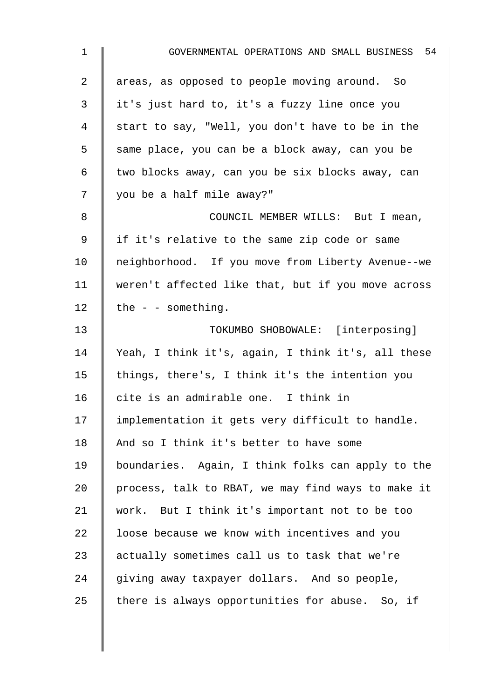| $\mathbf{1}$ | GOVERNMENTAL OPERATIONS AND SMALL BUSINESS 54      |
|--------------|----------------------------------------------------|
| 2            | areas, as opposed to people moving around. So      |
| 3            | it's just hard to, it's a fuzzy line once you      |
| 4            | start to say, "Well, you don't have to be in the   |
| 5            | same place, you can be a block away, can you be    |
| 6            | two blocks away, can you be six blocks away, can   |
| 7            | you be a half mile away?"                          |
| 8            | COUNCIL MEMBER WILLS: But I mean,                  |
| 9            | if it's relative to the same zip code or same      |
| 10           | neighborhood. If you move from Liberty Avenue--we  |
| 11           | weren't affected like that, but if you move across |
| 12           | the $-$ - something.                               |
| 13           | TOKUMBO SHOBOWALE: [interposing]                   |
| 14           | Yeah, I think it's, again, I think it's, all these |
| 15           | things, there's, I think it's the intention you    |
| 16           | cite is an admirable one. I think in               |
| 17           | implementation it gets very difficult to handle.   |
| 18           | And so I think it's better to have some            |
| 19           | boundaries. Again, I think folks can apply to the  |
| 20           | process, talk to RBAT, we may find ways to make it |
| 21           | work. But I think it's important not to be too     |
| 22           | loose because we know with incentives and you      |
| 23           | actually sometimes call us to task that we're      |
| 24           | giving away taxpayer dollars. And so people,       |
| 25           | there is always opportunities for abuse. So, if    |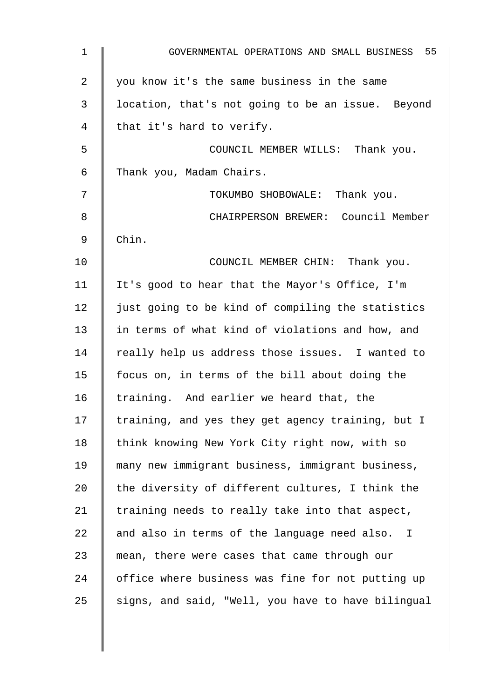| $\mathbf 1$    | GOVERNMENTAL OPERATIONS AND SMALL BUSINESS 55      |
|----------------|----------------------------------------------------|
| $\overline{2}$ | you know it's the same business in the same        |
| 3              | location, that's not going to be an issue. Beyond  |
| 4              | that it's hard to verify.                          |
| 5              | COUNCIL MEMBER WILLS: Thank you.                   |
| 6              | Thank you, Madam Chairs.                           |
| 7              | TOKUMBO SHOBOWALE: Thank you.                      |
| 8              | CHAIRPERSON BREWER: Council Member                 |
| 9              | Chin.                                              |
| 10             | COUNCIL MEMBER CHIN: Thank you.                    |
| 11             | It's good to hear that the Mayor's Office, I'm     |
| 12             | just going to be kind of compiling the statistics  |
| 13             | in terms of what kind of violations and how, and   |
| 14             | really help us address those issues. I wanted to   |
| 15             | focus on, in terms of the bill about doing the     |
| 16             | training. And earlier we heard that, the           |
| 17             | training, and yes they get agency training, but I  |
| 18             | think knowing New York City right now, with so     |
| 19             | many new immigrant business, immigrant business,   |
| 20             | the diversity of different cultures, I think the   |
| 21             | training needs to really take into that aspect,    |
| 22             | and also in terms of the language need also. I     |
| 23             | mean, there were cases that came through our       |
| 24             | office where business was fine for not putting up  |
| 25             | signs, and said, "Well, you have to have bilingual |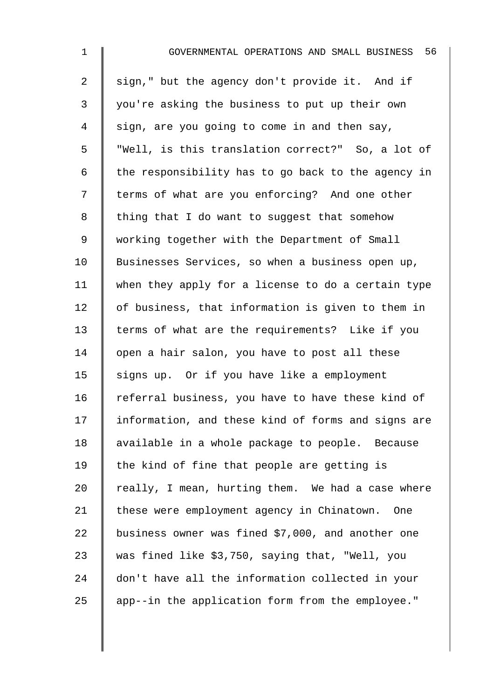| $\mathbf{1}$   | 56<br>GOVERNMENTAL OPERATIONS AND SMALL BUSINESS   |
|----------------|----------------------------------------------------|
| $\overline{2}$ | sign," but the agency don't provide it. And if     |
| 3              | you're asking the business to put up their own     |
| 4              | sign, are you going to come in and then say,       |
| 5              | "Well, is this translation correct?" So, a lot of  |
| 6              | the responsibility has to go back to the agency in |
| 7              | terms of what are you enforcing? And one other     |
| 8              | thing that I do want to suggest that somehow       |
| 9              | working together with the Department of Small      |
| 10             | Businesses Services, so when a business open up,   |
| 11             | when they apply for a license to do a certain type |
| 12             | of business, that information is given to them in  |
| 13             | terms of what are the requirements? Like if you    |
| 14             | open a hair salon, you have to post all these      |
| 15             | signs up. Or if you have like a employment         |
| 16             | referral business, you have to have these kind of  |
| 17             | information, and these kind of forms and signs are |
| 18             | available in a whole package to people. Because    |
| 19             | the kind of fine that people are getting is        |
| 20             | really, I mean, hurting them. We had a case where  |
| 21             | these were employment agency in Chinatown. One     |
| 22             | business owner was fined \$7,000, and another one  |
| 23             | was fined like \$3,750, saying that, "Well, you    |
| 24             | don't have all the information collected in your   |
| 25             | app--in the application form from the employee."   |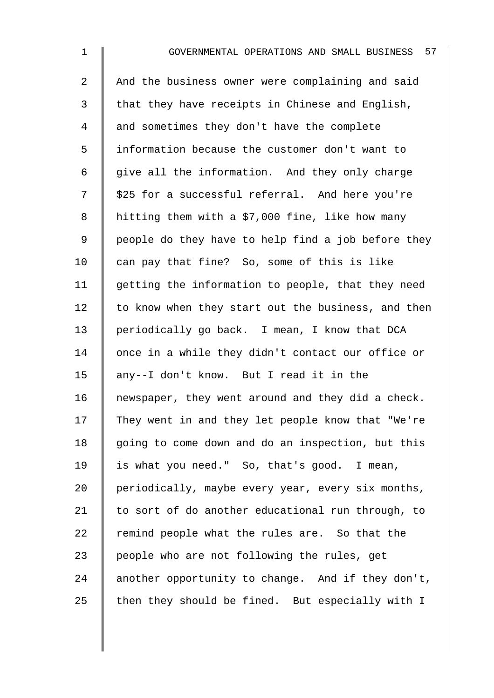2 And the business owner were complaining and said  $3$  | that they have receipts in Chinese and English, 4 and sometimes they don't have the complete 5 information because the customer don't want to  $6$  give all the information. And they only charge  $7 \parallel$  \$25 for a successful referral. And here you're 8 | hitting them with a \$7,000 fine, like how many 9 | people do they have to help find a job before they 10  $\parallel$  can pay that fine? So, some of this is like  $11$  getting the information to people, that they need  $12$  to know when they start out the business, and then 13 | periodically go back. I mean, I know that DCA 14 once in a while they didn't contact our office or 15 any--I don't know. But I read it in the  $16$  newspaper, they went around and they did a check. 17 They went in and they let people know that "We're  $18$  | going to come down and do an inspection, but this 19 | is what you need." So, that's good. I mean, 20 | periodically, maybe every year, every six months, 21  $\parallel$  to sort of do another educational run through, to 22  $\parallel$  remind people what the rules are. So that the 23  $\parallel$  people who are not following the rules, get 24 another opportunity to change. And if they don't, 25  $\parallel$  then they should be fined. But especially with I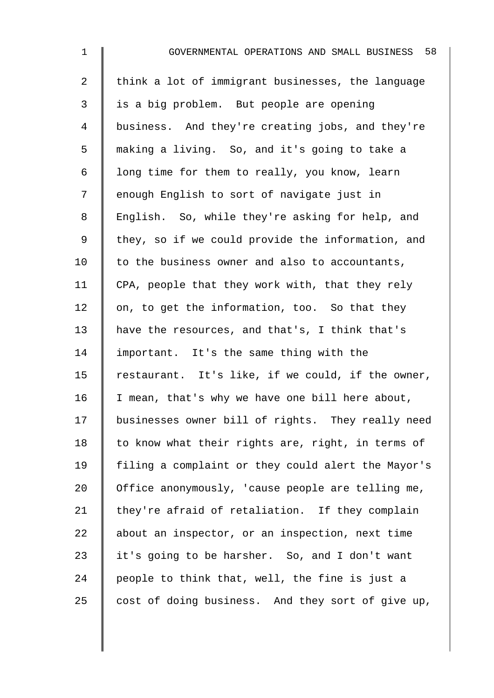| $\mathbf{1}$   | GOVERNMENTAL OPERATIONS AND SMALL BUSINESS 58      |
|----------------|----------------------------------------------------|
| $\overline{2}$ | think a lot of immigrant businesses, the language  |
| 3              | is a big problem. But people are opening           |
| 4              | business. And they're creating jobs, and they're   |
| 5              | making a living. So, and it's going to take a      |
| 6              | long time for them to really, you know, learn      |
| 7              | enough English to sort of navigate just in         |
| $\,8\,$        | English. So, while they're asking for help, and    |
| 9              | they, so if we could provide the information, and  |
| 10             | to the business owner and also to accountants,     |
| 11             | CPA, people that they work with, that they rely    |
| 12             | on, to get the information, too. So that they      |
| 13             | have the resources, and that's, I think that's     |
| 14             | important. It's the same thing with the            |
| 15             | restaurant. It's like, if we could, if the owner,  |
| 16             | I mean, that's why we have one bill here about,    |
| 17             | businesses owner bill of rights. They really need  |
| 18             | to know what their rights are, right, in terms of  |
| 19             | filing a complaint or they could alert the Mayor's |
| 20             | Office anonymously, 'cause people are telling me,  |
| 21             | they're afraid of retaliation. If they complain    |
| 22             | about an inspector, or an inspection, next time    |
| 23             | it's going to be harsher. So, and I don't want     |
| 24             | people to think that, well, the fine is just a     |
| 25             | cost of doing business. And they sort of give up,  |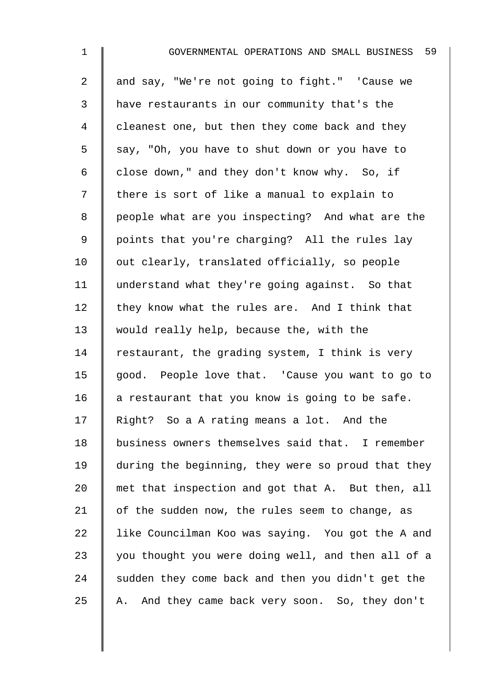| $\mathbf 1$ | 59<br>GOVERNMENTAL OPERATIONS AND SMALL BUSINESS   |
|-------------|----------------------------------------------------|
| 2           | and say, "We're not going to fight." 'Cause we     |
| 3           | have restaurants in our community that's the       |
| 4           | cleanest one, but then they come back and they     |
| 5           | say, "Oh, you have to shut down or you have to     |
| 6           | close down," and they don't know why. So, if       |
| 7           | there is sort of like a manual to explain to       |
| 8           | people what are you inspecting? And what are the   |
| 9           | points that you're charging? All the rules lay     |
| 10          | out clearly, translated officially, so people      |
| 11          | understand what they're going against. So that     |
| 12          | they know what the rules are. And I think that     |
| 13          | would really help, because the, with the           |
| 14          | restaurant, the grading system, I think is very    |
| 15          | good. People love that. 'Cause you want to go to   |
| 16          | a restaurant that you know is going to be safe.    |
| 17          | Right? So a A rating means a lot. And the          |
| 18          | business owners themselves said that. I remember   |
| 19          | during the beginning, they were so proud that they |
| 20          | met that inspection and got that A. But then, all  |
| 21          | of the sudden now, the rules seem to change, as    |
| 22          | like Councilman Koo was saying. You got the A and  |
| 23          | you thought you were doing well, and then all of a |
| 24          | sudden they come back and then you didn't get the  |
| 25          | And they came back very soon. So, they don't<br>Α. |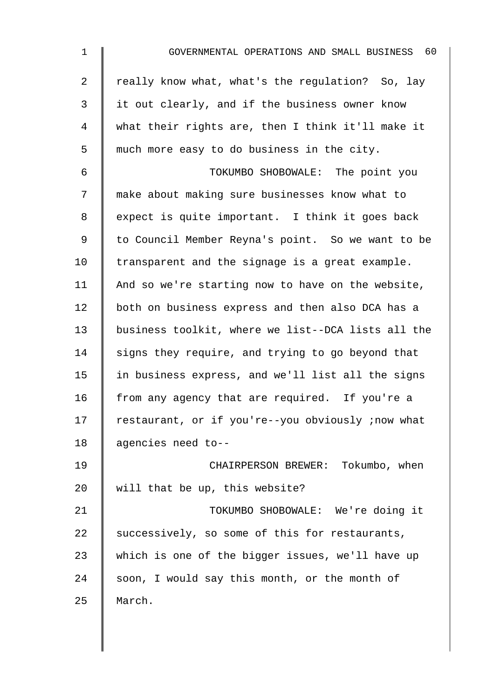| $\mathbf{1}$   | GOVERNMENTAL OPERATIONS AND SMALL BUSINESS 60      |
|----------------|----------------------------------------------------|
| $\overline{2}$ | really know what, what's the regulation? So, lay   |
| 3              | it out clearly, and if the business owner know     |
| 4              | what their rights are, then I think it'll make it  |
| 5              | much more easy to do business in the city.         |
| 6              | TOKUMBO SHOBOWALE: The point you                   |
| 7              | make about making sure businesses know what to     |
| 8              | expect is quite important. I think it goes back    |
| 9              | to Council Member Reyna's point. So we want to be  |
| 10             | transparent and the signage is a great example.    |
| 11             | And so we're starting now to have on the website,  |
| 12             | both on business express and then also DCA has a   |
| 13             | business toolkit, where we list--DCA lists all the |
| 14             | signs they require, and trying to go beyond that   |
| 15             | in business express, and we'll list all the signs  |
| 16             | from any agency that are required. If you're a     |
| 17             | restaurant, or if you're--you obviously ; now what |
| 18             | agencies need to--                                 |
| 19             | CHAIRPERSON BREWER: Tokumbo, when                  |
| 20             | will that be up, this website?                     |
| 21             | TOKUMBO SHOBOWALE: We're doing it                  |
| 22             | successively, so some of this for restaurants,     |
| 23             | which is one of the bigger issues, we'll have up   |
| 24             | soon, I would say this month, or the month of      |
| 25             | March.                                             |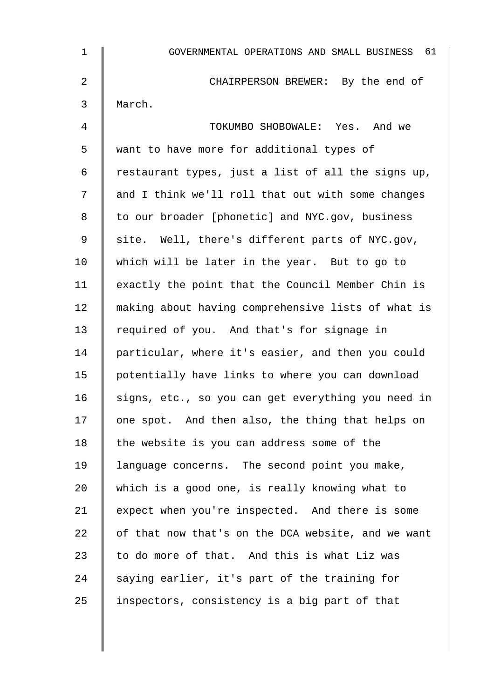| 1  | GOVERNMENTAL OPERATIONS AND SMALL BUSINESS 61      |
|----|----------------------------------------------------|
| 2  | CHAIRPERSON BREWER: By the end of                  |
| 3  | March.                                             |
| 4  | TOKUMBO SHOBOWALE: Yes. And we                     |
| 5  | want to have more for additional types of          |
| 6  | restaurant types, just a list of all the signs up, |
| 7  | and I think we'll roll that out with some changes  |
| 8  | to our broader [phonetic] and NYC.gov, business    |
| 9  | site. Well, there's different parts of NYC.gov,    |
| 10 | which will be later in the year. But to go to      |
| 11 | exactly the point that the Council Member Chin is  |
| 12 | making about having comprehensive lists of what is |
| 13 | required of you. And that's for signage in         |
| 14 | particular, where it's easier, and then you could  |
| 15 | potentially have links to where you can download   |
| 16 | signs, etc., so you can get everything you need in |
| 17 | one spot. And then also, the thing that helps on   |
| 18 | the website is you can address some of the         |
| 19 | language concerns. The second point you make,      |
| 20 | which is a good one, is really knowing what to     |
| 21 | expect when you're inspected. And there is some    |
| 22 | of that now that's on the DCA website, and we want |
| 23 | to do more of that. And this is what Liz was       |
| 24 | saying earlier, it's part of the training for      |
| 25 | inspectors, consistency is a big part of that      |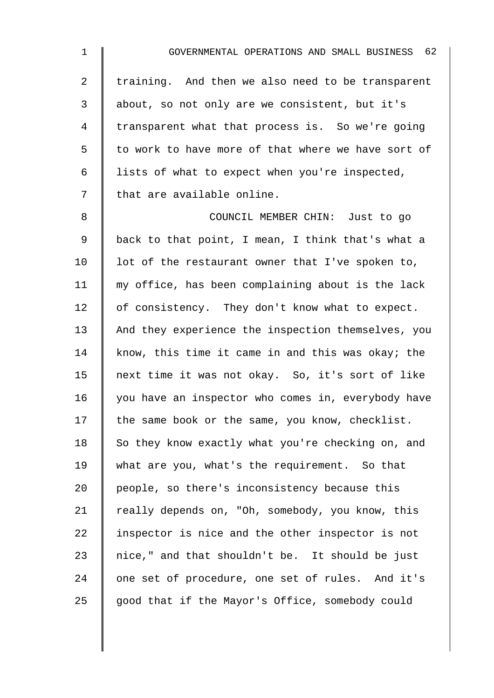| $\mathbf 1$    | GOVERNMENTAL OPERATIONS AND SMALL BUSINESS 62      |
|----------------|----------------------------------------------------|
| $\overline{a}$ | training. And then we also need to be transparent  |
| 3              | about, so not only are we consistent, but it's     |
| 4              | transparent what that process is. So we're going   |
| 5              | to work to have more of that where we have sort of |
| 6              | lists of what to expect when you're inspected,     |
| 7              | that are available online.                         |
| 8              | COUNCIL MEMBER CHIN: Just to go                    |
| $\mathsf 9$    | back to that point, I mean, I think that's what a  |
| 10             | lot of the restaurant owner that I've spoken to,   |
| 11             | my office, has been complaining about is the lack  |
| 12             | of consistency. They don't know what to expect.    |
| 13             | And they experience the inspection themselves, you |
| 14             | know, this time it came in and this was okay; the  |
| 15             | next time it was not okay. So, it's sort of like   |
| 16             | you have an inspector who comes in, everybody have |
| 17             | the same book or the same, you know, checklist.    |
| 18             | So they know exactly what you're checking on, and  |
| 19             | what are you, what's the requirement. So that      |
| 20             | people, so there's inconsistency because this      |
| 21             | really depends on, "Oh, somebody, you know, this   |
| 22             | inspector is nice and the other inspector is not   |
| 23             | nice," and that shouldn't be. It should be just    |
| 24             | one set of procedure, one set of rules. And it's   |
| 25             | good that if the Mayor's Office, somebody could    |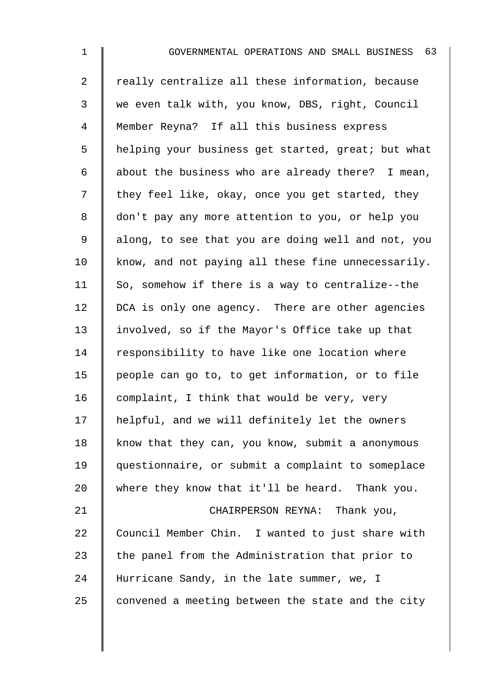2 Treally centralize all these information, because 3 we even talk with, you know, DBS, right, Council 4 Member Reyna? If all this business express 5 | helping your business get started, great; but what 6 | about the business who are already there? I mean,  $7 \parallel$  they feel like, okay, once you get started, they 8 don't pay any more attention to you, or help you 9 | along, to see that you are doing well and not, you  $10$  know, and not paying all these fine unnecessarily.  $11$  So, somehow if there is a way to centralize--the 12 | DCA is only one agency. There are other agencies 13 involved, so if the Mayor's Office take up that 14  $\parallel$  responsibility to have like one location where 15 people can go to, to get information, or to file 16 complaint, I think that would be very, very 17 | helpful, and we will definitely let the owners 18 know that they can, you know, submit a anonymous 19 questionnaire, or submit a complaint to someplace 20 where they know that it'll be heard. Thank you. 21 | CHAIRPERSON REYNA: Thank you, 22 Council Member Chin. I wanted to just share with 23  $\parallel$  the panel from the Administration that prior to

24 Hurricane Sandy, in the late summer, we, I

25  $\parallel$  convened a meeting between the state and the city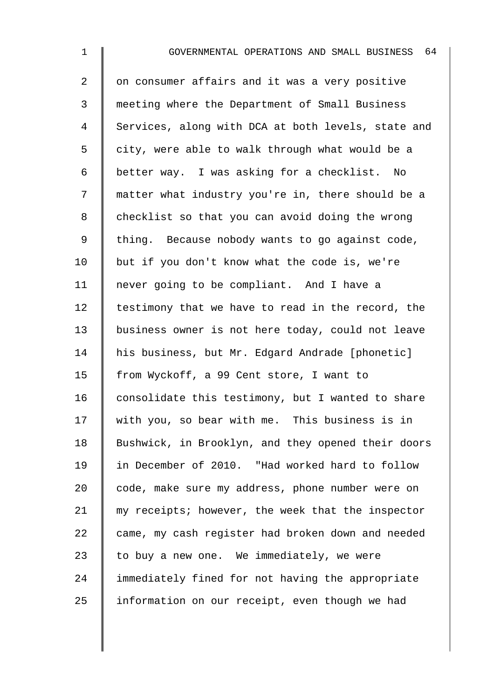2 | on consumer affairs and it was a very positive 3 meeting where the Department of Small Business 4 Services, along with DCA at both levels, state and 5 | city, were able to walk through what would be a 6 better way. I was asking for a checklist. No 7 || matter what industry you're in, there should be a 8 checklist so that you can avoid doing the wrong 9 | thing. Because nobody wants to go against code, 10  $\parallel$  but if you don't know what the code is, we're 11 | never going to be compliant. And I have a  $12$  | testimony that we have to read in the record, the 13 business owner is not here today, could not leave 14 | his business, but Mr. Edgard Andrade [phonetic] 15 | from Wyckoff, a 99 Cent store, I want to 16  $\parallel$  consolidate this testimony, but I wanted to share 17 with you, so bear with me. This business is in 18 | Bushwick, in Brooklyn, and they opened their doors 19 in December of 2010. "Had worked hard to follow 20 code, make sure my address, phone number were on 21 my receipts; however, the week that the inspector  $22$  came, my cash register had broken down and needed  $23$  | to buy a new one. We immediately, we were 24 immediately fined for not having the appropriate  $25$  | information on our receipt, even though we had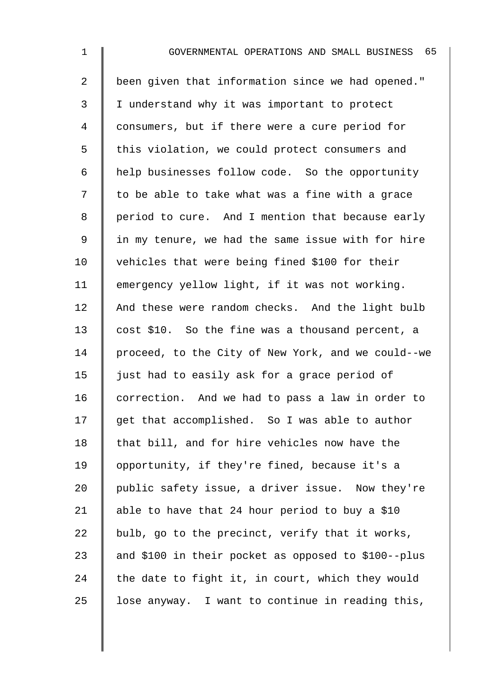| $\mathbf{1}$   | 65<br>GOVERNMENTAL OPERATIONS AND SMALL BUSINESS    |
|----------------|-----------------------------------------------------|
| $\overline{a}$ | been given that information since we had opened."   |
| 3              | I understand why it was important to protect        |
| 4              | consumers, but if there were a cure period for      |
| 5              | this violation, we could protect consumers and      |
| 6              | help businesses follow code. So the opportunity     |
| 7              | to be able to take what was a fine with a grace     |
| 8              | period to cure. And I mention that because early    |
| $\mathsf 9$    | in my tenure, we had the same issue with for hire   |
| 10             | vehicles that were being fined \$100 for their      |
| 11             | emergency yellow light, if it was not working.      |
| 12             | And these were random checks. And the light bulb    |
| 13             | cost \$10. So the fine was a thousand percent, a    |
| 14             | proceed, to the City of New York, and we could--we  |
| 15             | just had to easily ask for a grace period of        |
| 16             | correction. And we had to pass a law in order to    |
| 17             | get that accomplished. So I was able to author      |
| 18             | that bill, and for hire vehicles now have the       |
| 19             | opportunity, if they're fined, because it's a       |
| 20             | public safety issue, a driver issue. Now they're    |
| 21             | able to have that 24 hour period to buy a \$10      |
| 22             | bulb, go to the precinct, verify that it works,     |
| 23             | and \$100 in their pocket as opposed to \$100--plus |
| 24             | the date to fight it, in court, which they would    |
| 25             | lose anyway. I want to continue in reading this,    |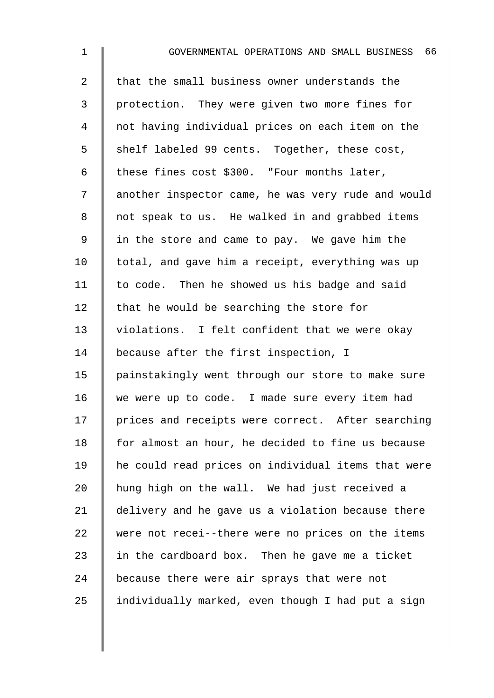| $\mathbf 1$    | 66<br>GOVERNMENTAL OPERATIONS AND SMALL BUSINESS   |
|----------------|----------------------------------------------------|
| $\overline{2}$ | that the small business owner understands the      |
| 3              | protection. They were given two more fines for     |
| 4              | not having individual prices on each item on the   |
| 5              | shelf labeled 99 cents. Together, these cost,      |
| 6              | these fines cost \$300. "Four months later,        |
| 7              | another inspector came, he was very rude and would |
| 8              | not speak to us. He walked in and grabbed items    |
| 9              | in the store and came to pay. We gave him the      |
| 10             | total, and gave him a receipt, everything was up   |
| 11             | to code. Then he showed us his badge and said      |
| 12             | that he would be searching the store for           |
| 13             | violations. I felt confident that we were okay     |
| 14             | because after the first inspection, I              |
| 15             | painstakingly went through our store to make sure  |
| 16             | we were up to code. I made sure every item had     |
| 17             | prices and receipts were correct. After searching  |
| 18             | for almost an hour, he decided to fine us because  |
| 19             | he could read prices on individual items that were |
| 20             | hung high on the wall. We had just received a      |
| 21             | delivery and he gave us a violation because there  |
| 22             | were not recei--there were no prices on the items  |
| 23             | in the cardboard box. Then he gave me a ticket     |
| 24             | because there were air sprays that were not        |
| 25             | individually marked, even though I had put a sign  |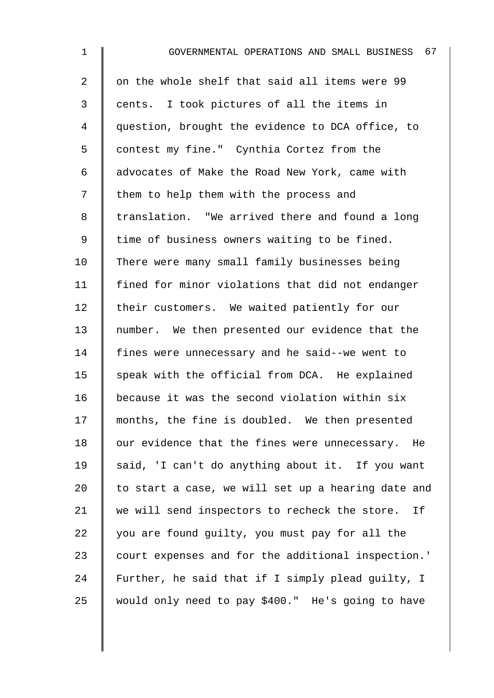| $\mathbf 1$    | GOVERNMENTAL OPERATIONS AND SMALL BUSINESS 67      |
|----------------|----------------------------------------------------|
| $\overline{a}$ | on the whole shelf that said all items were 99     |
| 3              | cents. I took pictures of all the items in         |
| 4              | question, brought the evidence to DCA office, to   |
| 5              | contest my fine." Cynthia Cortez from the          |
| 6              | advocates of Make the Road New York, came with     |
| 7              | them to help them with the process and             |
| 8              | translation. "We arrived there and found a long    |
| 9              | time of business owners waiting to be fined.       |
| 10             | There were many small family businesses being      |
| 11             | fined for minor violations that did not endanger   |
| 12             | their customers. We waited patiently for our       |
| 13             | number. We then presented our evidence that the    |
| 14             | fines were unnecessary and he said--we went to     |
| 15             | speak with the official from DCA. He explained     |
| 16             | because it was the second violation within six     |
| 17             | months, the fine is doubled. We then presented     |
| 18             | our evidence that the fines were unnecessary. He   |
| 19             | said, 'I can't do anything about it. If you want   |
| 20             | to start a case, we will set up a hearing date and |
| 21             | we will send inspectors to recheck the store. If   |
| 22             | you are found guilty, you must pay for all the     |
| 23             | court expenses and for the additional inspection.' |
| 24             | Further, he said that if I simply plead guilty, I  |
| 25             | would only need to pay \$400." He's going to have  |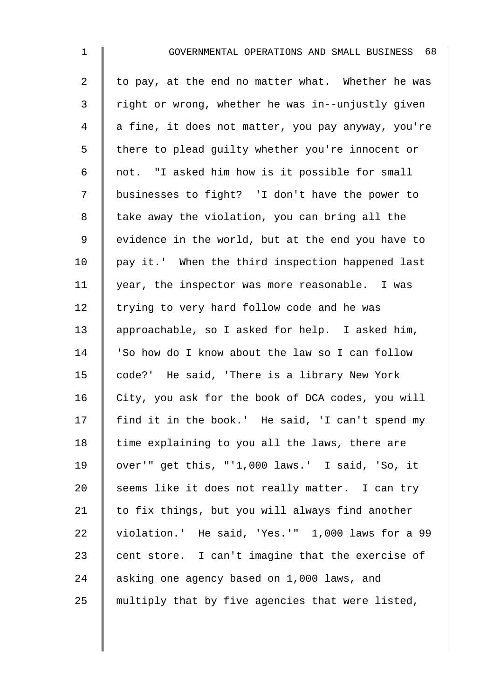| $\mathbf 1$    | GOVERNMENTAL OPERATIONS AND SMALL BUSINESS 68      |
|----------------|----------------------------------------------------|
| $\overline{2}$ | to pay, at the end no matter what. Whether he was  |
| 3              | right or wrong, whether he was in--unjustly given  |
| 4              | a fine, it does not matter, you pay anyway, you're |
| 5              | there to plead guilty whether you're innocent or   |
| 6              | not. "I asked him how is it possible for small     |
| 7              | businesses to fight? 'I don't have the power to    |
| $\,8\,$        | take away the violation, you can bring all the     |
| $\mathsf 9$    | evidence in the world, but at the end you have to  |
| 10             | pay it.' When the third inspection happened last   |
| 11             | year, the inspector was more reasonable. I was     |
| 12             | trying to very hard follow code and he was         |
| 13             | approachable, so I asked for help. I asked him,    |
| 14             | 'So how do I know about the law so I can follow    |
| 15             | code?' He said, 'There is a library New York       |
| 16             | City, you ask for the book of DCA codes, you will  |
| 17             | find it in the book.' He said, 'I can't spend my   |
| 18             | time explaining to you all the laws, there are     |
| 19             | over'" get this, "'1,000 laws.' I said, 'So, it    |
| 20             | seems like it does not really matter. I can try    |
| 21             | to fix things, but you will always find another    |
| 22             | violation.' He said, 'Yes.'" 1,000 laws for a 99   |
| 23             | cent store. I can't imagine that the exercise of   |
| 24             | asking one agency based on 1,000 laws, and         |
| 25             | multiply that by five agencies that were listed,   |
|                |                                                    |
|                |                                                    |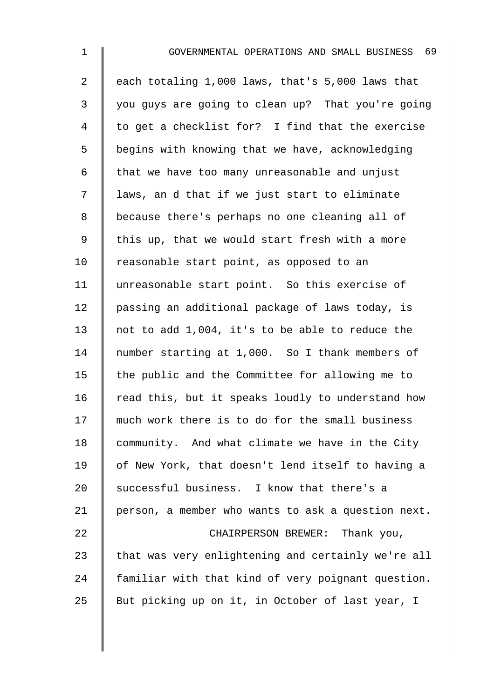2 each totaling 1,000 laws, that's 5,000 laws that 3 you guys are going to clean up? That you're going 4 | to get a checklist for? I find that the exercise 5 | begins with knowing that we have, acknowledging 6  $\parallel$  that we have too many unreasonable and unjust 7 | laws, an d that if we just start to eliminate 8 | because there's perhaps no one cleaning all of 9  $\parallel$  this up, that we would start fresh with a more 10 | reasonable start point, as opposed to an 11 unreasonable start point. So this exercise of 12 | passing an additional package of laws today, is 13 not to add 1,004, it's to be able to reduce the 14 mumber starting at 1,000. So I thank members of 15  $\parallel$  the public and the Committee for allowing me to 16  $\parallel$  read this, but it speaks loudly to understand how 17 much work there is to do for the small business 18 community. And what climate we have in the City 19 | of New York, that doesn't lend itself to having a 20 successful business. I know that there's a 21 | person, a member who wants to ask a question next. 22 **CHAIRPERSON BREWER:** Thank you, 23  $\parallel$  that was very enlightening and certainly we're all 24 familiar with that kind of very poignant question.

25 But picking up on it, in October of last year, I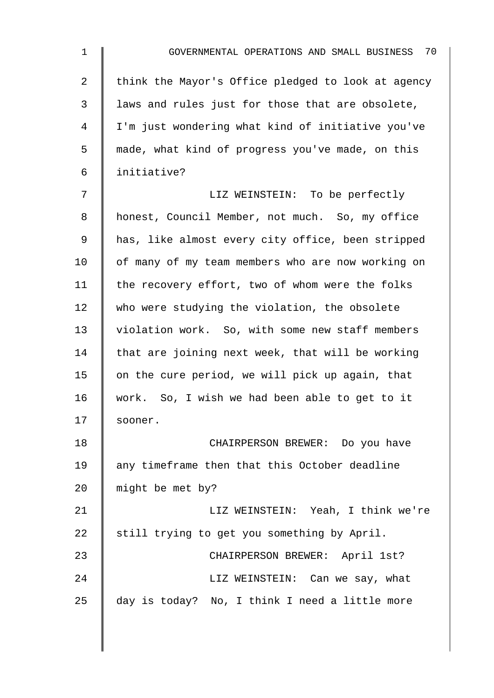| $\mathbf{1}$ | GOVERNMENTAL OPERATIONS AND SMALL BUSINESS 70      |
|--------------|----------------------------------------------------|
| 2            | think the Mayor's Office pledged to look at agency |
| 3            | laws and rules just for those that are obsolete,   |
| 4            | I'm just wondering what kind of initiative you've  |
| 5            | made, what kind of progress you've made, on this   |
| 6            | initiative?                                        |
| 7            | LIZ WEINSTEIN: To be perfectly                     |
| 8            | honest, Council Member, not much. So, my office    |
| 9            | has, like almost every city office, been stripped  |
| 10           | of many of my team members who are now working on  |
| 11           | the recovery effort, two of whom were the folks    |
| 12           | who were studying the violation, the obsolete      |
| 13           | violation work. So, with some new staff members    |
| 14           | that are joining next week, that will be working   |
| 15           | on the cure period, we will pick up again, that    |
| 16           | work. So, I wish we had been able to get to it     |
| 17           | sooner.                                            |
| 18           | CHAIRPERSON BREWER: Do you have                    |
| 19           | any timeframe then that this October deadline      |
| 20           | might be met by?                                   |
| 21           | LIZ WEINSTEIN: Yeah, I think we're                 |
| 22           | still trying to get you something by April.        |
| 23           | CHAIRPERSON BREWER: April 1st?                     |
| 24           | LIZ WEINSTEIN: Can we say, what                    |
| 25           | day is today? No, I think I need a little more     |
|              |                                                    |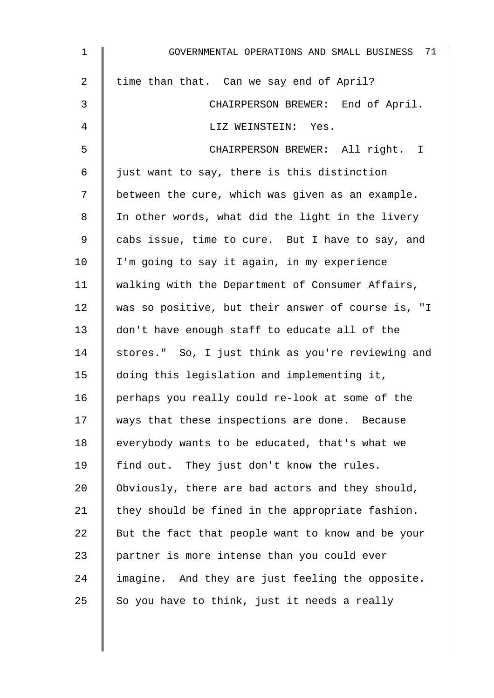| 1              | GOVERNMENTAL OPERATIONS AND SMALL BUSINESS 71      |
|----------------|----------------------------------------------------|
| $\overline{a}$ | time than that. Can we say end of April?           |
| 3              | CHAIRPERSON BREWER: End of April.                  |
| 4              | LIZ WEINSTEIN: Yes.                                |
| 5              | CHAIRPERSON BREWER: All right. I                   |
| 6              | just want to say, there is this distinction        |
| 7              | between the cure, which was given as an example.   |
| 8              | In other words, what did the light in the livery   |
| 9              | cabs issue, time to cure. But I have to say, and   |
| 10             | I'm going to say it again, in my experience        |
| 11             | walking with the Department of Consumer Affairs,   |
| 12             | was so positive, but their answer of course is, "I |
| 13             | don't have enough staff to educate all of the      |
| 14             | stores." So, I just think as you're reviewing and  |
| 15             | doing this legislation and implementing it,        |
| 16             | perhaps you really could re-look at some of the    |
| 17             | ways that these inspections are done. Because      |
| 18             | everybody wants to be educated, that's what we     |
| 19             | find out. They just don't know the rules.          |
| 20             | Obviously, there are bad actors and they should,   |
| 21             | they should be fined in the appropriate fashion.   |
| 22             | But the fact that people want to know and be your  |
| 23             | partner is more intense than you could ever        |
| 24             | imagine. And they are just feeling the opposite.   |
| 25             | So you have to think, just it needs a really       |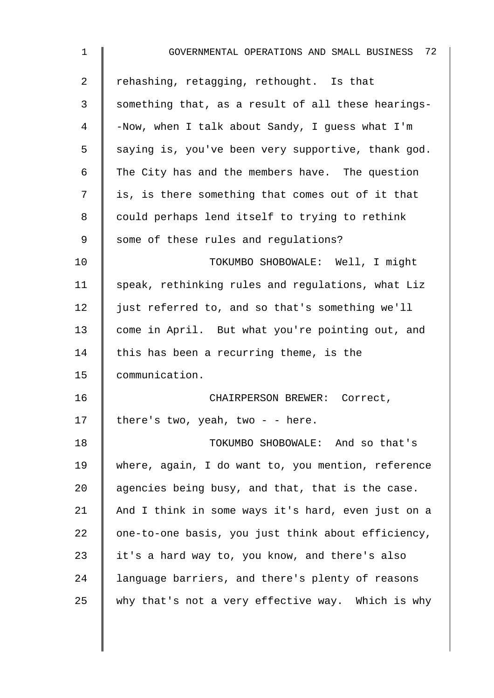| $\mathbf{1}$    | GOVERNMENTAL OPERATIONS AND SMALL BUSINESS 72      |
|-----------------|----------------------------------------------------|
| $\overline{2}$  | rehashing, retagging, rethought. Is that           |
| 3               | something that, as a result of all these hearings- |
| 4               | -Now, when I talk about Sandy, I guess what I'm    |
| 5               | saying is, you've been very supportive, thank god. |
| 6               | The City has and the members have. The question    |
| 7               | is, is there something that comes out of it that   |
| 8               | could perhaps lend itself to trying to rethink     |
| 9               | some of these rules and regulations?               |
| 10 <sub>1</sub> | TOKUMBO SHOBOWALE: Well, I might                   |
| 11              | speak, rethinking rules and regulations, what Liz  |
| 12              | just referred to, and so that's something we'll    |
| 13              | come in April. But what you're pointing out, and   |
| 14              | this has been a recurring theme, is the            |
| 15              | communication.                                     |
| 16              | CHAIRPERSON BREWER: Correct,                       |
| 17              | there's two, yeah, two - - here.                   |
| 18              | TOKUMBO SHOBOWALE: And so that's                   |
| 19              | where, again, I do want to, you mention, reference |
| 20              | agencies being busy, and that, that is the case.   |
| 21              | And I think in some ways it's hard, even just on a |
| 22              | one-to-one basis, you just think about efficiency, |
| 23              | it's a hard way to, you know, and there's also     |
| 24              | language barriers, and there's plenty of reasons   |
| 25              | why that's not a very effective way. Which is why  |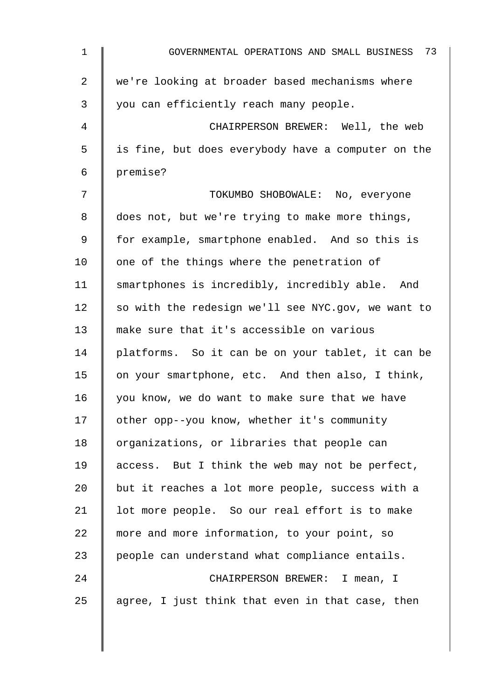| $\mathbf{1}$   | GOVERNMENTAL OPERATIONS AND SMALL BUSINESS 73      |
|----------------|----------------------------------------------------|
| $\overline{a}$ | we're looking at broader based mechanisms where    |
| 3              | you can efficiently reach many people.             |
| 4              | CHAIRPERSON BREWER: Well, the web                  |
| 5              | is fine, but does everybody have a computer on the |
| 6              | premise?                                           |
| 7              | TOKUMBO SHOBOWALE: No, everyone                    |
| 8              | does not, but we're trying to make more things,    |
| 9              | for example, smartphone enabled. And so this is    |
| 10             | one of the things where the penetration of         |
| 11             | smartphones is incredibly, incredibly able. And    |
| 12             | so with the redesign we'll see NYC.gov, we want to |
| 13             | make sure that it's accessible on various          |
| 14             | platforms. So it can be on your tablet, it can be  |
| 15             | on your smartphone, etc. And then also, I think,   |
| 16             | you know, we do want to make sure that we have     |
| 17             | other opp--you know, whether it's community        |
| 18             | organizations, or libraries that people can        |
| 19             | access. But I think the web may not be perfect,    |
| 20             | but it reaches a lot more people, success with a   |
| 21             | lot more people. So our real effort is to make     |
| 22             | more and more information, to your point, so       |
| 23             | people can understand what compliance entails.     |
| 24             | CHAIRPERSON BREWER: I mean, I                      |
| 25             | agree, I just think that even in that case, then   |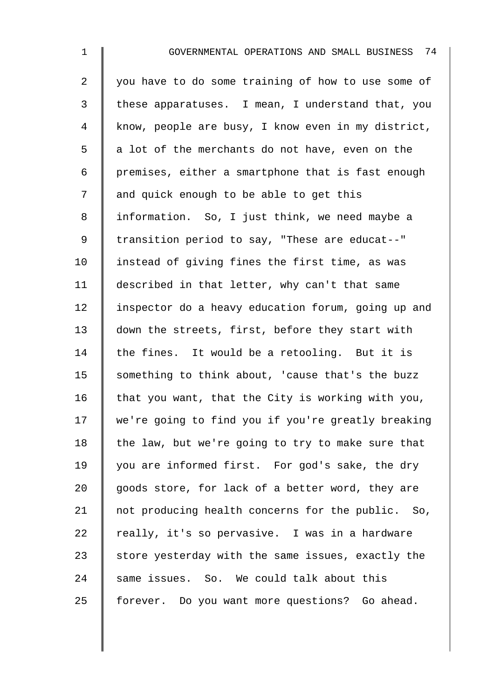2 you have to do some training of how to use some of 3 these apparatuses. I mean, I understand that, you 4 know, people are busy, I know even in my district,  $5 \parallel a$  lot of the merchants do not have, even on the 6 | premises, either a smartphone that is fast enough 7 || and quick enough to be able to get this 8 | information. So, I just think, we need maybe a 9 | transition period to say, "These are educat--" 10 | instead of giving fines the first time, as was 11 described in that letter, why can't that same 12 | inspector do a heavy education forum, going up and 13 | down the streets, first, before they start with 14 the fines. It would be a retooling. But it is 15 something to think about, 'cause that's the buzz 16  $\parallel$  that you want, that the City is working with you, 17 we're going to find you if you're greatly breaking 18  $\parallel$  the law, but we're going to try to make sure that 19 you are informed first. For god's sake, the dry 20  $\parallel$  goods store, for lack of a better word, they are 21 | not producing health concerns for the public. So, 22  $\parallel$  really, it's so pervasive. I was in a hardware 23  $\parallel$  store yesterday with the same issues, exactly the  $24$  same issues. So. We could talk about this 25 | forever. Do you want more questions? Go ahead.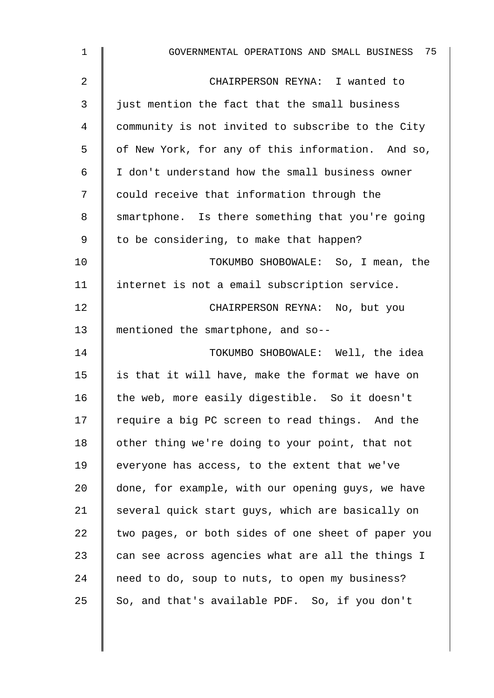| $\mathbf{1}$ | GOVERNMENTAL OPERATIONS AND SMALL BUSINESS 75      |
|--------------|----------------------------------------------------|
| 2            | CHAIRPERSON REYNA: I wanted to                     |
| 3            | just mention the fact that the small business      |
| 4            | community is not invited to subscribe to the City  |
| 5            | of New York, for any of this information. And so,  |
| 6            | I don't understand how the small business owner    |
| 7            | could receive that information through the         |
| 8            | smartphone. Is there something that you're going   |
| 9            | to be considering, to make that happen?            |
| 10           | TOKUMBO SHOBOWALE: So, I mean, the                 |
| 11           | internet is not a email subscription service.      |
| 12           | CHAIRPERSON REYNA: No, but you                     |
| 13           | mentioned the smartphone, and so--                 |
| 14           | TOKUMBO SHOBOWALE: Well, the idea                  |
| 15           | is that it will have, make the format we have on   |
| 16           | the web, more easily digestible. So it doesn't     |
| 17           | require a big PC screen to read things. And the    |
| 18           | other thing we're doing to your point, that not    |
| 19           | everyone has access, to the extent that we've      |
| 20           | done, for example, with our opening guys, we have  |
| 21           | several quick start guys, which are basically on   |
| 22           | two pages, or both sides of one sheet of paper you |
| 23           | can see across agencies what are all the things I  |
| 24           | need to do, soup to nuts, to open my business?     |
| 25           | So, and that's available PDF. So, if you don't     |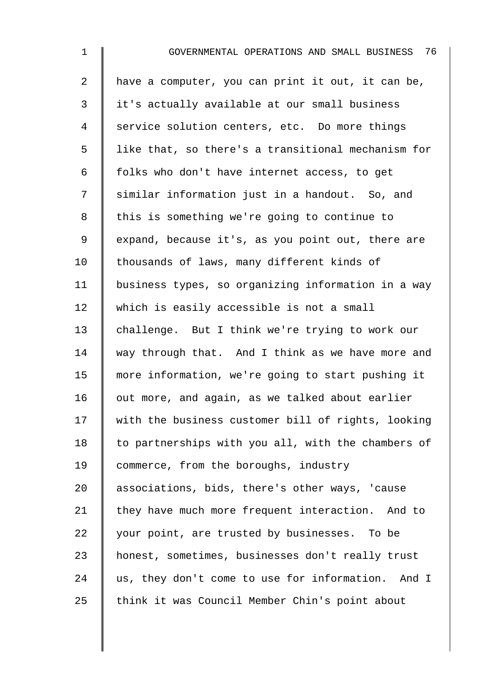| $\mathbf{1}$   | 76<br>GOVERNMENTAL OPERATIONS AND SMALL BUSINESS   |
|----------------|----------------------------------------------------|
| $\overline{2}$ | have a computer, you can print it out, it can be,  |
| 3              | it's actually available at our small business      |
| 4              | service solution centers, etc. Do more things      |
| 5              | like that, so there's a transitional mechanism for |
| 6              | folks who don't have internet access, to get       |
| 7              | similar information just in a handout. So, and     |
| 8              | this is something we're going to continue to       |
| 9              | expand, because it's, as you point out, there are  |
| 10             | thousands of laws, many different kinds of         |
| 11             | business types, so organizing information in a way |
| 12             | which is easily accessible is not a small          |
| 13             | challenge. But I think we're trying to work our    |
| 14             | way through that. And I think as we have more and  |
| 15             | more information, we're going to start pushing it  |
| 16             | out more, and again, as we talked about earlier    |
| 17             | with the business customer bill of rights, looking |
| 18             | to partnerships with you all, with the chambers of |
| 19             | commerce, from the boroughs, industry              |
| 20             | associations, bids, there's other ways, 'cause     |
| 21             | they have much more frequent interaction. And to   |
| 22             | your point, are trusted by businesses. To be       |
| 23             | honest, sometimes, businesses don't really trust   |
| 24             | us, they don't come to use for information. And I  |
| 25             | think it was Council Member Chin's point about     |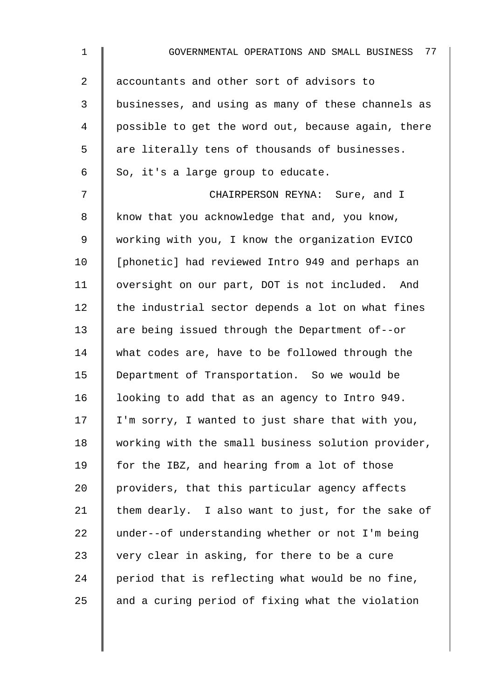| 1              | 77<br>GOVERNMENTAL OPERATIONS AND SMALL BUSINESS   |
|----------------|----------------------------------------------------|
| $\overline{a}$ | accountants and other sort of advisors to          |
| 3              | businesses, and using as many of these channels as |
| 4              | possible to get the word out, because again, there |
| 5              | are literally tens of thousands of businesses.     |
| 6              | So, it's a large group to educate.                 |
| 7              | CHAIRPERSON REYNA: Sure, and I                     |
| 8              | know that you acknowledge that and, you know,      |
| 9              | working with you, I know the organization EVICO    |
| 10             | [phonetic] had reviewed Intro 949 and perhaps an   |
| 11             | oversight on our part, DOT is not included. And    |
| 12             | the industrial sector depends a lot on what fines  |
| 13             | are being issued through the Department of--or     |
| 14             | what codes are, have to be followed through the    |
| 15             | Department of Transportation. So we would be       |
| 16             | looking to add that as an agency to Intro 949.     |
| 17             | I'm sorry, I wanted to just share that with you,   |
| 18             | working with the small business solution provider, |
| 19             | for the IBZ, and hearing from a lot of those       |
| 20             | providers, that this particular agency affects     |
| 21             | them dearly. I also want to just, for the sake of  |
| 22             | under--of understanding whether or not I'm being   |
| 23             | very clear in asking, for there to be a cure       |
| 24             | period that is reflecting what would be no fine,   |
| 25             | and a curing period of fixing what the violation   |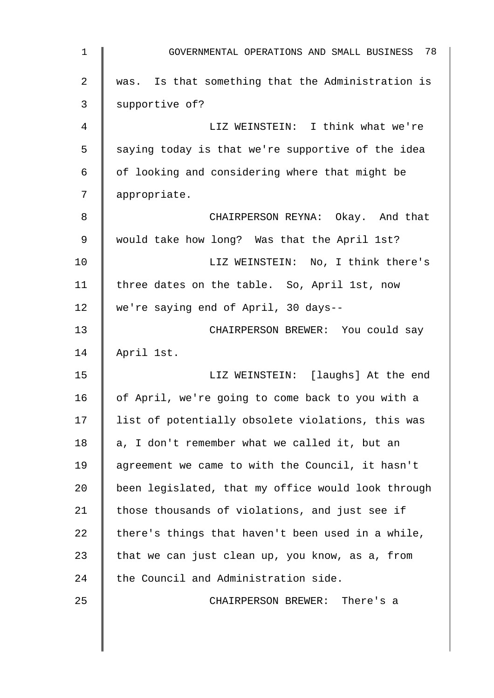| $\mathbf{1}$ | 78<br>GOVERNMENTAL OPERATIONS AND SMALL BUSINESS   |
|--------------|----------------------------------------------------|
| 2            | was. Is that something that the Administration is  |
| 3            | supportive of?                                     |
| 4            | LIZ WEINSTEIN: I think what we're                  |
| 5            | saying today is that we're supportive of the idea  |
| 6            | of looking and considering where that might be     |
| 7            | appropriate.                                       |
| 8            | CHAIRPERSON REYNA: Okay. And that                  |
| 9            | would take how long? Was that the April 1st?       |
| 10           | LIZ WEINSTEIN: No, I think there's                 |
| 11           | three dates on the table. So, April 1st, now       |
| 12           | we're saying end of April, 30 days--               |
| 13           | CHAIRPERSON BREWER: You could say                  |
| 14           | April 1st.                                         |
| 15           | LIZ WEINSTEIN: [laughs] At the end                 |
| 16           | of April, we're going to come back to you with a   |
| 17           | list of potentially obsolete violations, this was  |
| 18           | a, I don't remember what we called it, but an      |
| 19           | agreement we came to with the Council, it hasn't   |
| 20           | been legislated, that my office would look through |
| 21           | those thousands of violations, and just see if     |
| 22           | there's things that haven't been used in a while,  |
| 23           | that we can just clean up, you know, as a, from    |
| 24           | the Council and Administration side.               |
| 25           | CHAIRPERSON BREWER: There's a                      |
|              |                                                    |
|              |                                                    |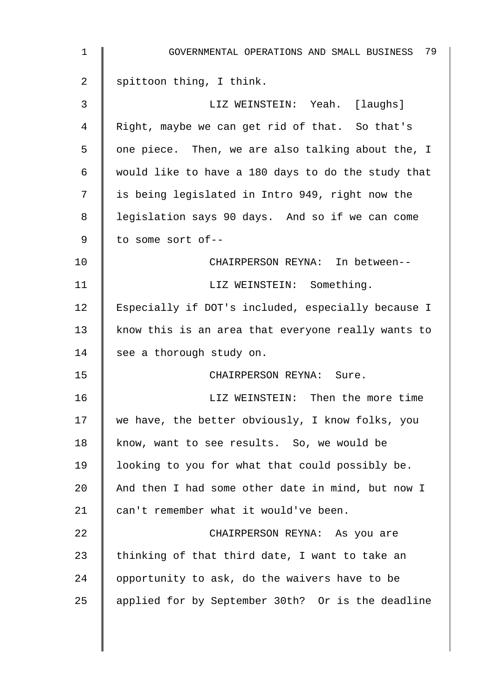| $\mathbf 1$ | GOVERNMENTAL OPERATIONS AND SMALL BUSINESS 79      |
|-------------|----------------------------------------------------|
| 2           | spittoon thing, I think.                           |
| 3           | LIZ WEINSTEIN: Yeah. [laughs]                      |
| 4           | Right, maybe we can get rid of that. So that's     |
| 5           | one piece. Then, we are also talking about the, I  |
| 6           | would like to have a 180 days to do the study that |
| 7           | is being legislated in Intro 949, right now the    |
| 8           | legislation says 90 days. And so if we can come    |
| 9           | to some sort of--                                  |
| 10          | CHAIRPERSON REYNA: In between--                    |
| 11          | LIZ WEINSTEIN: Something.                          |
| 12          | Especially if DOT's included, especially because I |
| 13          | know this is an area that everyone really wants to |
| 14          | see a thorough study on.                           |
| 15          | CHAIRPERSON REYNA: Sure.                           |
| 16          | LIZ WEINSTEIN: Then the more time                  |
| 17          | we have, the better obviously, I know folks, you   |
| 18          | know, want to see results. So, we would be         |
| 19          | looking to you for what that could possibly be.    |
| 20          | And then I had some other date in mind, but now I  |
| 21          | can't remember what it would've been.              |
| 22          | CHAIRPERSON REYNA: As you are                      |
| 23          | thinking of that third date, I want to take an     |
| 24          | opportunity to ask, do the waivers have to be      |
| 25          | applied for by September 30th? Or is the deadline  |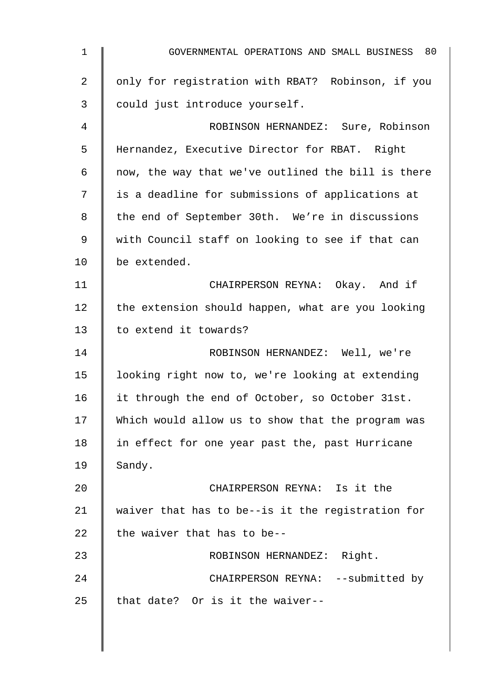1 **COVERNMENTAL OPERATIONS AND SMALL BUSINESS** 80 2 | only for registration with RBAT? Robinson, if you 3 could just introduce yourself. 4 ROBINSON HERNANDEZ: Sure, Robinson 5 Hernandez, Executive Director for RBAT. Right 6  $\parallel$  now, the way that we've outlined the bill is there 7 is a deadline for submissions of applications at 8 | the end of September 30th. We're in discussions 9 | with Council staff on looking to see if that can 10 be extended. 11 | CHAIRPERSON REYNA: Okay. And if  $12$  the extension should happen, what are you looking 13 || to extend it towards? 14 | ROBINSON HERNANDEZ: Well, we're 15 | looking right now to, we're looking at extending 16 | it through the end of October, so October 31st. 17 Which would allow us to show that the program was 18 | in effect for one year past the, past Hurricane  $19$  Sandy. 20 CHAIRPERSON REYNA: Is it the 21  $\parallel$  waiver that has to be--is it the registration for 22  $\parallel$  the waiver that has to be--23 | ROBINSON HERNANDEZ: Right. 24 CHAIRPERSON REYNA: --submitted by 25  $\parallel$  that date? Or is it the waiver--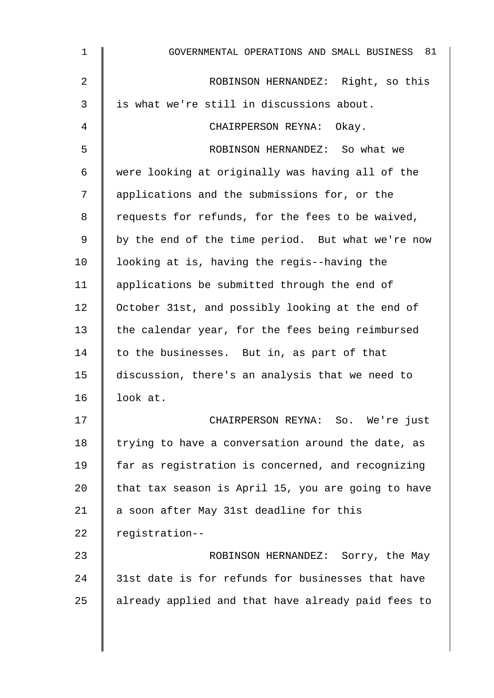| $\mathbf 1$    | GOVERNMENTAL OPERATIONS AND SMALL BUSINESS 81      |
|----------------|----------------------------------------------------|
| $\overline{2}$ | ROBINSON HERNANDEZ: Right, so this                 |
| 3              | is what we're still in discussions about.          |
| 4              | CHAIRPERSON REYNA: Okay.                           |
| 5              | ROBINSON HERNANDEZ: So what we                     |
| 6              | were looking at originally was having all of the   |
| 7              | applications and the submissions for, or the       |
| 8              | requests for refunds, for the fees to be waived,   |
| 9              | by the end of the time period. But what we're now  |
| 10             | looking at is, having the regis--having the        |
| 11             | applications be submitted through the end of       |
| 12             | October 31st, and possibly looking at the end of   |
| 13             | the calendar year, for the fees being reimbursed   |
| 14             | to the businesses. But in, as part of that         |
| 15             | discussion, there's an analysis that we need to    |
| 16             | look at.                                           |
| 17             | CHAIRPERSON REYNA: So. We're just                  |
| 18             | trying to have a conversation around the date, as  |
| 19             | far as registration is concerned, and recognizing  |
| 20             | that tax season is April 15, you are going to have |
| 21             | a soon after May 31st deadline for this            |
| 22             | registration--                                     |
| 23             | ROBINSON HERNANDEZ: Sorry, the May                 |
| 24             | 31st date is for refunds for businesses that have  |
| 25             | already applied and that have already paid fees to |
|                |                                                    |

 $\overline{\phantom{a}}$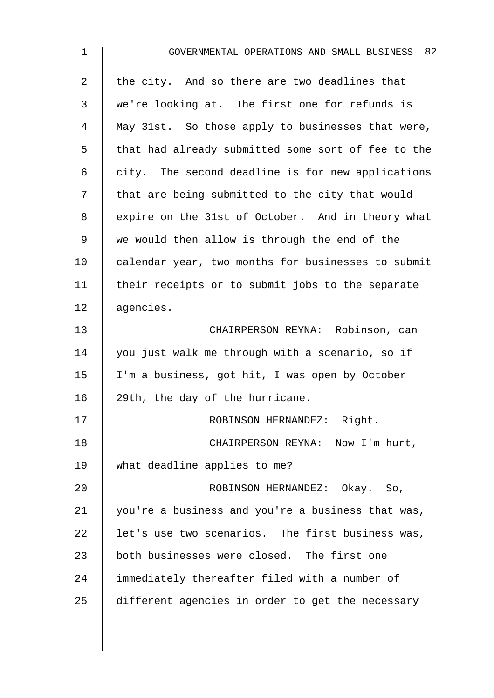| $\mathbf 1$    | GOVERNMENTAL OPERATIONS AND SMALL BUSINESS 82      |
|----------------|----------------------------------------------------|
| $\overline{2}$ | the city. And so there are two deadlines that      |
| 3              | we're looking at. The first one for refunds is     |
| 4              | May 31st. So those apply to businesses that were,  |
| 5              | that had already submitted some sort of fee to the |
| 6              | city. The second deadline is for new applications  |
| 7              | that are being submitted to the city that would    |
| 8              | expire on the 31st of October. And in theory what  |
| 9              | we would then allow is through the end of the      |
| 10             | calendar year, two months for businesses to submit |
| 11             | their receipts or to submit jobs to the separate   |
| 12             | agencies.                                          |
| 13             | CHAIRPERSON REYNA: Robinson, can                   |
| 14             | you just walk me through with a scenario, so if    |
| 15             | I'm a business, got hit, I was open by October     |
| 16             | 29th, the day of the hurricane.                    |
| 17             | ROBINSON HERNANDEZ: Right.                         |
| 18             | CHAIRPERSON REYNA: Now I'm hurt,                   |
| 19             | what deadline applies to me?                       |
| 20             | ROBINSON HERNANDEZ: Okay. So,                      |
| 21             | you're a business and you're a business that was,  |
| 22             | let's use two scenarios. The first business was,   |
| 23             | both businesses were closed. The first one         |
| 24             | immediately thereafter filed with a number of      |
| 25             | different agencies in order to get the necessary   |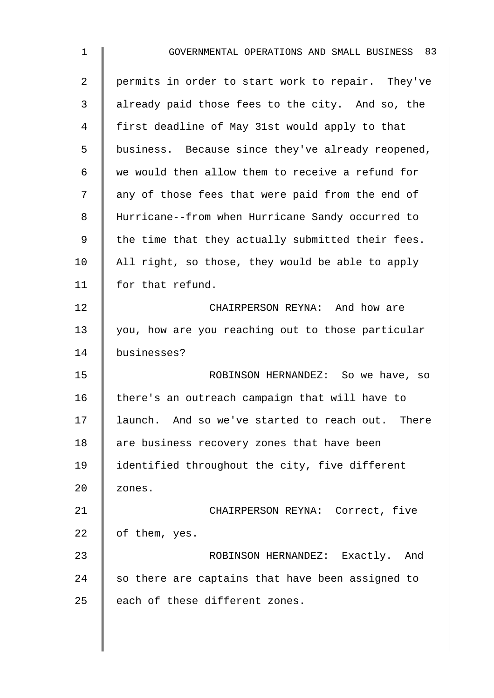| $\mathbf{1}$   | GOVERNMENTAL OPERATIONS AND SMALL BUSINESS 83     |
|----------------|---------------------------------------------------|
| $\overline{a}$ | permits in order to start work to repair. They've |
| 3              | already paid those fees to the city. And so, the  |
| 4              | first deadline of May 31st would apply to that    |
| 5              | business. Because since they've already reopened, |
| 6              | we would then allow them to receive a refund for  |
| 7              | any of those fees that were paid from the end of  |
| 8              | Hurricane--from when Hurricane Sandy occurred to  |
| 9              | the time that they actually submitted their fees. |
| 10             | All right, so those, they would be able to apply  |
| 11             | for that refund.                                  |
| 12             | CHAIRPERSON REYNA: And how are                    |
| 13             | you, how are you reaching out to those particular |
| 14             | businesses?                                       |
| 15             | ROBINSON HERNANDEZ: So we have, so                |
| 16             | there's an outreach campaign that will have to    |
| 17             | launch. And so we've started to reach out. There  |
| 18             | are business recovery zones that have been        |
| 19             | identified throughout the city, five different    |
| 20             | zones.                                            |
| 21             | CHAIRPERSON REYNA: Correct, five                  |
| 22             | of them, yes.                                     |
| 23             | ROBINSON HERNANDEZ: Exactly. And                  |
| 24             | so there are captains that have been assigned to  |
| 25             | each of these different zones.                    |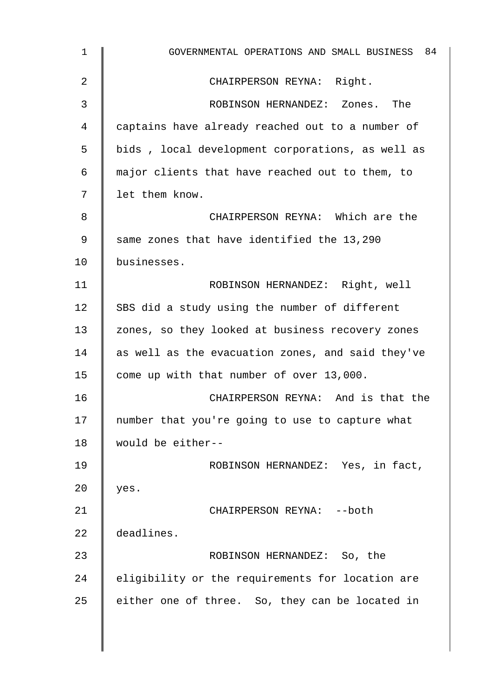| $\mathbf{1}$ | GOVERNMENTAL OPERATIONS AND SMALL BUSINESS 84     |
|--------------|---------------------------------------------------|
| 2            | CHAIRPERSON REYNA: Right.                         |
| 3            | ROBINSON HERNANDEZ: Zones. The                    |
| 4            | captains have already reached out to a number of  |
| 5            | bids, local development corporations, as well as  |
| 6            | major clients that have reached out to them, to   |
| 7            | let them know.                                    |
| 8            | CHAIRPERSON REYNA: Which are the                  |
| 9            | same zones that have identified the 13,290        |
| 10           | businesses.                                       |
| 11           | ROBINSON HERNANDEZ: Right, well                   |
| 12           | SBS did a study using the number of different     |
| 13           | zones, so they looked at business recovery zones  |
| 14           | as well as the evacuation zones, and said they've |
| 15           | come up with that number of over 13,000.          |
| 16           | CHAIRPERSON REYNA: And is that the                |
| 17           | number that you're going to use to capture what   |
| 18           | would be either--                                 |
| 19           | ROBINSON HERNANDEZ: Yes, in fact,                 |
| 20           | yes.                                              |
| 21           | CHAIRPERSON REYNA: --both                         |
| 22           | deadlines.                                        |
| 23           | ROBINSON HERNANDEZ: So, the                       |
| 24           | eligibility or the requirements for location are  |
| 25           | either one of three. So, they can be located in   |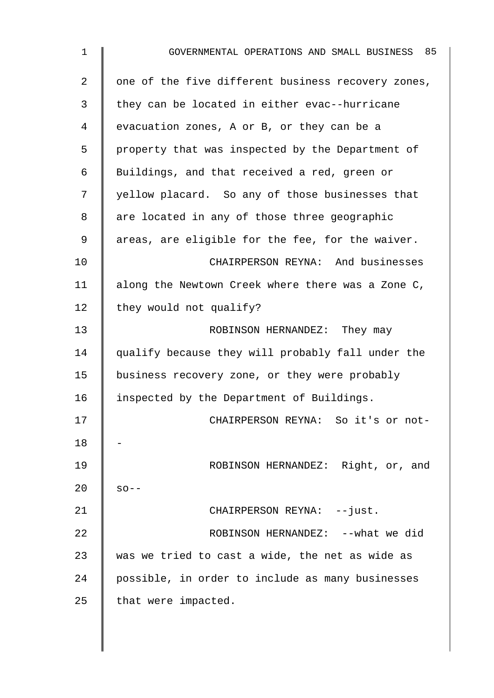| $\mathbf{1}$   | GOVERNMENTAL OPERATIONS AND SMALL BUSINESS 85      |
|----------------|----------------------------------------------------|
| $\overline{2}$ | one of the five different business recovery zones, |
| 3              | they can be located in either evac--hurricane      |
| 4              | evacuation zones, A or B, or they can be a         |
| 5              | property that was inspected by the Department of   |
| 6              | Buildings, and that received a red, green or       |
| 7              | yellow placard. So any of those businesses that    |
| 8              | are located in any of those three geographic       |
| 9              | areas, are eligible for the fee, for the waiver.   |
| 10             | CHAIRPERSON REYNA: And businesses                  |
| 11             | along the Newtown Creek where there was a Zone C,  |
| 12             | they would not qualify?                            |
| 13             | ROBINSON HERNANDEZ: They may                       |
| 14             | qualify because they will probably fall under the  |
| 15             | business recovery zone, or they were probably      |
| 16             | inspected by the Department of Buildings.          |
| 17             | CHAIRPERSON REYNA: So it's or not-                 |
| 18             |                                                    |
| 19             | ROBINSON HERNANDEZ: Right, or, and                 |
| 20             | $SO - -$                                           |
| 21             | CHAIRPERSON REYNA: --just.                         |
| 22             | ROBINSON HERNANDEZ: -- what we did                 |
| 23             | was we tried to cast a wide, the net as wide as    |
| 24             | possible, in order to include as many businesses   |
| 25             | that were impacted.                                |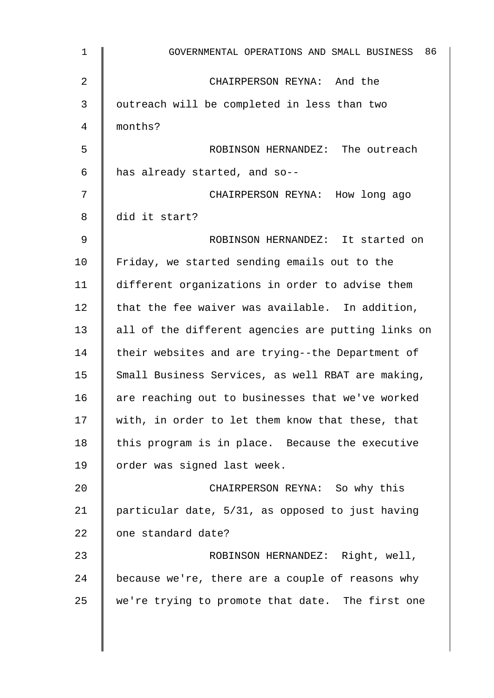| $\mathbf 1$ | 86<br>GOVERNMENTAL OPERATIONS AND SMALL BUSINESS   |
|-------------|----------------------------------------------------|
| 2           | CHAIRPERSON REYNA: And the                         |
| 3           | outreach will be completed in less than two        |
| 4           | months?                                            |
| 5           | ROBINSON HERNANDEZ: The outreach                   |
| 6           | has already started, and so--                      |
| 7           | CHAIRPERSON REYNA: How long ago                    |
| 8           | did it start?                                      |
| 9           | ROBINSON HERNANDEZ: It started on                  |
| 10          | Friday, we started sending emails out to the       |
| 11          | different organizations in order to advise them    |
| 12          | that the fee waiver was available. In addition,    |
| 13          | all of the different agencies are putting links on |
| 14          | their websites and are trying--the Department of   |
| 15          | Small Business Services, as well RBAT are making,  |
| 16          | are reaching out to businesses that we've worked   |
| 17          | with, in order to let them know that these, that   |
| 18          | this program is in place. Because the executive    |
| 19          | order was signed last week.                        |
| 20          | CHAIRPERSON REYNA: So why this                     |
| 21          | particular date, 5/31, as opposed to just having   |
| 22          | one standard date?                                 |
| 23          | ROBINSON HERNANDEZ: Right, well,                   |
| 24          | because we're, there are a couple of reasons why   |
| 25          | we're trying to promote that date. The first one   |
|             |                                                    |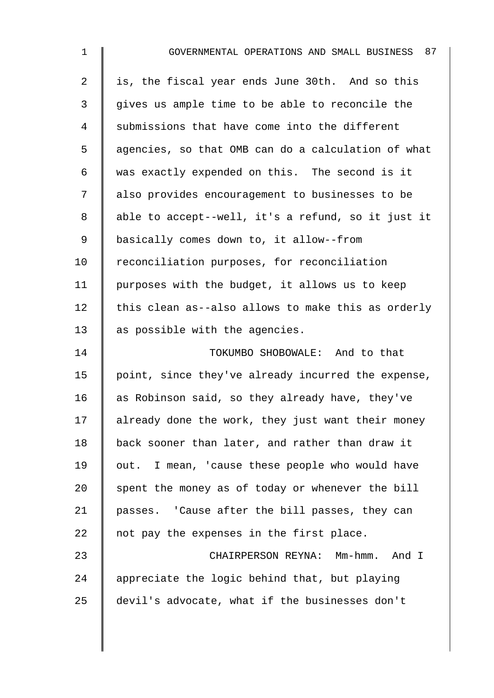| $\mathbf{1}$   | GOVERNMENTAL OPERATIONS AND SMALL BUSINESS 87      |
|----------------|----------------------------------------------------|
| $\overline{2}$ | is, the fiscal year ends June 30th. And so this    |
| 3              | gives us ample time to be able to reconcile the    |
| 4              | submissions that have come into the different      |
| 5              | agencies, so that OMB can do a calculation of what |
| 6              | was exactly expended on this. The second is it     |
| 7              | also provides encouragement to businesses to be    |
| 8              | able to accept--well, it's a refund, so it just it |
| 9              | basically comes down to, it allow--from            |
| 10             | reconciliation purposes, for reconciliation        |
| 11             | purposes with the budget, it allows us to keep     |
| 12             | this clean as--also allows to make this as orderly |
| 13             | as possible with the agencies.                     |
| 14             | TOKUMBO SHOBOWALE: And to that                     |
| 15             | point, since they've already incurred the expense, |
| 16             | as Robinson said, so they already have, they've    |
| 17             | already done the work, they just want their money  |
| 18             | back sooner than later, and rather than draw it    |
| 19             | out. I mean, 'cause these people who would have    |
| 20             | spent the money as of today or whenever the bill   |
| 21             | passes. 'Cause after the bill passes, they can     |
| 22             | not pay the expenses in the first place.           |
| 23             | CHAIRPERSON REYNA: Mm-hmm. And I                   |
| 24             | appreciate the logic behind that, but playing      |
| 25             | devil's advocate, what if the businesses don't     |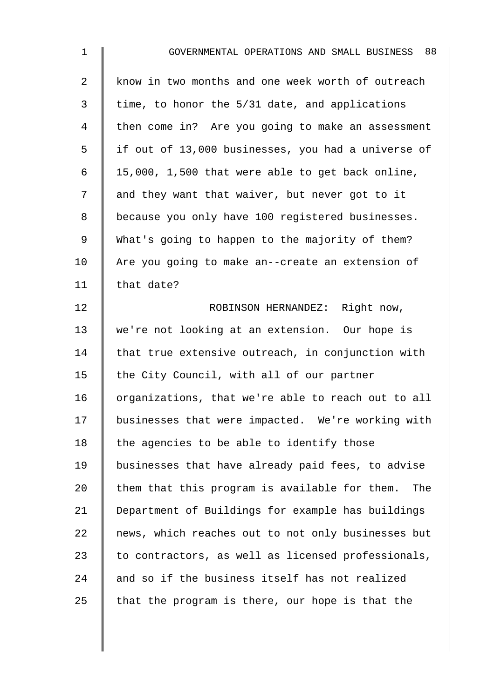| $\mathbf{1}$   | GOVERNMENTAL OPERATIONS AND SMALL BUSINESS 88        |
|----------------|------------------------------------------------------|
| $\overline{2}$ | know in two months and one week worth of outreach    |
| 3              | time, to honor the 5/31 date, and applications       |
| 4              | then come in? Are you going to make an assessment    |
| 5              | if out of 13,000 businesses, you had a universe of   |
| 6              | 15,000, 1,500 that were able to get back online,     |
| 7              | and they want that waiver, but never got to it       |
| 8              | because you only have 100 registered businesses.     |
| 9              | What's going to happen to the majority of them?      |
| 10             | Are you going to make an--create an extension of     |
| 11             | that date?                                           |
| 12             | ROBINSON HERNANDEZ: Right now,                       |
| 13             | we're not looking at an extension. Our hope is       |
| 14             | that true extensive outreach, in conjunction with    |
| 15             | the City Council, with all of our partner            |
| 16             | organizations, that we're able to reach out to all   |
| 17             | businesses that were impacted. We're working with    |
| 18             | the agencies to be able to identify those            |
| 19             | businesses that have already paid fees, to advise    |
| 20             | them that this program is available for them.<br>The |
| 21             | Department of Buildings for example has buildings    |
| 22             | news, which reaches out to not only businesses but   |
| 23             | to contractors, as well as licensed professionals,   |
| 24             | and so if the business itself has not realized       |
| 25             | that the program is there, our hope is that the      |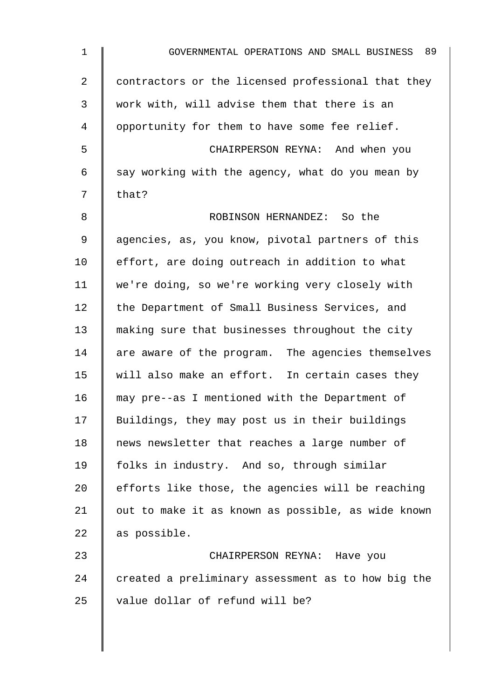| GOVERNMENTAL OPERATIONS AND SMALL BUSINESS 89      |
|----------------------------------------------------|
| contractors or the licensed professional that they |
| work with, will advise them that there is an       |
| opportunity for them to have some fee relief.      |
| CHAIRPERSON REYNA: And when you                    |
| say working with the agency, what do you mean by   |
| that?                                              |
| ROBINSON HERNANDEZ: So the                         |
| agencies, as, you know, pivotal partners of this   |
| effort, are doing outreach in addition to what     |
| we're doing, so we're working very closely with    |
| the Department of Small Business Services, and     |
| making sure that businesses throughout the city    |
| are aware of the program. The agencies themselves  |
| will also make an effort. In certain cases they    |
| may pre--as I mentioned with the Department of     |
| Buildings, they may post us in their buildings     |
| news newsletter that reaches a large number of     |
| folks in industry. And so, through similar         |
| efforts like those, the agencies will be reaching  |
| out to make it as known as possible, as wide known |
| as possible.                                       |
| CHAIRPERSON REYNA: Have you                        |
| created a preliminary assessment as to how big the |
| value dollar of refund will be?                    |
|                                                    |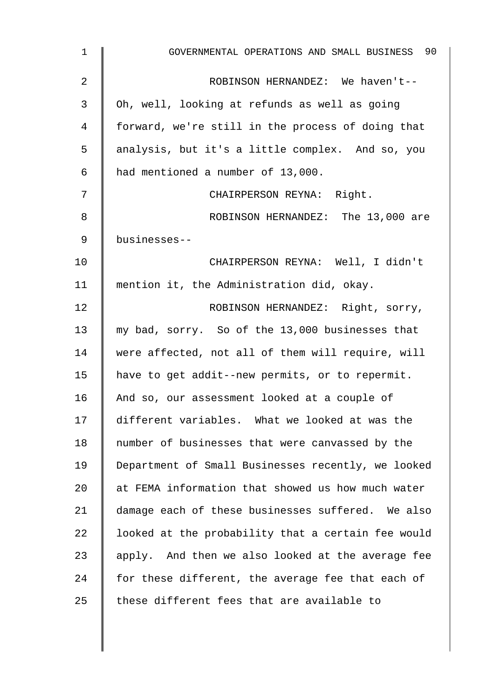| $\mathbf{1}$ | GOVERNMENTAL OPERATIONS AND SMALL BUSINESS 90      |
|--------------|----------------------------------------------------|
| 2            | ROBINSON HERNANDEZ: We haven't--                   |
| 3            | Oh, well, looking at refunds as well as going      |
| 4            | forward, we're still in the process of doing that  |
| 5            | analysis, but it's a little complex. And so, you   |
| 6            | had mentioned a number of 13,000.                  |
| 7            | CHAIRPERSON REYNA: Right.                          |
| 8            | ROBINSON HERNANDEZ: The 13,000 are                 |
| 9            | businesses--                                       |
| 10           | CHAIRPERSON REYNA: Well, I didn't                  |
| 11           | mention it, the Administration did, okay.          |
| 12           | ROBINSON HERNANDEZ: Right, sorry,                  |
| 13           | my bad, sorry. So of the 13,000 businesses that    |
| 14           | were affected, not all of them will require, will  |
| 15           | have to get addit--new permits, or to repermit.    |
| 16           | And so, our assessment looked at a couple of       |
| 17           | different variables. What we looked at was the     |
| 18           | number of businesses that were canvassed by the    |
| 19           | Department of Small Businesses recently, we looked |
| 20           | at FEMA information that showed us how much water  |
| 21           | damage each of these businesses suffered. We also  |
| 22           | looked at the probability that a certain fee would |
| 23           | apply. And then we also looked at the average fee  |
| 24           | for these different, the average fee that each of  |
| 25           | these different fees that are available to         |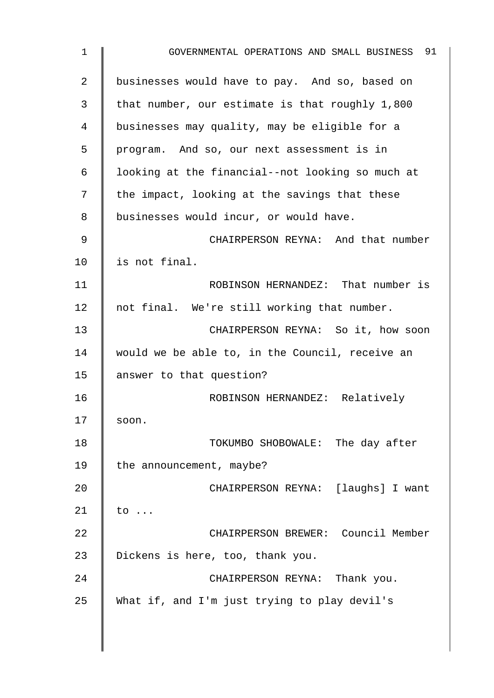1 GOVERNMENTAL OPERATIONS AND SMALL BUSINESS 91 2 businesses would have to pay. And so, based on 3 that number, our estimate is that roughly  $1,800$ 4 businesses may quality, may be eligible for a 5 program. And so, our next assessment is in 6  $\parallel$  looking at the financial--not looking so much at  $7 \parallel$  the impact, looking at the savings that these 8 | businesses would incur, or would have. 9 || CHAIRPERSON REYNA: And that number 10 | is not final. 11 | ROBINSON HERNANDEZ: That number is 12 | not final. We're still working that number. 13 **CHAIRPERSON REYNA:** So it, how soon 14 | would we be able to, in the Council, receive an 15 answer to that question? 16 | ROBINSON HERNANDEZ: Relatively  $17$  soon. 18 **TOKUMBO SHOBOWALE:** The day after 19 | the announcement, maybe? 20 | CHAIRPERSON REYNA: [laughs] I want  $21 \parallel to \ldots$ 22 Southern CHAIRPERSON BREWER: Council Member 23 | Dickens is here, too, thank you. 24 **CHAIRPERSON REYNA:** Thank you. 25 What if, and I'm just trying to play devil's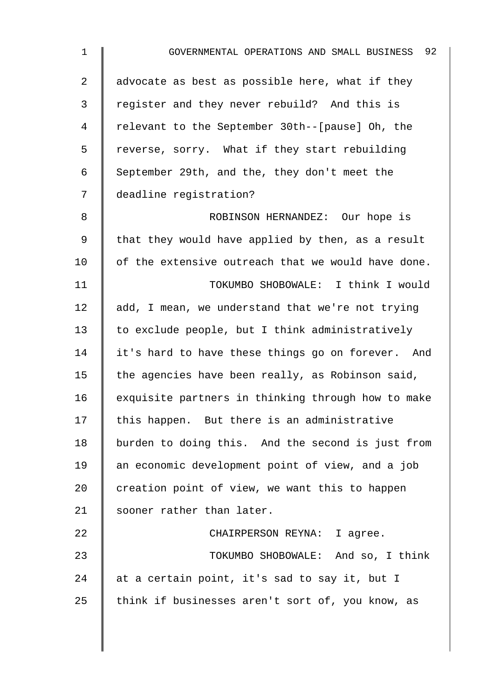| $\mathbf 1$ | GOVERNMENTAL OPERATIONS AND SMALL BUSINESS 92      |
|-------------|----------------------------------------------------|
| 2           | advocate as best as possible here, what if they    |
| 3           | register and they never rebuild? And this is       |
| 4           | relevant to the September 30th--[pause] Oh, the    |
| 5           | reverse, sorry. What if they start rebuilding      |
| 6           | September 29th, and the, they don't meet the       |
| 7           | deadline registration?                             |
| 8           | ROBINSON HERNANDEZ: Our hope is                    |
| 9           | that they would have applied by then, as a result  |
| 10          | of the extensive outreach that we would have done. |
| 11          | TOKUMBO SHOBOWALE: I think I would                 |
| 12          | add, I mean, we understand that we're not trying   |
| 13          | to exclude people, but I think administratively    |
| 14          | it's hard to have these things go on forever. And  |
| 15          | the agencies have been really, as Robinson said,   |
| 16          | exquisite partners in thinking through how to make |
| 17          | this happen. But there is an administrative        |
| 18          | burden to doing this. And the second is just from  |
| 19          | an economic development point of view, and a job   |
| 20          | creation point of view, we want this to happen     |
| 21          | sooner rather than later.                          |
| 22          | CHAIRPERSON REYNA: I agree.                        |
| 23          | TOKUMBO SHOBOWALE: And so, I think                 |
| 24          | at a certain point, it's sad to say it, but I      |
| 25          | think if businesses aren't sort of, you know, as   |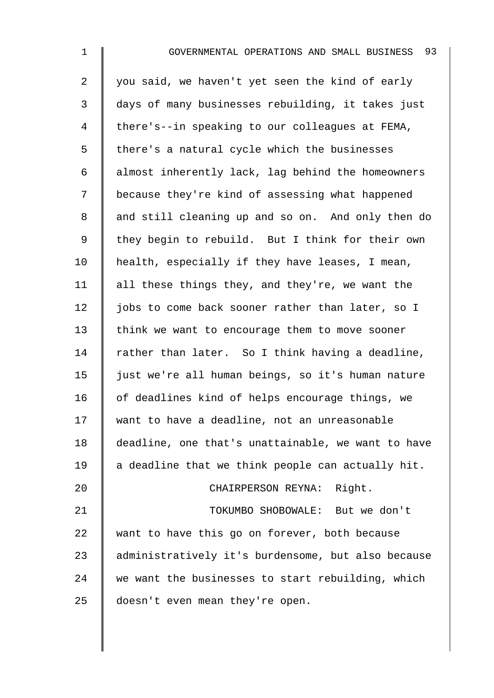2 | you said, we haven't yet seen the kind of early 3 days of many businesses rebuilding, it takes just 4 | there's--in speaking to our colleagues at FEMA,  $5 \parallel$  there's a natural cycle which the businesses 6 | almost inherently lack, lag behind the homeowners 7 | because they're kind of assessing what happened 8 and still cleaning up and so on. And only then do 9 | they begin to rebuild. But I think for their own  $10$  | health, especially if they have leases, I mean, 11  $\parallel$  all these things they, and they're, we want the 12 | jobs to come back sooner rather than later, so I 13 think we want to encourage them to move sooner 14  $\parallel$  rather than later. So I think having a deadline, 15 just we're all human beings, so it's human nature 16 | of deadlines kind of helps encourage things, we 17 want to have a deadline, not an unreasonable 18 deadline, one that's unattainable, we want to have  $19$  a deadline that we think people can actually hit. 20 | CHAIRPERSON REYNA: Right. 21 **Network** TOKUMBO SHOBOWALE: But we don't 22 want to have this go on forever, both because 23 | administratively it's burdensome, but also because  $24$  we want the businesses to start rebuilding, which

25 doesn't even mean they're open.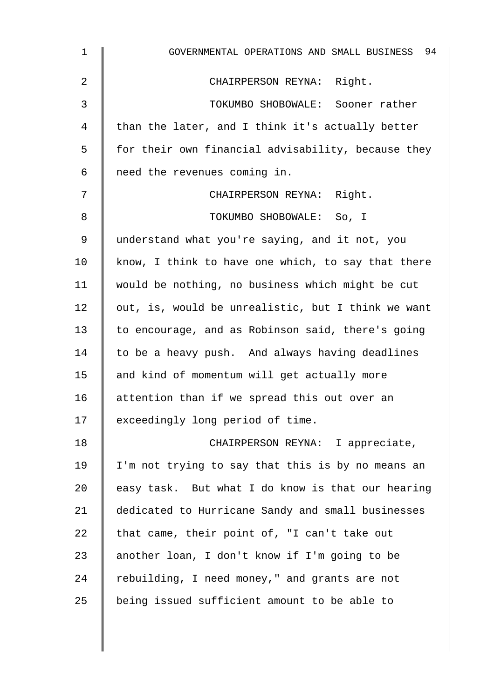| $\mathbf 1$ | GOVERNMENTAL OPERATIONS AND SMALL BUSINESS 94      |
|-------------|----------------------------------------------------|
| 2           | CHAIRPERSON REYNA: Right.                          |
| 3           | TOKUMBO SHOBOWALE: Sooner rather                   |
| 4           | than the later, and I think it's actually better   |
| 5           | for their own financial advisability, because they |
| 6           | need the revenues coming in.                       |
| 7           | CHAIRPERSON REYNA: Right.                          |
| 8           | TOKUMBO SHOBOWALE: So, I                           |
| 9           | understand what you're saying, and it not, you     |
| 10          | know, I think to have one which, to say that there |
| 11          | would be nothing, no business which might be cut   |
| 12          | out, is, would be unrealistic, but I think we want |
| 13          | to encourage, and as Robinson said, there's going  |
| 14          | to be a heavy push. And always having deadlines    |
| 15          | and kind of momentum will get actually more        |
| 16          | attention than if we spread this out over an       |
| 17          | exceedingly long period of time.                   |
| 18          | CHAIRPERSON REYNA: I appreciate,                   |
| 19          | I'm not trying to say that this is by no means an  |
| 20          | easy task. But what I do know is that our hearing  |
| 21          | dedicated to Hurricane Sandy and small businesses  |
| 22          | that came, their point of, "I can't take out       |
| 23          | another loan, I don't know if I'm going to be      |
| 24          | rebuilding, I need money," and grants are not      |
| 25          | being issued sufficient amount to be able to       |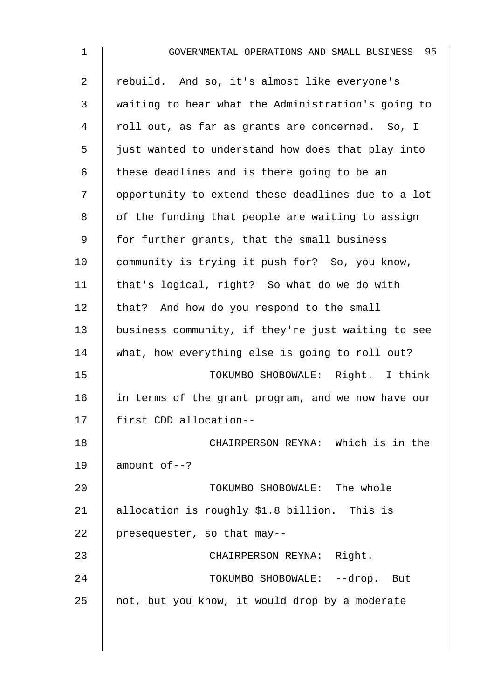| $\mathbf 1$    | 95<br>GOVERNMENTAL OPERATIONS AND SMALL BUSINESS   |
|----------------|----------------------------------------------------|
| $\overline{2}$ | rebuild. And so, it's almost like everyone's       |
| 3              | waiting to hear what the Administration's going to |
| 4              | roll out, as far as grants are concerned. So, I    |
| 5              | just wanted to understand how does that play into  |
| 6              | these deadlines and is there going to be an        |
| 7              | opportunity to extend these deadlines due to a lot |
| 8              | of the funding that people are waiting to assign   |
| 9              | for further grants, that the small business        |
| 10             | community is trying it push for? So, you know,     |
| 11             | that's logical, right? So what do we do with       |
| 12             | that? And how do you respond to the small          |
| 13             | business community, if they're just waiting to see |
| 14             | what, how everything else is going to roll out?    |
| 15             | TOKUMBO SHOBOWALE: Right. I think                  |
| 16             | in terms of the grant program, and we now have our |
| 17             | first CDD allocation--                             |
| 18             | CHAIRPERSON REYNA: Which is in the                 |
| 19             | $amount of --?$                                    |
| 20             | TOKUMBO SHOBOWALE: The whole                       |
| 21             | allocation is roughly \$1.8 billion. This is       |
| 22             | presequester, so that may--                        |
| 23             | CHAIRPERSON REYNA: Right.                          |
| 24             | TOKUMBO SHOBOWALE: --drop. But                     |
| 25             | not, but you know, it would drop by a moderate     |
|                |                                                    |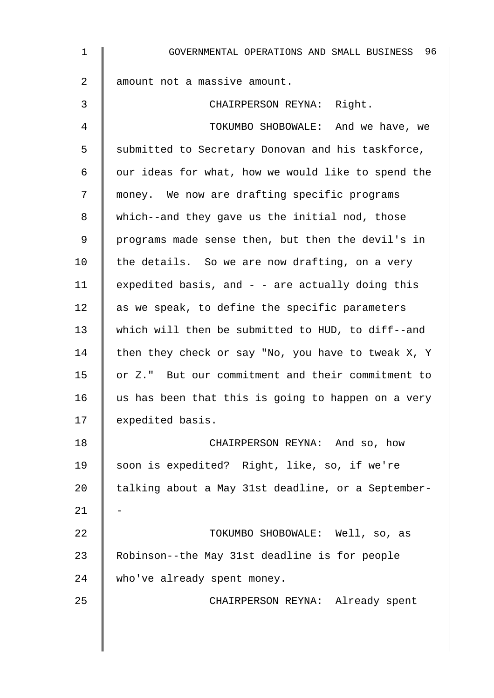| $\mathbf{1}$   | GOVERNMENTAL OPERATIONS AND SMALL BUSINESS 96      |
|----------------|----------------------------------------------------|
| $\overline{a}$ | amount not a massive amount.                       |
| 3              | CHAIRPERSON REYNA: Right.                          |
| 4              | TOKUMBO SHOBOWALE: And we have, we                 |
| 5              | submitted to Secretary Donovan and his taskforce,  |
| 6              | our ideas for what, how we would like to spend the |
| 7              | money. We now are drafting specific programs       |
| 8              | which--and they gave us the initial nod, those     |
| 9              | programs made sense then, but then the devil's in  |
| 10             | the details. So we are now drafting, on a very     |
| 11             | expedited basis, and - - are actually doing this   |
| 12             | as we speak, to define the specific parameters     |
| 13             | which will then be submitted to HUD, to diff--and  |
| 14             | then they check or say "No, you have to tweak X, Y |
| 15             | or Z." But our commitment and their commitment to  |
| 16             | us has been that this is going to happen on a very |
| 17             | expedited basis.                                   |
| 18             | CHAIRPERSON REYNA: And so, how                     |
| 19             | soon is expedited? Right, like, so, if we're       |
| 20             | talking about a May 31st deadline, or a September- |
| 21             |                                                    |
| 22             | TOKUMBO SHOBOWALE: Well, so, as                    |
| 23             | Robinson--the May 31st deadline is for people      |
| 24             | who've already spent money.                        |
| 25             | CHAIRPERSON REYNA: Already spent                   |
|                |                                                    |
|                |                                                    |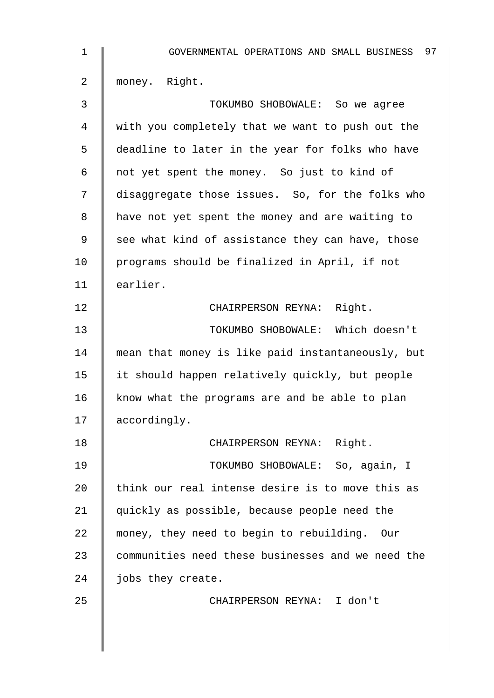| $\mathbf 1$    | 97<br>GOVERNMENTAL OPERATIONS AND SMALL BUSINESS  |
|----------------|---------------------------------------------------|
| $\overline{2}$ | money. Right.                                     |
| 3              | TOKUMBO SHOBOWALE: So we agree                    |
| 4              | with you completely that we want to push out the  |
| 5              | deadline to later in the year for folks who have  |
| 6              | not yet spent the money. So just to kind of       |
| 7              | disaggregate those issues. So, for the folks who  |
| 8              | have not yet spent the money and are waiting to   |
| 9              | see what kind of assistance they can have, those  |
| 10             | programs should be finalized in April, if not     |
| 11             | earlier.                                          |
| 12             | CHAIRPERSON REYNA: Right.                         |
| 13             | TOKUMBO SHOBOWALE: Which doesn't                  |
| 14             | mean that money is like paid instantaneously, but |
| 15             | it should happen relatively quickly, but people   |
| 16             | know what the programs are and be able to plan    |
| 17             | accordingly.                                      |
| 18             | CHAIRPERSON REYNA: Right.                         |
| 19             | TOKUMBO SHOBOWALE: So, again, I                   |
| 20             | think our real intense desire is to move this as  |
| 21             | quickly as possible, because people need the      |
| 22             | money, they need to begin to rebuilding. Our      |
| 23             | communities need these businesses and we need the |
| 24             | jobs they create.                                 |
| 25             | CHAIRPERSON REYNA: I don't                        |
|                |                                                   |
|                |                                                   |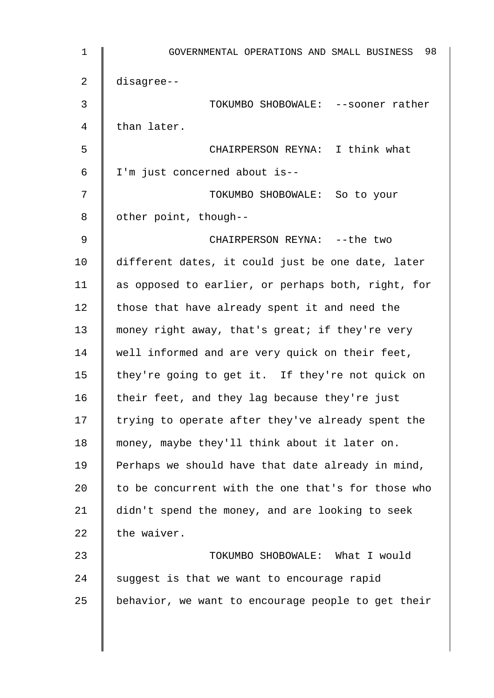1 GOVERNMENTAL OPERATIONS AND SMALL BUSINESS 98 2 disagree-- 3 TOKUMBO SHOBOWALE: --sooner rather 4 | than later. 5 CHAIRPERSON REYNA: I think what 6 I'm just concerned about is-- 7 TOKUMBO SHOBOWALE: So to your  $8 \parallel$  other point, though--9 || CHAIRPERSON REYNA: --the two 10 different dates, it could just be one date, later 11 as opposed to earlier, or perhaps both, right, for 12  $\parallel$  those that have already spent it and need the 13 money right away, that's great; if they're very 14 well informed and are very quick on their feet, 15 they're going to get it. If they're not quick on 16  $\parallel$  their feet, and they lag because they're just 17  $\parallel$  trying to operate after they've already spent the 18 money, maybe they'll think about it later on. 19  $\parallel$  Perhaps we should have that date already in mind, 20  $\parallel$  to be concurrent with the one that's for those who 21 didn't spend the money, and are looking to seek 22  $\parallel$  the waiver. 23 **Number 23** Number of TOKUMBO SHOBOWALE: What I would  $24$  | suggest is that we want to encourage rapid 25 behavior, we want to encourage people to get their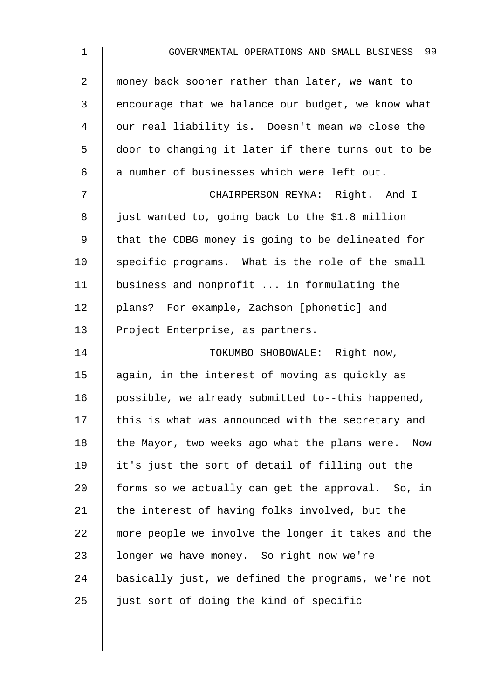| $\mathbf 1$    | 99<br>GOVERNMENTAL OPERATIONS AND SMALL BUSINESS   |
|----------------|----------------------------------------------------|
| $\overline{2}$ | money back sooner rather than later, we want to    |
| 3              | encourage that we balance our budget, we know what |
| 4              | our real liability is. Doesn't mean we close the   |
| 5              | door to changing it later if there turns out to be |
| 6              | a number of businesses which were left out.        |
| 7              | CHAIRPERSON REYNA: Right. And I                    |
| 8              | just wanted to, going back to the \$1.8 million    |
| 9              | that the CDBG money is going to be delineated for  |
| 10             | specific programs. What is the role of the small   |
| 11             | business and nonprofit  in formulating the         |
| 12             | plans? For example, Zachson [phonetic] and         |
| 13             | Project Enterprise, as partners.                   |
| 14             | TOKUMBO SHOBOWALE: Right now,                      |
| 15             | again, in the interest of moving as quickly as     |
| 16             | possible, we already submitted to--this happened,  |
| 17             | this is what was announced with the secretary and  |
| 18             | the Mayor, two weeks ago what the plans were. Now  |
| 19             | it's just the sort of detail of filling out the    |
| 20             | forms so we actually can get the approval. So, in  |
| 21             | the interest of having folks involved, but the     |
| 22             | more people we involve the longer it takes and the |
| 23             | longer we have money. So right now we're           |
| 24             | basically just, we defined the programs, we're not |
| 25             | just sort of doing the kind of specific            |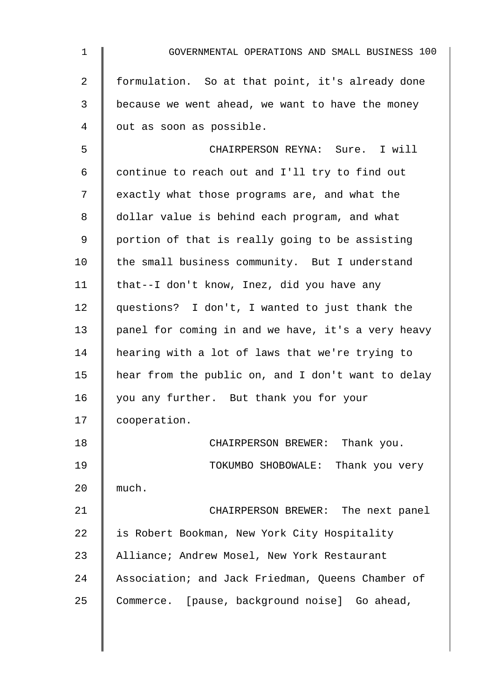| $\mathbf{1}$   | GOVERNMENTAL OPERATIONS AND SMALL BUSINESS 100     |
|----------------|----------------------------------------------------|
| $\overline{2}$ | formulation. So at that point, it's already done   |
| 3              | because we went ahead, we want to have the money   |
| 4              | out as soon as possible.                           |
| 5              | CHAIRPERSON REYNA: Sure. I will                    |
| 6              | continue to reach out and I'll try to find out     |
| 7              | exactly what those programs are, and what the      |
| 8              | dollar value is behind each program, and what      |
| 9              | portion of that is really going to be assisting    |
| 10             | the small business community. But I understand     |
| 11             | that--I don't know, Inez, did you have any         |
| 12             | questions? I don't, I wanted to just thank the     |
| 13             | panel for coming in and we have, it's a very heavy |
| 14             | hearing with a lot of laws that we're trying to    |
| 15             | hear from the public on, and I don't want to delay |
| 16             | you any further. But thank you for your            |
| 17             | cooperation.                                       |
| 18             | CHAIRPERSON BREWER: Thank you.                     |
| 19             | TOKUMBO SHOBOWALE: Thank you very                  |
| 20             | much.                                              |
| 21             | CHAIRPERSON BREWER: The next panel                 |
| 22             | is Robert Bookman, New York City Hospitality       |
| 23             | Alliance; Andrew Mosel, New York Restaurant        |
| 24             | Association; and Jack Friedman, Queens Chamber of  |
| 25             | Commerce. [pause, background noise] Go ahead,      |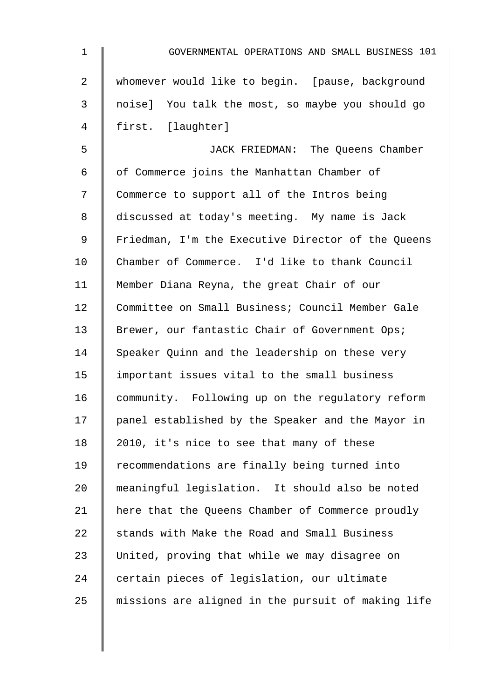| $\mathbf 1$ | GOVERNMENTAL OPERATIONS AND SMALL BUSINESS 101     |
|-------------|----------------------------------------------------|
| 2           | whomever would like to begin. [pause, background   |
| 3           | noise] You talk the most, so maybe you should go   |
| 4           | first. [laughter]                                  |
| 5           | JACK FRIEDMAN: The Queens Chamber                  |
| 6           | of Commerce joins the Manhattan Chamber of         |
| 7           | Commerce to support all of the Intros being        |
| 8           | discussed at today's meeting. My name is Jack      |
| 9           | Friedman, I'm the Executive Director of the Queens |
| 10          | Chamber of Commerce. I'd like to thank Council     |
| 11          | Member Diana Reyna, the great Chair of our         |
| 12          | Committee on Small Business; Council Member Gale   |
| 13          | Brewer, our fantastic Chair of Government Ops;     |
| 14          | Speaker Quinn and the leadership on these very     |
| 15          | important issues vital to the small business       |
| 16          | community. Following up on the regulatory reform   |
| 17          | panel established by the Speaker and the Mayor in  |
| 18          | 2010, it's nice to see that many of these          |
| 19          | recommendations are finally being turned into      |
| 20          | meaningful legislation. It should also be noted    |
| 21          | here that the Queens Chamber of Commerce proudly   |
| 22          | stands with Make the Road and Small Business       |
| 23          | United, proving that while we may disagree on      |
| 24          | certain pieces of legislation, our ultimate        |
| 25          | missions are aligned in the pursuit of making life |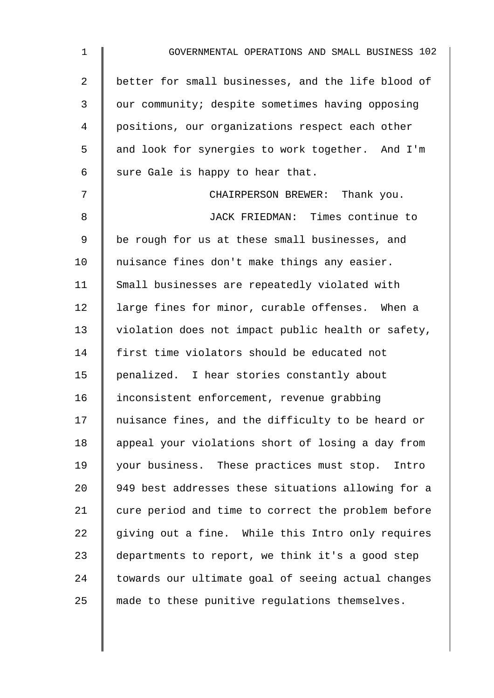| 1              | GOVERNMENTAL OPERATIONS AND SMALL BUSINESS 102     |
|----------------|----------------------------------------------------|
| $\overline{2}$ | better for small businesses, and the life blood of |
| 3              | our community; despite sometimes having opposing   |
| 4              | positions, our organizations respect each other    |
| 5              | and look for synergies to work together. And I'm   |
| 6              | sure Gale is happy to hear that.                   |
| 7              | CHAIRPERSON BREWER: Thank you.                     |
| 8              | JACK FRIEDMAN: Times continue to                   |
| 9              | be rough for us at these small businesses, and     |
| 10             | nuisance fines don't make things any easier.       |
| 11             | Small businesses are repeatedly violated with      |
| 12             | large fines for minor, curable offenses. When a    |
| 13             | violation does not impact public health or safety, |
| 14             | first time violators should be educated not        |
| 15             | penalized. I hear stories constantly about         |
| 16             | inconsistent enforcement, revenue grabbing         |
| 17             | nuisance fines, and the difficulty to be heard or  |
| 18             | appeal your violations short of losing a day from  |
| 19             | your business. These practices must stop. Intro    |
| 20             | 949 best addresses these situations allowing for a |
| 21             | cure period and time to correct the problem before |
| 22             | giving out a fine. While this Intro only requires  |
| 23             | departments to report, we think it's a good step   |
| 24             | towards our ultimate goal of seeing actual changes |
| 25             | made to these punitive regulations themselves.     |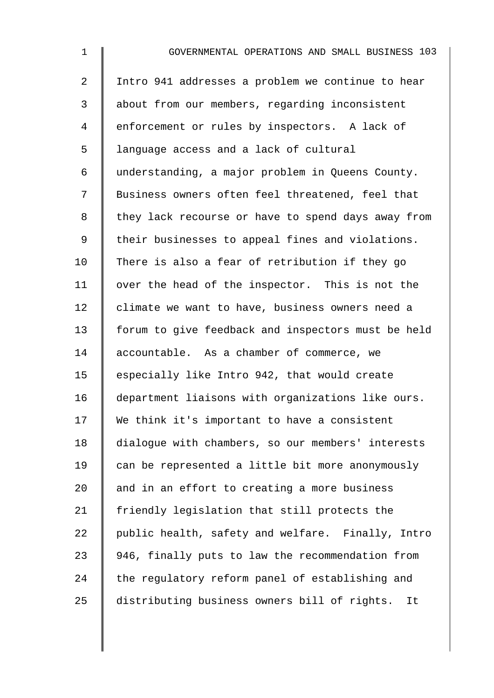1 GOVERNMENTAL OPERATIONS AND SMALL BUSINESS 103 2 | Intro 941 addresses a problem we continue to hear 3 about from our members, regarding inconsistent 4 enforcement or rules by inspectors. A lack of 5 | language access and a lack of cultural 6 understanding, a major problem in Queens County. 7 | Business owners often feel threatened, feel that 8 | they lack recourse or have to spend days away from 9 | their businesses to appeal fines and violations. 10 There is also a fear of retribution if they go 11 | over the head of the inspector. This is not the 12 | climate we want to have, business owners need a 13 forum to give feedback and inspectors must be held 14 accountable. As a chamber of commerce, we 15  $\parallel$  especially like Intro 942, that would create 16 department liaisons with organizations like ours. 17 We think it's important to have a consistent 18 dialogue with chambers, so our members' interests 19 can be represented a little bit more anonymously 20  $\parallel$  and in an effort to creating a more business 21 | friendly legislation that still protects the 22  $\parallel$  public health, safety and welfare. Finally, Intro 23 946, finally puts to law the recommendation from  $24$  the regulatory reform panel of establishing and 25 distributing business owners bill of rights. It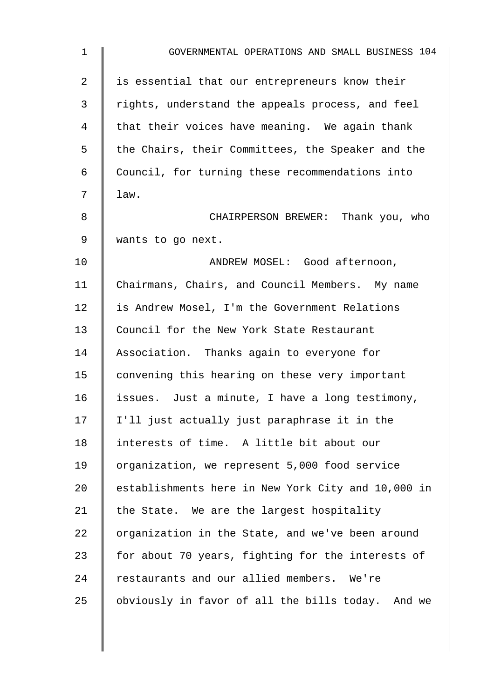| $\mathbf 1$ | GOVERNMENTAL OPERATIONS AND SMALL BUSINESS 104     |
|-------------|----------------------------------------------------|
| 2           | is essential that our entrepreneurs know their     |
| 3           | rights, understand the appeals process, and feel   |
| 4           | that their voices have meaning. We again thank     |
| 5           | the Chairs, their Committees, the Speaker and the  |
| 6           | Council, for turning these recommendations into    |
| 7           | law.                                               |
| 8           | CHAIRPERSON BREWER: Thank you, who                 |
| $\mathsf 9$ | wants to go next.                                  |
| 10          | ANDREW MOSEL: Good afternoon,                      |
| 11          | Chairmans, Chairs, and Council Members. My name    |
| 12          | is Andrew Mosel, I'm the Government Relations      |
| 13          | Council for the New York State Restaurant          |
| 14          | Association. Thanks again to everyone for          |
| 15          | convening this hearing on these very important     |
| 16          | issues. Just a minute, I have a long testimony,    |
| 17          | I'll just actually just paraphrase it in the       |
| 18          | interests of time. A little bit about our          |
| 19          | organization, we represent 5,000 food service      |
| 20          | establishments here in New York City and 10,000 in |
| 21          | the State. We are the largest hospitality          |
| 22          | organization in the State, and we've been around   |
| 23          | for about 70 years, fighting for the interests of  |
| 24          | restaurants and our allied members. We're          |
| 25          | obviously in favor of all the bills today. And we  |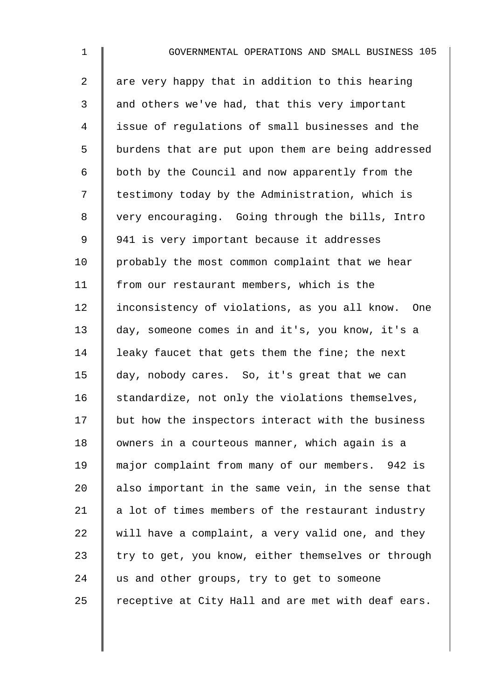| $\mathbf{1}$   | GOVERNMENTAL OPERATIONS AND SMALL BUSINESS 105     |
|----------------|----------------------------------------------------|
| $\overline{a}$ | are very happy that in addition to this hearing    |
| $\mathsf{3}$   | and others we've had, that this very important     |
| 4              | issue of regulations of small businesses and the   |
| 5              | burdens that are put upon them are being addressed |
| 6              | both by the Council and now apparently from the    |
| 7              | testimony today by the Administration, which is    |
| 8              | very encouraging. Going through the bills, Intro   |
| 9              | 941 is very important because it addresses         |
| 10             | probably the most common complaint that we hear    |
| 11             | from our restaurant members, which is the          |
| 12             | inconsistency of violations, as you all know. One  |
| 13             | day, someone comes in and it's, you know, it's a   |
| 14             | leaky faucet that gets them the fine; the next     |
| 15             | day, nobody cares. So, it's great that we can      |
| 16             | standardize, not only the violations themselves,   |
| 17             | but how the inspectors interact with the business  |
| 18             | owners in a courteous manner, which again is a     |
| 19             | major complaint from many of our members. 942 is   |
| 20             | also important in the same vein, in the sense that |
| 21             | a lot of times members of the restaurant industry  |
| 22             | will have a complaint, a very valid one, and they  |
| 23             | try to get, you know, either themselves or through |
| 24             | us and other groups, try to get to someone         |
| 25             | receptive at City Hall and are met with deaf ears. |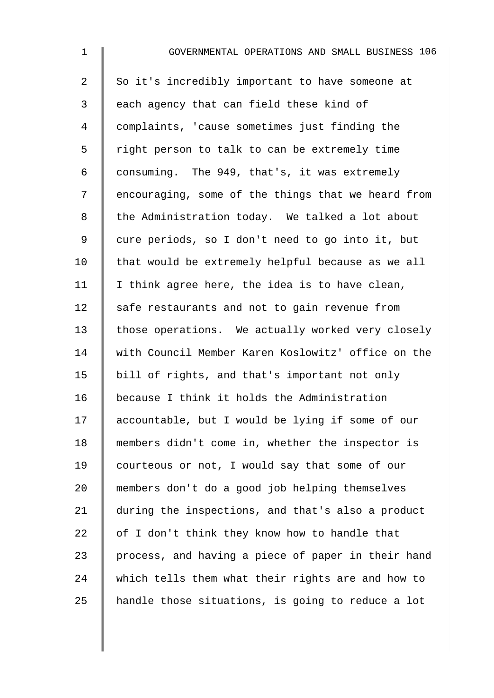| $\mathbf 1$    | GOVERNMENTAL OPERATIONS AND SMALL BUSINESS 106     |
|----------------|----------------------------------------------------|
| $\overline{a}$ | So it's incredibly important to have someone at    |
| 3              | each agency that can field these kind of           |
| $\overline{4}$ | complaints, 'cause sometimes just finding the      |
| 5              | right person to talk to can be extremely time      |
| 6              | consuming. The 949, that's, it was extremely       |
| 7              | encouraging, some of the things that we heard from |
| $\,8\,$        | the Administration today. We talked a lot about    |
| $\mathsf 9$    | cure periods, so I don't need to go into it, but   |
| 10             | that would be extremely helpful because as we all  |
| 11             | I think agree here, the idea is to have clean,     |
| 12             | safe restaurants and not to gain revenue from      |
| 13             | those operations. We actually worked very closely  |
| 14             | with Council Member Karen Koslowitz' office on the |
| 15             | bill of rights, and that's important not only      |
| 16             | because I think it holds the Administration        |
| 17             | accountable, but I would be lying if some of our   |
| 18             | members didn't come in, whether the inspector is   |
| 19             | courteous or not, I would say that some of our     |
| 20             | members don't do a good job helping themselves     |
| 21             | during the inspections, and that's also a product  |
| 22             | of I don't think they know how to handle that      |
| 23             | process, and having a piece of paper in their hand |
| 24             | which tells them what their rights are and how to  |
| 25             | handle those situations, is going to reduce a lot  |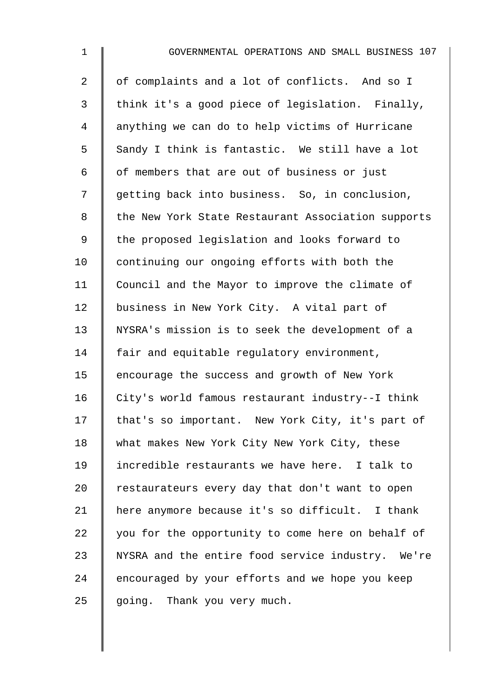| $\mathbf{1}$   | GOVERNMENTAL OPERATIONS AND SMALL BUSINESS 107     |
|----------------|----------------------------------------------------|
| $\overline{2}$ | of complaints and a lot of conflicts. And so I     |
| 3              | think it's a good piece of legislation. Finally,   |
| 4              | anything we can do to help victims of Hurricane    |
| 5              | Sandy I think is fantastic. We still have a lot    |
| 6              | of members that are out of business or just        |
| 7              | getting back into business. So, in conclusion,     |
| 8              | the New York State Restaurant Association supports |
| $\mathsf 9$    | the proposed legislation and looks forward to      |
| 10             | continuing our ongoing efforts with both the       |
| 11             | Council and the Mayor to improve the climate of    |
| 12             | business in New York City. A vital part of         |
| 13             | NYSRA's mission is to seek the development of a    |
| 14             | fair and equitable regulatory environment,         |
| 15             | encourage the success and growth of New York       |
| 16             | City's world famous restaurant industry--I think   |
| 17             | that's so important. New York City, it's part of   |
| 18             | what makes New York City New York City, these      |
| 19             | incredible restaurants we have here. I talk to     |
| 20             | restaurateurs every day that don't want to open    |
| 21             | here anymore because it's so difficult. I thank    |
| 22             | you for the opportunity to come here on behalf of  |
| 23             | NYSRA and the entire food service industry. We're  |
| 24             | encouraged by your efforts and we hope you keep    |
| 25             | going. Thank you very much.                        |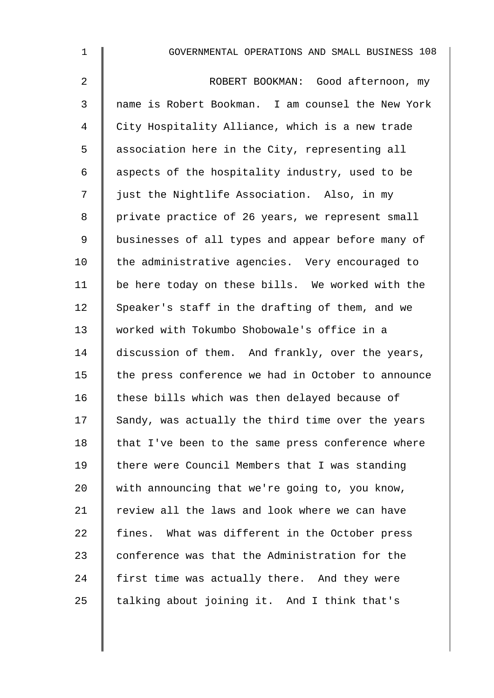| $\mathbf 1$    | GOVERNMENTAL OPERATIONS AND SMALL BUSINESS 108     |
|----------------|----------------------------------------------------|
| $\overline{2}$ | ROBERT BOOKMAN: Good afternoon, my                 |
| 3              | name is Robert Bookman. I am counsel the New York  |
| 4              | City Hospitality Alliance, which is a new trade    |
| 5              | association here in the City, representing all     |
| 6              | aspects of the hospitality industry, used to be    |
| 7              | just the Nightlife Association. Also, in my        |
| 8              | private practice of 26 years, we represent small   |
| 9              | businesses of all types and appear before many of  |
| 10             | the administrative agencies. Very encouraged to    |
| 11             | be here today on these bills. We worked with the   |
| 12             | Speaker's staff in the drafting of them, and we    |
| 13             | worked with Tokumbo Shobowale's office in a        |
| 14             | discussion of them. And frankly, over the years,   |
| 15             | the press conference we had in October to announce |
| 16             | these bills which was then delayed because of      |
| 17             | Sandy, was actually the third time over the years  |
| 18             | that I've been to the same press conference where  |
| 19             | there were Council Members that I was standing     |
| 20             | with announcing that we're going to, you know,     |
| 21             | review all the laws and look where we can have     |
| 22             | fines. What was different in the October press     |
| 23             | conference was that the Administration for the     |
| 24             | first time was actually there. And they were       |
| 25             | talking about joining it. And I think that's       |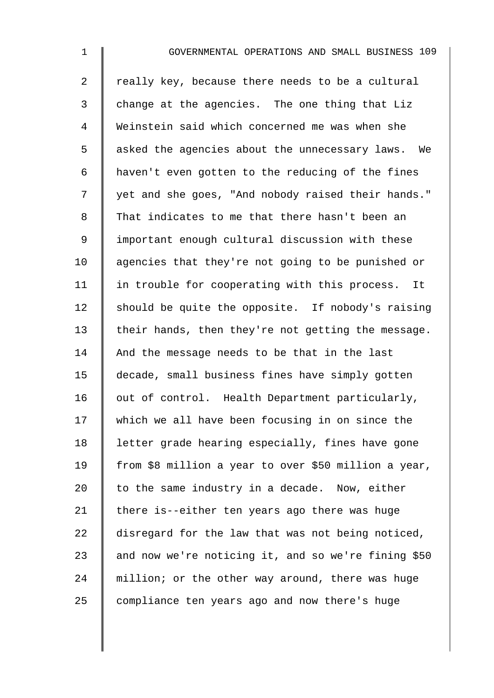1 GOVERNMENTAL OPERATIONS AND SMALL BUSINESS 109  $2 \parallel$  really key, because there needs to be a cultural 3 change at the agencies. The one thing that Liz 4 Weinstein said which concerned me was when she 5 | asked the agencies about the unnecessary laws. We 6 haven't even gotten to the reducing of the fines 7 | yet and she goes, "And nobody raised their hands." 8 That indicates to me that there hasn't been an 9 | important enough cultural discussion with these 10 agencies that they're not going to be punished or  $11$  | in trouble for cooperating with this process. It 12  $\parallel$  should be quite the opposite. If nobody's raising 13  $\parallel$  their hands, then they're not getting the message. 14 And the message needs to be that in the last 15 decade, small business fines have simply gotten  $16$  out of control. Health Department particularly, 17 which we all have been focusing in on since the 18 | letter grade hearing especially, fines have gone 19 | from \$8 million a year to over \$50 million a year, 20  $\parallel$  to the same industry in a decade. Now, either 21  $\parallel$  there is--either ten years ago there was huge 22 disregard for the law that was not being noticed, 23  $\parallel$  and now we're noticing it, and so we're fining \$50 24 million; or the other way around, there was huge  $25$  compliance ten years ago and now there's huge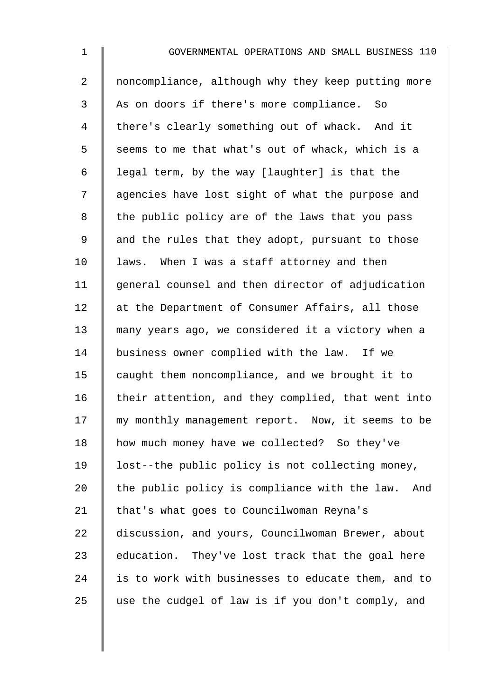| $\mathbf 1$    | GOVERNMENTAL OPERATIONS AND SMALL BUSINESS 110       |
|----------------|------------------------------------------------------|
| $\overline{2}$ | noncompliance, although why they keep putting more   |
| 3              | As on doors if there's more compliance.<br>So        |
| $\overline{4}$ | there's clearly something out of whack. And it       |
| 5              | seems to me that what's out of whack, which is a     |
| 6              | legal term, by the way [laughter] is that the        |
| 7              | agencies have lost sight of what the purpose and     |
| $\,8\,$        | the public policy are of the laws that you pass      |
| $\mathsf 9$    | and the rules that they adopt, pursuant to those     |
| 10             | laws. When I was a staff attorney and then           |
| 11             | general counsel and then director of adjudication    |
| 12             | at the Department of Consumer Affairs, all those     |
| 13             | many years ago, we considered it a victory when a    |
| 14             | business owner complied with the law. If we          |
| 15             | caught them noncompliance, and we brought it to      |
| 16             | their attention, and they complied, that went into   |
| 17             | my monthly management report. Now, it seems to be    |
| 18             | how much money have we collected? So they've         |
| 19             | lost--the public policy is not collecting money,     |
| 20             | the public policy is compliance with the law.<br>And |
| 21             | that's what goes to Councilwoman Reyna's             |
| 22             | discussion, and yours, Councilwoman Brewer, about    |
| 23             | education. They've lost track that the goal here     |
| 24             | is to work with businesses to educate them, and to   |
| 25             | use the cudgel of law is if you don't comply, and    |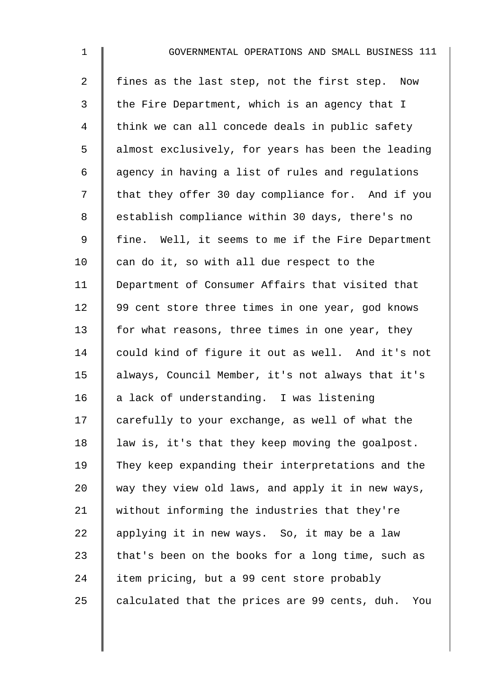| $\mathbf 1$    | GOVERNMENTAL OPERATIONS AND SMALL BUSINESS 111       |
|----------------|------------------------------------------------------|
| $\overline{2}$ | fines as the last step, not the first step. Now      |
| 3              | the Fire Department, which is an agency that I       |
| $\overline{4}$ | think we can all concede deals in public safety      |
| 5              | almost exclusively, for years has been the leading   |
| 6              | agency in having a list of rules and regulations     |
| 7              | that they offer 30 day compliance for. And if you    |
| $\,8\,$        | establish compliance within 30 days, there's no      |
| $\mathsf 9$    | fine. Well, it seems to me if the Fire Department    |
| 10             | can do it, so with all due respect to the            |
| 11             | Department of Consumer Affairs that visited that     |
| 12             | 99 cent store three times in one year, god knows     |
| 13             | for what reasons, three times in one year, they      |
| 14             | could kind of figure it out as well. And it's not    |
| 15             | always, Council Member, it's not always that it's    |
| 16             | a lack of understanding. I was listening             |
| 17             | carefully to your exchange, as well of what the      |
| 18             | law is, it's that they keep moving the goalpost.     |
| 19             | They keep expanding their interpretations and the    |
| 20             | way they view old laws, and apply it in new ways,    |
| 21             | without informing the industries that they're        |
| 22             | applying it in new ways. So, it may be a law         |
| 23             | that's been on the books for a long time, such as    |
| 24             | item pricing, but a 99 cent store probably           |
| 25             | calculated that the prices are 99 cents, duh.<br>You |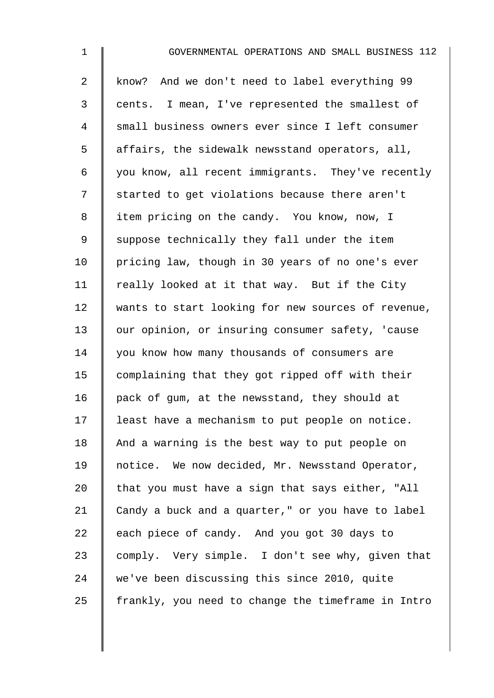| $\mathbf 1$    | GOVERNMENTAL OPERATIONS AND SMALL BUSINESS 112     |
|----------------|----------------------------------------------------|
| $\overline{a}$ | know? And we don't need to label everything 99     |
| 3              | cents. I mean, I've represented the smallest of    |
| 4              | small business owners ever since I left consumer   |
| 5              | affairs, the sidewalk newsstand operators, all,    |
| 6              | you know, all recent immigrants. They've recently  |
| 7              | started to get violations because there aren't     |
| 8              | item pricing on the candy. You know, now, I        |
| $\mathsf 9$    | suppose technically they fall under the item       |
| 10             | pricing law, though in 30 years of no one's ever   |
| 11             | really looked at it that way. But if the City      |
| 12             | wants to start looking for new sources of revenue, |
| 13             | our opinion, or insuring consumer safety, 'cause   |
| 14             | you know how many thousands of consumers are       |
| 15             | complaining that they got ripped off with their    |
| 16             | pack of gum, at the newsstand, they should at      |
| 17             | least have a mechanism to put people on notice.    |
| 18             | And a warning is the best way to put people on     |
| 19             | notice. We now decided, Mr. Newsstand Operator,    |
| 20             | that you must have a sign that says either, "All   |
| 21             | Candy a buck and a quarter," or you have to label  |
| 22             | each piece of candy. And you got 30 days to        |
| 23             | comply. Very simple. I don't see why, given that   |
| 24             | we've been discussing this since 2010, quite       |
| 25             | frankly, you need to change the timeframe in Intro |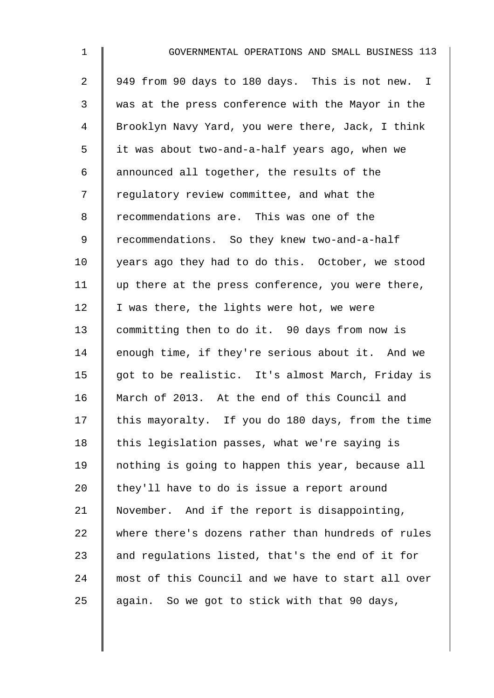| $\mathbf 1$    | GOVERNMENTAL OPERATIONS AND SMALL BUSINESS 113     |
|----------------|----------------------------------------------------|
| $\overline{a}$ | 949 from 90 days to 180 days. This is not new. I   |
| 3              | was at the press conference with the Mayor in the  |
| 4              | Brooklyn Navy Yard, you were there, Jack, I think  |
| 5              | it was about two-and-a-half years ago, when we     |
| 6              | announced all together, the results of the         |
| 7              | regulatory review committee, and what the          |
| 8              | recommendations are. This was one of the           |
| 9              | recommendations. So they knew two-and-a-half       |
| 10             | years ago they had to do this. October, we stood   |
| 11             | up there at the press conference, you were there,  |
| 12             | I was there, the lights were hot, we were          |
| 13             | committing then to do it. 90 days from now is      |
| 14             | enough time, if they're serious about it. And we   |
| 15             | got to be realistic. It's almost March, Friday is  |
| 16             | March of 2013. At the end of this Council and      |
| 17             | this mayoralty. If you do 180 days, from the time  |
| 18             | this legislation passes, what we're saying is      |
| 19             | nothing is going to happen this year, because all  |
| 20             | they'll have to do is issue a report around        |
| 21             | November. And if the report is disappointing,      |
| 22             | where there's dozens rather than hundreds of rules |
| 23             | and regulations listed, that's the end of it for   |
| 24             | most of this Council and we have to start all over |
| 25             | again. So we got to stick with that 90 days,       |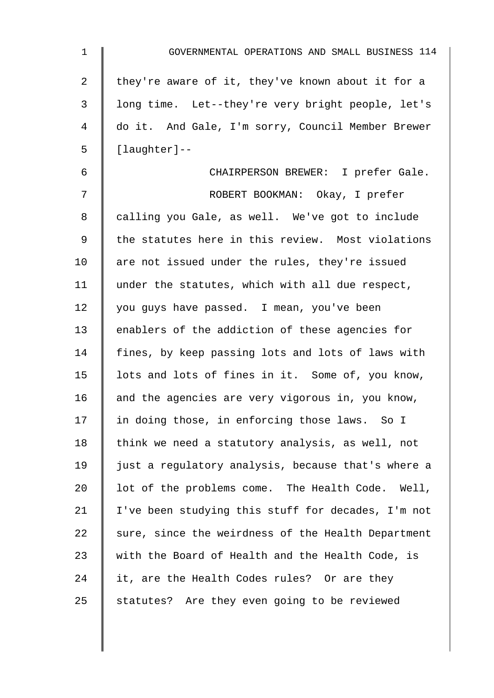| 1  | GOVERNMENTAL OPERATIONS AND SMALL BUSINESS 114     |
|----|----------------------------------------------------|
| 2  | they're aware of it, they've known about it for a  |
| 3  | long time. Let--they're very bright people, let's  |
| 4  | do it. And Gale, I'm sorry, Council Member Brewer  |
| 5  | $[$ laughter]--                                    |
| 6  | CHAIRPERSON BREWER: I prefer Gale.                 |
| 7  | ROBERT BOOKMAN: Okay, I prefer                     |
| 8  | calling you Gale, as well. We've got to include    |
| 9  | the statutes here in this review. Most violations  |
| 10 | are not issued under the rules, they're issued     |
| 11 | under the statutes, which with all due respect,    |
| 12 | you guys have passed. I mean, you've been          |
| 13 | enablers of the addiction of these agencies for    |
| 14 | fines, by keep passing lots and lots of laws with  |
| 15 | lots and lots of fines in it. Some of, you know,   |
| 16 | and the agencies are very vigorous in, you know,   |
| 17 | in doing those, in enforcing those laws. So I      |
| 18 | think we need a statutory analysis, as well, not   |
| 19 | just a regulatory analysis, because that's where a |
| 20 | lot of the problems come. The Health Code. Well,   |
| 21 | I've been studying this stuff for decades, I'm not |
| 22 | sure, since the weirdness of the Health Department |
| 23 | with the Board of Health and the Health Code, is   |
| 24 | it, are the Health Codes rules? Or are they        |
| 25 | statutes? Are they even going to be reviewed       |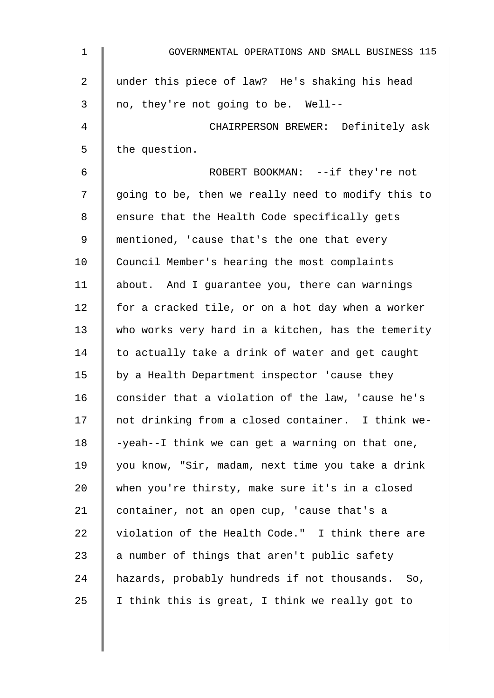| $\mathbf 1$     | GOVERNMENTAL OPERATIONS AND SMALL BUSINESS 115     |
|-----------------|----------------------------------------------------|
| 2               | under this piece of law? He's shaking his head     |
| 3               | no, they're not going to be. Well--                |
| 4               | CHAIRPERSON BREWER: Definitely ask                 |
| 5               | the question.                                      |
| 6               | ROBERT BOOKMAN: --if they're not                   |
| 7               | going to be, then we really need to modify this to |
| 8               | ensure that the Health Code specifically gets      |
| 9               | mentioned, 'cause that's the one that every        |
| 10 <sub>1</sub> | Council Member's hearing the most complaints       |
| 11              | about. And I guarantee you, there can warnings     |
| 12              | for a cracked tile, or on a hot day when a worker  |
| 13              | who works very hard in a kitchen, has the temerity |
| 14              | to actually take a drink of water and get caught   |
| 15              | by a Health Department inspector 'cause they       |
| 16              | consider that a violation of the law, 'cause he's  |
| 17              | not drinking from a closed container. I think we-  |
| 18              | -yeah--I think we can get a warning on that one,   |
| 19              | you know, "Sir, madam, next time you take a drink  |
| 20              | when you're thirsty, make sure it's in a closed    |
| 21              | container, not an open cup, 'cause that's a        |
| 22              | violation of the Health Code." I think there are   |
| 23              | a number of things that aren't public safety       |
| 24              | hazards, probably hundreds if not thousands. So,   |
| 25              | I think this is great, I think we really got to    |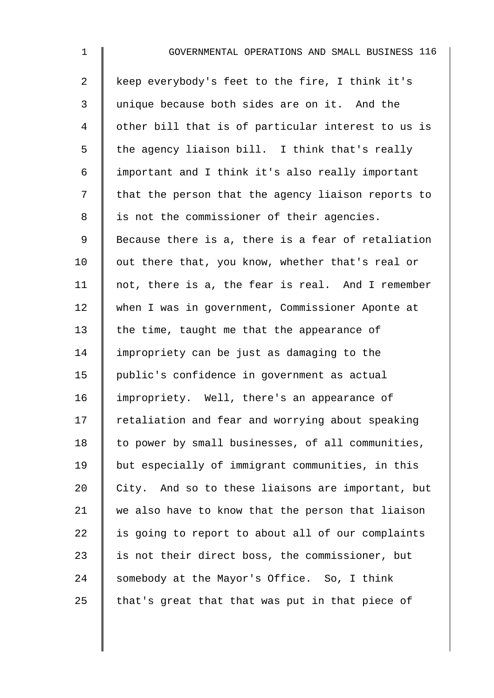| $\mathbf{1}$   | GOVERNMENTAL OPERATIONS AND SMALL BUSINESS 116     |
|----------------|----------------------------------------------------|
| $\overline{2}$ | keep everybody's feet to the fire, I think it's    |
| 3              | unique because both sides are on it. And the       |
| 4              | other bill that is of particular interest to us is |
| 5              | the agency liaison bill. I think that's really     |
| 6              | important and I think it's also really important   |
| 7              | that the person that the agency liaison reports to |
| 8              | is not the commissioner of their agencies.         |
| 9              | Because there is a, there is a fear of retaliation |
| 10             | out there that, you know, whether that's real or   |
| 11             | not, there is a, the fear is real. And I remember  |
| 12             | when I was in government, Commissioner Aponte at   |
| 13             | the time, taught me that the appearance of         |
| 14             | impropriety can be just as damaging to the         |
| 15             | public's confidence in government as actual        |
| 16             | impropriety. Well, there's an appearance of        |
| 17             | retaliation and fear and worrying about speaking   |
| 18             | to power by small businesses, of all communities,  |
| 19             | but especially of immigrant communities, in this   |
| 20             | City. And so to these liaisons are important, but  |
| 21             | we also have to know that the person that liaison  |
| 22             | is going to report to about all of our complaints  |
| 23             | is not their direct boss, the commissioner, but    |
| 24             | somebody at the Mayor's Office. So, I think        |
| 25             | that's great that that was put in that piece of    |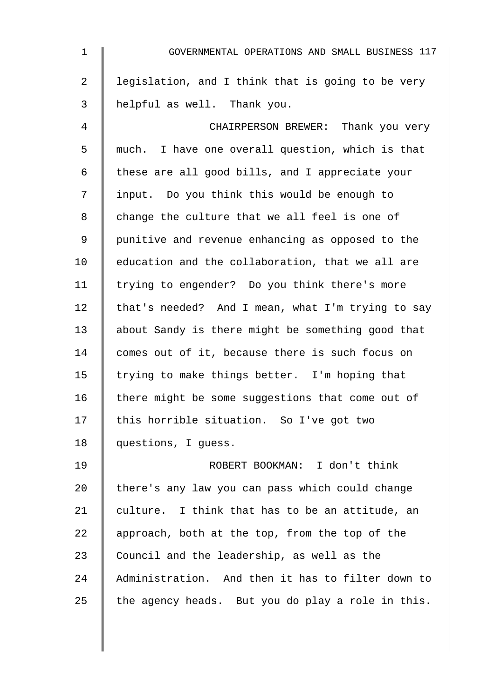| $\mathbf 1$    | GOVERNMENTAL OPERATIONS AND SMALL BUSINESS 117    |
|----------------|---------------------------------------------------|
| $\overline{2}$ | legislation, and I think that is going to be very |
| 3              | helpful as well. Thank you.                       |
| 4              | CHAIRPERSON BREWER: Thank you very                |
| 5              | much. I have one overall question, which is that  |
| 6              | these are all good bills, and I appreciate your   |
| 7              | input. Do you think this would be enough to       |
| 8              | change the culture that we all feel is one of     |
| $\mathsf 9$    | punitive and revenue enhancing as opposed to the  |
| 10             | education and the collaboration, that we all are  |
| 11             | trying to engender? Do you think there's more     |
| 12             | that's needed? And I mean, what I'm trying to say |
| 13             | about Sandy is there might be something good that |
| 14             | comes out of it, because there is such focus on   |
| 15             | trying to make things better. I'm hoping that     |
| 16             | there might be some suggestions that come out of  |
| 17             | this horrible situation. So I've got two          |
| 18             | questions, I guess.                               |
| 19             | ROBERT BOOKMAN: I don't think                     |
| 20             | there's any law you can pass which could change   |
| 21             | culture. I think that has to be an attitude, an   |
| 22             | approach, both at the top, from the top of the    |
| 23             | Council and the leadership, as well as the        |
| 24             | Administration. And then it has to filter down to |
| 25             | the agency heads. But you do play a role in this. |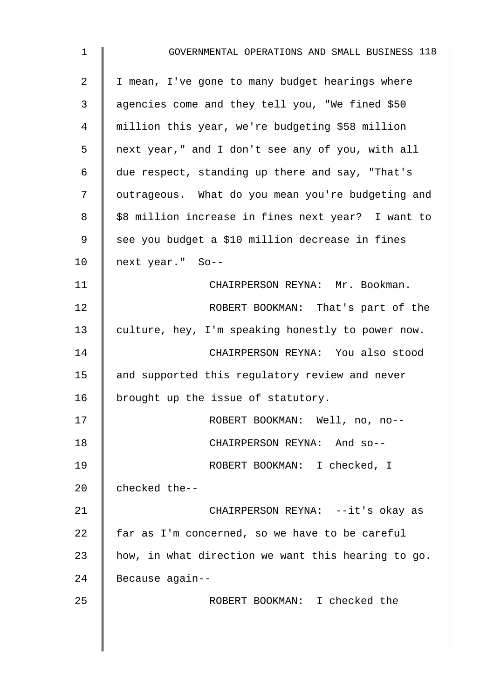| $\mathbf{1}$ | GOVERNMENTAL OPERATIONS AND SMALL BUSINESS 118     |
|--------------|----------------------------------------------------|
| 2            | I mean, I've gone to many budget hearings where    |
| 3            | agencies come and they tell you, "We fined \$50    |
| 4            | million this year, we're budgeting \$58 million    |
| 5            | next year," and I don't see any of you, with all   |
| 6            | due respect, standing up there and say, "That's    |
| 7            | outrageous. What do you mean you're budgeting and  |
| 8            | \$8 million increase in fines next year? I want to |
| 9            | see you budget a \$10 million decrease in fines    |
| 10           | next year." So--                                   |
| 11           | CHAIRPERSON REYNA: Mr. Bookman.                    |
| 12           | ROBERT BOOKMAN: That's part of the                 |
| 13           | culture, hey, I'm speaking honestly to power now.  |
| 14           | CHAIRPERSON REYNA: You also stood                  |
| 15           | and supported this regulatory review and never     |
| 16           | brought up the issue of statutory.                 |
| 17           | ROBERT BOOKMAN: Well, no, no--                     |
| 18           | CHAIRPERSON REYNA: And so--                        |
| 19           | ROBERT BOOKMAN: I checked, I                       |
| 20           | checked the--                                      |
| 21           | CHAIRPERSON REYNA: --it's okay as                  |
| 22           | far as I'm concerned, so we have to be careful     |
| 23           | how, in what direction we want this hearing to go. |
| 24           | Because again--                                    |
| 25           | ROBERT BOOKMAN: I checked the                      |
|              |                                                    |
|              |                                                    |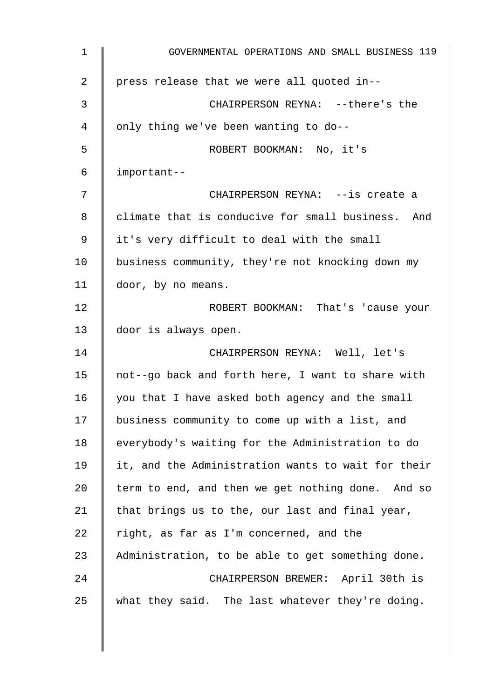| 1  | GOVERNMENTAL OPERATIONS AND SMALL BUSINESS 119     |
|----|----------------------------------------------------|
| 2  | press release that we were all quoted in--         |
| 3  | CHAIRPERSON REYNA: -- there's the                  |
| 4  | only thing we've been wanting to do--              |
| 5  | ROBERT BOOKMAN: No, it's                           |
| 6  | important--                                        |
| 7  | CHAIRPERSON REYNA: --is create a                   |
| 8  | climate that is conducive for small business. And  |
| 9  | it's very difficult to deal with the small         |
| 10 | business community, they're not knocking down my   |
| 11 | door, by no means.                                 |
| 12 | ROBERT BOOKMAN: That's 'cause your                 |
| 13 | door is always open.                               |
| 14 | CHAIRPERSON REYNA: Well, let's                     |
| 15 | not--go back and forth here, I want to share with  |
| 16 | you that I have asked both agency and the small    |
| 17 | business community to come up with a list, and     |
| 18 | everybody's waiting for the Administration to do   |
| 19 | it, and the Administration wants to wait for their |
| 20 | term to end, and then we get nothing done. And so  |
| 21 | that brings us to the, our last and final year,    |
| 22 | right, as far as I'm concerned, and the            |
| 23 | Administration, to be able to get something done.  |
| 24 | CHAIRPERSON BREWER: April 30th is                  |
| 25 | what they said. The last whatever they're doing.   |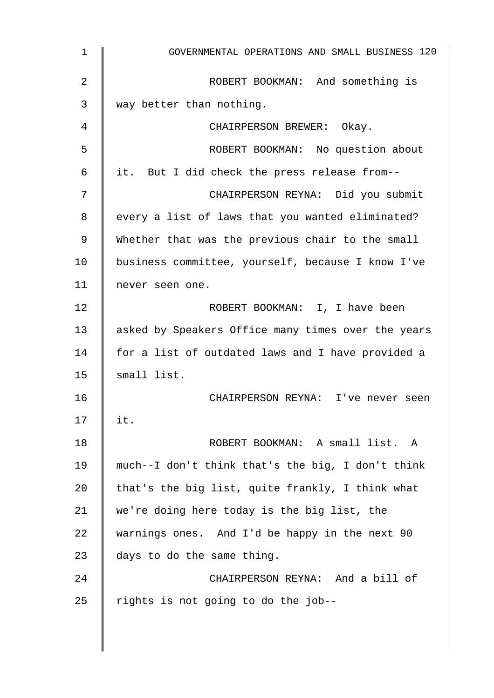| $\mathbf{1}$   | GOVERNMENTAL OPERATIONS AND SMALL BUSINESS 120     |
|----------------|----------------------------------------------------|
| $\overline{2}$ | ROBERT BOOKMAN: And something is                   |
| 3              | way better than nothing.                           |
| 4              | CHAIRPERSON BREWER: Okay.                          |
| 5              | ROBERT BOOKMAN: No question about                  |
| 6              | it. But I did check the press release from--       |
| 7              | CHAIRPERSON REYNA: Did you submit                  |
| 8              | every a list of laws that you wanted eliminated?   |
| 9              | Whether that was the previous chair to the small   |
| 10             | business committee, yourself, because I know I've  |
| 11             | never seen one.                                    |
| 12             | ROBERT BOOKMAN: I, I have been                     |
| 13             | asked by Speakers Office many times over the years |
| 14             | for a list of outdated laws and I have provided a  |
| 15             | small list.                                        |
| 16             | CHAIRPERSON REYNA: I've never seen                 |
| 17             | it.                                                |
| 18             | ROBERT BOOKMAN: A small list. A                    |
| 19             | much--I don't think that's the big, I don't think  |
| 20             | that's the big list, quite frankly, I think what   |
| 21             | we're doing here today is the big list, the        |
| 22             | warnings ones. And I'd be happy in the next 90     |
| 23             | days to do the same thing.                         |
| 24             | CHAIRPERSON REYNA: And a bill of                   |
| 25             | rights is not going to do the job--                |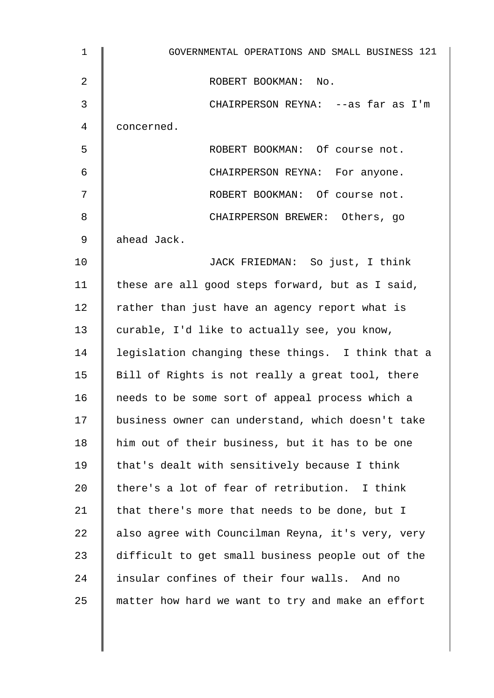| $\mathbf 1$ | GOVERNMENTAL OPERATIONS AND SMALL BUSINESS 121    |
|-------------|---------------------------------------------------|
| 2           | ROBERT BOOKMAN: No.                               |
| 3           | CHAIRPERSON REYNA: --as far as I'm                |
| 4           | concerned.                                        |
| 5           | ROBERT BOOKMAN: Of course not.                    |
| 6           | CHAIRPERSON REYNA: For anyone.                    |
| 7           | ROBERT BOOKMAN: Of course not.                    |
| 8           | CHAIRPERSON BREWER: Others, go                    |
| 9           | ahead Jack.                                       |
| 10          | JACK FRIEDMAN: So just, I think                   |
| 11          | these are all good steps forward, but as I said,  |
| 12          | rather than just have an agency report what is    |
| 13          | curable, I'd like to actually see, you know,      |
| 14          | legislation changing these things. I think that a |
| 15          | Bill of Rights is not really a great tool, there  |
| 16          | needs to be some sort of appeal process which a   |
| 17          | business owner can understand, which doesn't take |
| 18          | him out of their business, but it has to be one   |
| 19          | that's dealt with sensitively because I think     |
| 20          | there's a lot of fear of retribution. I think     |
| 21          | that there's more that needs to be done, but I    |
| 22          | also agree with Councilman Reyna, it's very, very |
| 23          | difficult to get small business people out of the |
| 24          | insular confines of their four walls. And no      |
| 25          | matter how hard we want to try and make an effort |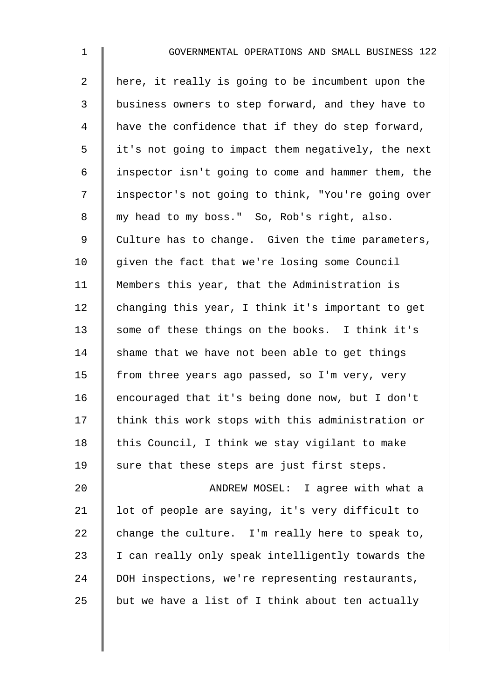| $\mathbf{1}$   | GOVERNMENTAL OPERATIONS AND SMALL BUSINESS 122     |
|----------------|----------------------------------------------------|
| $\overline{2}$ | here, it really is going to be incumbent upon the  |
| 3              | business owners to step forward, and they have to  |
| 4              | have the confidence that if they do step forward,  |
| 5              | it's not going to impact them negatively, the next |
| 6              | inspector isn't going to come and hammer them, the |
| 7              | inspector's not going to think, "You're going over |
| 8              | my head to my boss." So, Rob's right, also.        |
| 9              | Culture has to change. Given the time parameters,  |
| 10             | given the fact that we're losing some Council      |
| 11             | Members this year, that the Administration is      |

12  $\parallel$  changing this year, I think it's important to get 13 some of these things on the books. I think it's 14 Shame that we have not been able to get things 15 | from three years ago passed, so I'm very, very 16 encouraged that it's being done now, but I don't 17 | think this work stops with this administration or 18  $\parallel$  this Council, I think we stay vigilant to make 19  $\parallel$  sure that these steps are just first steps.

20 | ANDREW MOSEL: I agree with what a 21 | lot of people are saying, it's very difficult to 22 change the culture. I'm really here to speak to,  $23$  | I can really only speak intelligently towards the 24 DOH inspections, we're representing restaurants, 25 but we have a list of I think about ten actually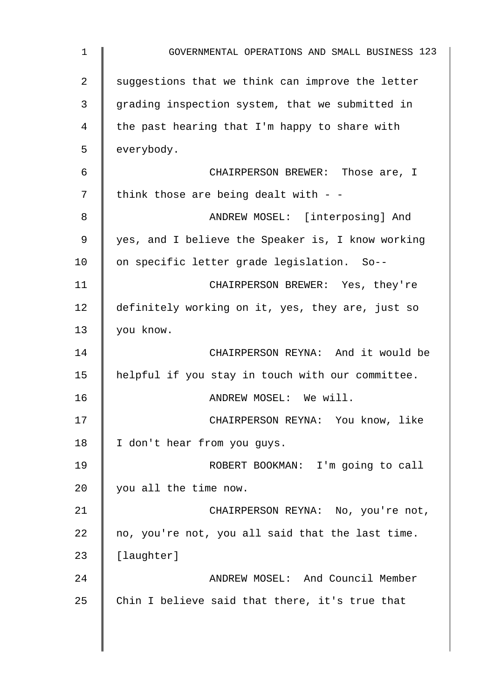| $\mathbf 1$    | GOVERNMENTAL OPERATIONS AND SMALL BUSINESS 123    |
|----------------|---------------------------------------------------|
| $\overline{2}$ | suggestions that we think can improve the letter  |
| 3              | grading inspection system, that we submitted in   |
| 4              | the past hearing that I'm happy to share with     |
| 5              | everybody.                                        |
| 6              | CHAIRPERSON BREWER: Those are, I                  |
| 7              | think those are being dealt with $-$              |
| 8              | ANDREW MOSEL: [interposing] And                   |
| 9              | yes, and I believe the Speaker is, I know working |
| 10             | on specific letter grade legislation. So--        |
| 11             | CHAIRPERSON BREWER: Yes, they're                  |
| 12             | definitely working on it, yes, they are, just so  |
| 13             | you know.                                         |
| 14             | CHAIRPERSON REYNA: And it would be                |
| 15             | helpful if you stay in touch with our committee.  |
| 16             | ANDREW MOSEL: We will.                            |
| 17             | CHAIRPERSON REYNA: You know, like                 |
| 18             | I don't hear from you guys.                       |
| 19             | ROBERT BOOKMAN: I'm going to call                 |
| 20             | you all the time now.                             |
| 21             | CHAIRPERSON REYNA: No, you're not,                |
| 22             | no, you're not, you all said that the last time.  |
| 23             | [laughter]                                        |
| 24             | ANDREW MOSEL: And Council Member                  |
| 25             | Chin I believe said that there, it's true that    |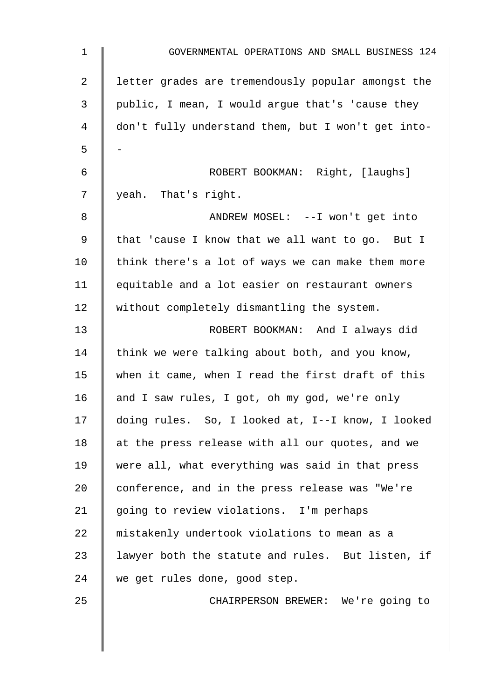| $\mathbf 1$    | GOVERNMENTAL OPERATIONS AND SMALL BUSINESS 124     |
|----------------|----------------------------------------------------|
| $\overline{a}$ | letter grades are tremendously popular amongst the |
| 3              | public, I mean, I would argue that's 'cause they   |
| 4              | don't fully understand them, but I won't get into- |
| 5              |                                                    |
| 6              | ROBERT BOOKMAN: Right, [laughs]                    |
| 7              | yeah. That's right.                                |
| 8              | ANDREW MOSEL: -- I won't get into                  |
| 9              | that 'cause I know that we all want to go. But I   |
| 10             | think there's a lot of ways we can make them more  |
| 11             | equitable and a lot easier on restaurant owners    |
| 12             | without completely dismantling the system.         |
| 13             | ROBERT BOOKMAN: And I always did                   |
| 14             | think we were talking about both, and you know,    |
| 15             | when it came, when I read the first draft of this  |
| 16             | and I saw rules, I got, oh my god, we're only      |
| 17             | doing rules. So, I looked at, I--I know, I looked  |
| 18             | at the press release with all our quotes, and we   |
| 19             | were all, what everything was said in that press   |
| 20             | conference, and in the press release was "We're    |
| 21             | going to review violations. I'm perhaps            |
| 22             | mistakenly undertook violations to mean as a       |
| 23             | lawyer both the statute and rules. But listen, if  |
| 24             | we get rules done, good step.                      |
| 25             | CHAIRPERSON BREWER: We're going to                 |
|                |                                                    |
|                |                                                    |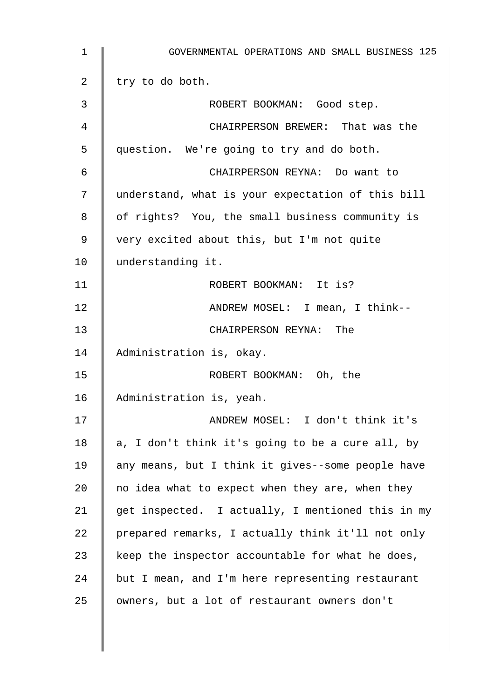| 1               | GOVERNMENTAL OPERATIONS AND SMALL BUSINESS 125    |
|-----------------|---------------------------------------------------|
| 2               | try to do both.                                   |
| 3               | ROBERT BOOKMAN: Good step.                        |
| 4               | CHAIRPERSON BREWER: That was the                  |
| 5               | question. We're going to try and do both.         |
| 6               | CHAIRPERSON REYNA: Do want to                     |
| 7               | understand, what is your expectation of this bill |
| 8               | of rights? You, the small business community is   |
| 9               | very excited about this, but I'm not quite        |
| 10 <sub>1</sub> | understanding it.                                 |
| 11              | ROBERT BOOKMAN: It is?                            |
| 12              | ANDREW MOSEL: I mean, I think--                   |
| 13              | CHAIRPERSON REYNA: The                            |
| 14              | Administration is, okay.                          |
| 15              | ROBERT BOOKMAN: Oh, the                           |
| 16              | Administration is, yeah.                          |
| 17              | ANDREW MOSEL: I don't think it's                  |
| 18              | a, I don't think it's going to be a cure all, by  |
| 19              | any means, but I think it gives--some people have |
| 20              | no idea what to expect when they are, when they   |
| 21              | get inspected. I actually, I mentioned this in my |
| 22              | prepared remarks, I actually think it'll not only |
| 23              | keep the inspector accountable for what he does,  |
| 24              | but I mean, and I'm here representing restaurant  |
| 25              | owners, but a lot of restaurant owners don't      |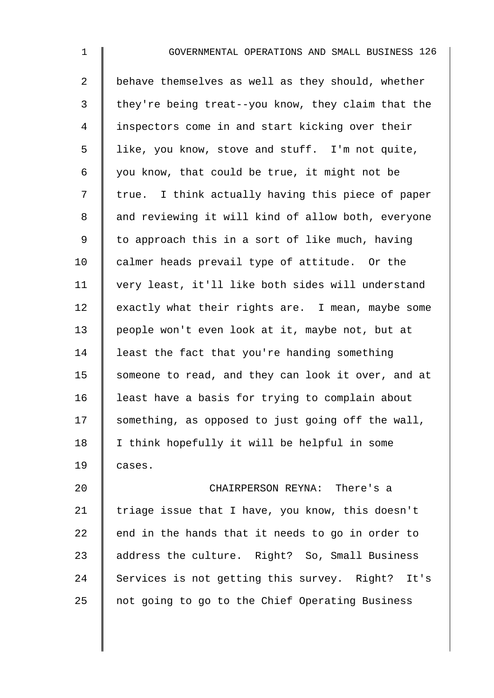1 **6** GOVERNMENTAL OPERATIONS AND SMALL BUSINESS 126 2 behave themselves as well as they should, whether  $3 \parallel$  they're being treat--you know, they claim that the 4 I inspectors come in and start kicking over their 5 | like, you know, stove and stuff. I'm not quite, 6 | you know, that could be true, it might not be  $7 \parallel$  true. I think actually having this piece of paper 8 || and reviewing it will kind of allow both, everyone 9  $\parallel$  to approach this in a sort of like much, having 10  $\parallel$  calmer heads prevail type of attitude. Or the 11 very least, it'll like both sides will understand  $12$  exactly what their rights are. I mean, maybe some 13 people won't even look at it, maybe not, but at 14 | least the fact that you're handing something 15 Someone to read, and they can look it over, and at 16 | least have a basis for trying to complain about  $17$  something, as opposed to just going off the wall, 18 I think hopefully it will be helpful in some  $19 \parallel \text{cases}.$ 

20 CHAIRPERSON REYNA: There's a 21 Triage issue that I have, you know, this doesn't 22  $\parallel$  end in the hands that it needs to go in order to 23 address the culture. Right? So, Small Business 24 Services is not getting this survey. Right? It's  $25$  not going to go to the Chief Operating Business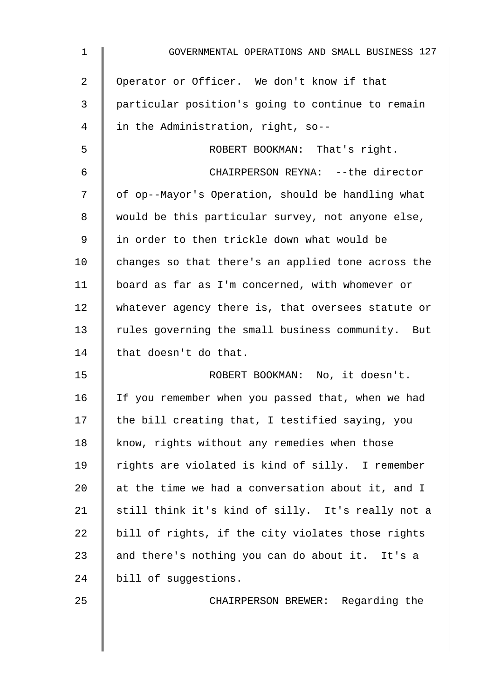| $\mathbf 1$ | GOVERNMENTAL OPERATIONS AND SMALL BUSINESS 127     |
|-------------|----------------------------------------------------|
| 2           | Operator or Officer. We don't know if that         |
| 3           | particular position's going to continue to remain  |
| 4           | in the Administration, right, so--                 |
| 5           | ROBERT BOOKMAN: That's right.                      |
| 6           | CHAIRPERSON REYNA: -- the director                 |
| 7           | of op--Mayor's Operation, should be handling what  |
| 8           | would be this particular survey, not anyone else,  |
| 9           | in order to then trickle down what would be        |
| 10          | changes so that there's an applied tone across the |
| 11          | board as far as I'm concerned, with whomever or    |
| 12          | whatever agency there is, that oversees statute or |
| 13          | rules governing the small business community. But  |
| 14          | that doesn't do that.                              |
| 15          | ROBERT BOOKMAN: No, it doesn't.                    |
| 16          | If you remember when you passed that, when we had  |
| 17          | the bill creating that, I testified saying, you    |
| 18          | know, rights without any remedies when those       |
| 19          | rights are violated is kind of silly. I remember   |
| 20          | at the time we had a conversation about it, and I  |
| 21          | still think it's kind of silly. It's really not a  |
| 22          | bill of rights, if the city violates those rights  |
| 23          | and there's nothing you can do about it. It's a    |
| 24          | bill of suggestions.                               |
| 25          | CHAIRPERSON BREWER: Regarding the                  |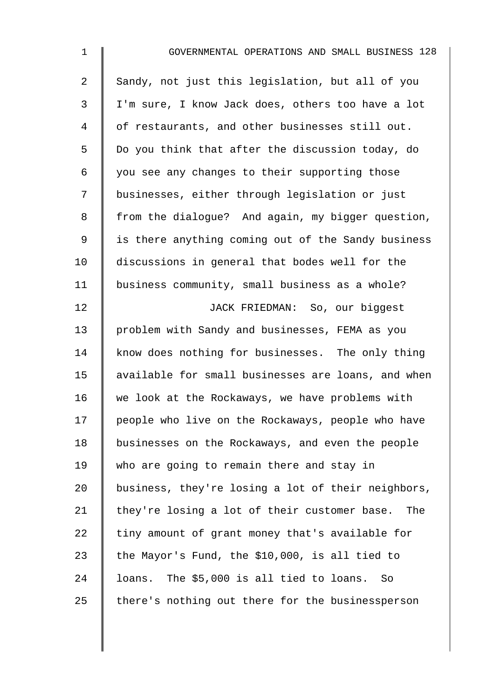| $\mathbf{1}$ | GOVERNMENTAL OPERATIONS AND SMALL BUSINESS 128      |
|--------------|-----------------------------------------------------|
| 2            | Sandy, not just this legislation, but all of you    |
| 3            | I'm sure, I know Jack does, others too have a lot   |
| 4            | of restaurants, and other businesses still out.     |
| 5            | Do you think that after the discussion today, do    |
| 6            | you see any changes to their supporting those       |
| 7            | businesses, either through legislation or just      |
| 8            | from the dialogue? And again, my bigger question,   |
| $\mathsf 9$  | is there anything coming out of the Sandy business  |
| 10           | discussions in general that bodes well for the      |
| 11           | business community, small business as a whole?      |
| 12           | JACK FRIEDMAN: So, our biggest                      |
| 13           | problem with Sandy and businesses, FEMA as you      |
| 14           | know does nothing for businesses. The only thing    |
| 15           | available for small businesses are loans, and when  |
| 16           | we look at the Rockaways, we have problems with     |
| 17           | people who live on the Rockaways, people who have   |
| 18           | businesses on the Rockaways, and even the people    |
| 19           | who are going to remain there and stay in           |
| 20           | business, they're losing a lot of their neighbors,  |
| 21           | they're losing a lot of their customer base.<br>The |
| 22           | tiny amount of grant money that's available for     |
| 23           | the Mayor's Fund, the \$10,000, is all tied to      |
| 24           | loans. The \$5,000 is all tied to loans.<br>So      |
| 25           | there's nothing out there for the businessperson    |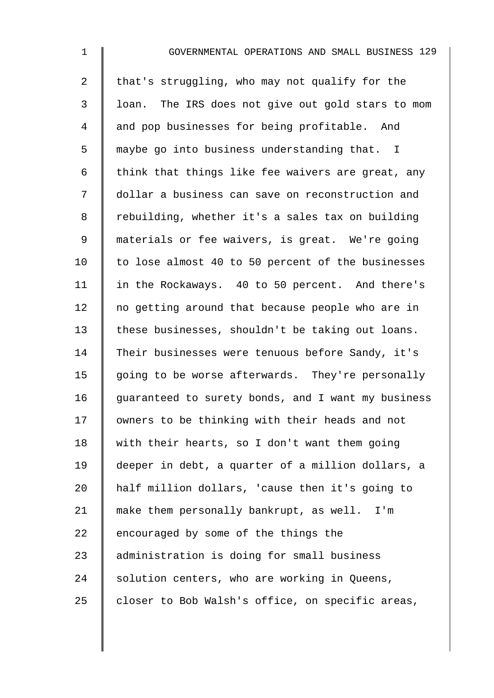| $\mathbf 1$ | GOVERNMENTAL OPERATIONS AND SMALL BUSINESS 129     |
|-------------|----------------------------------------------------|
| 2           | that's struggling, who may not qualify for the     |
| 3           | loan. The IRS does not give out gold stars to mom  |
| 4           | and pop businesses for being profitable. And       |
| 5           | maybe go into business understanding that. I       |
| 6           | think that things like fee waivers are great, any  |
| 7           | dollar a business can save on reconstruction and   |
| 8           | rebuilding, whether it's a sales tax on building   |
| $\mathsf 9$ | materials or fee waivers, is great. We're going    |
| 10          | to lose almost 40 to 50 percent of the businesses  |
| 11          | in the Rockaways. 40 to 50 percent. And there's    |
| 12          | no getting around that because people who are in   |
| 13          | these businesses, shouldn't be taking out loans.   |
| 14          | Their businesses were tenuous before Sandy, it's   |
| 15          | going to be worse afterwards. They're personally   |
| 16          | guaranteed to surety bonds, and I want my business |
| 17          | owners to be thinking with their heads and not     |
| 18          | with their hearts, so I don't want them going      |
| 19          | deeper in debt, a quarter of a million dollars, a  |
| 20          | half million dollars, 'cause then it's going to    |
| 21          | make them personally bankrupt, as well. I'm        |
| 22          | encouraged by some of the things the               |
| 23          | administration is doing for small business         |
| 24          | solution centers, who are working in Queens,       |
| 25          | closer to Bob Walsh's office, on specific areas,   |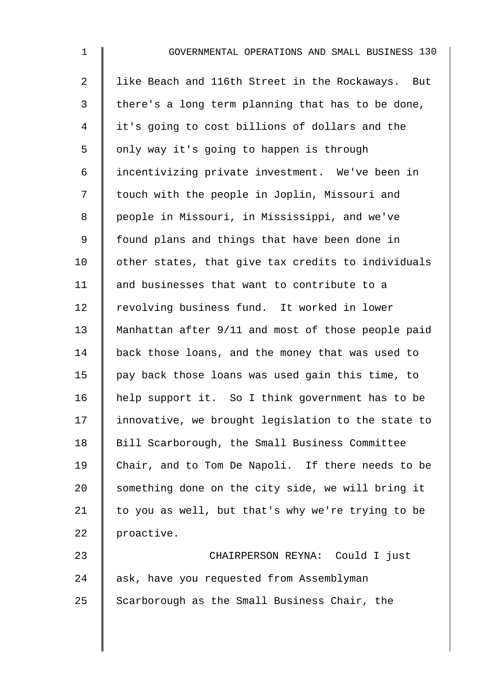1 GOVERNMENTAL OPERATIONS AND SMALL BUSINESS 130 2 I like Beach and 116th Street in the Rockaways. But  $3 \parallel$  there's a long term planning that has to be done, 4 I it's going to cost billions of dollars and the 5 | only way it's going to happen is through 6 incentivizing private investment. We've been in 7 | touch with the people in Joplin, Missouri and 8 | people in Missouri, in Mississippi, and we've 9 | found plans and things that have been done in  $10$  | other states, that give tax credits to individuals 11 | and businesses that want to contribute to a 12 revolving business fund. It worked in lower 13 Manhattan after 9/11 and most of those people paid 14 back those loans, and the money that was used to 15  $\parallel$  pay back those loans was used gain this time, to 16 | help support it. So I think government has to be 17 I innovative, we brought legislation to the state to 18 Bill Scarborough, the Small Business Committee 19 Chair, and to Tom De Napoli. If there needs to be 20 something done on the city side, we will bring it 21  $\parallel$  to you as well, but that's why we're trying to be 22 proactive. 23 CHAIRPERSON REYNA: Could I just 24 ask, have you requested from Assemblyman

25 Scarborough as the Small Business Chair, the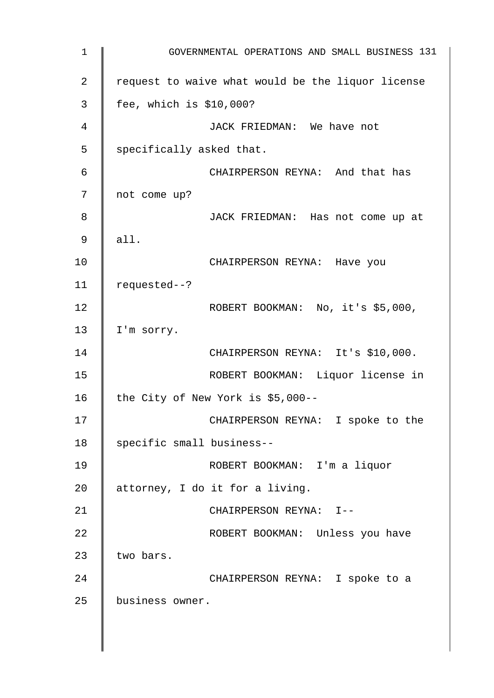1 | GOVERNMENTAL OPERATIONS AND SMALL BUSINESS 131 2  $\parallel$  request to waive what would be the liquor license 3 fee, which is \$10,000? 4 JACK FRIEDMAN: We have not  $5 \parallel$  specifically asked that. 6 CHAIRPERSON REYNA: And that has 7 not come up? 8 || JACK FRIEDMAN: Has not come up at 9 all. 10 | CHAIRPERSON REYNA: Have you 11 requested--? 12 | ROBERT BOOKMAN: No, it's \$5,000, 13 | I'm sorry. 14 | CHAIRPERSON REYNA: It's \$10,000. 15 ROBERT BOOKMAN: Liquor license in 16 the City of New York is  $$5,000--$ 17 || CHAIRPERSON REYNA: I spoke to the 18 | specific small business--19 ROBERT BOOKMAN: I'm a liquor 20  $\parallel$  attorney, I do it for a living. 21 || CHAIRPERSON REYNA: I--22 | ROBERT BOOKMAN: Unless you have 23  $\parallel$  two bars. 24 | CHAIRPERSON REYNA: I spoke to a 25 business owner.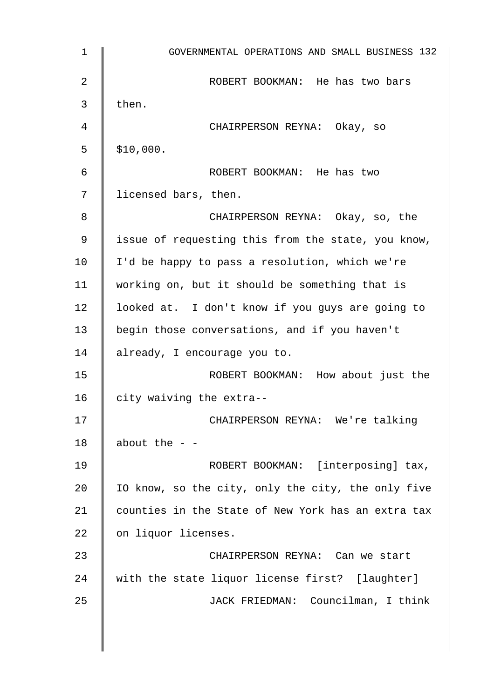1 GOVERNMENTAL OPERATIONS AND SMALL BUSINESS 132 2 **CORT BOOKMAN:** He has two bars  $3 \parallel$  then. 4 CHAIRPERSON REYNA: Okay, so  $5 \parallel$  \$10,000. 6 ROBERT BOOKMAN: He has two 7 | licensed bars, then. 8 CHAIRPERSON REYNA: Okay, so, the 9 | issue of requesting this from the state, you know,  $10$  | I'd be happy to pass a resolution, which we're 11 | working on, but it should be something that is 12 | looked at. I don't know if you guys are going to 13 begin those conversations, and if you haven't 14 already, I encourage you to. 15 | ROBERT BOOKMAN: How about just the 16  $\parallel$  city waiving the extra--17 | CHAIRPERSON REYNA: We're talking 18  $\parallel$  about the --19 | ROBERT BOOKMAN: [interposing] tax, 20  $\parallel$  10 know, so the city, only the city, the only five 21 | counties in the State of New York has an extra tax 22 | on liquor licenses. 23 || CHAIRPERSON REYNA: Can we start 24 with the state liquor license first? [laughter] 25 | JACK FRIEDMAN: Councilman, I think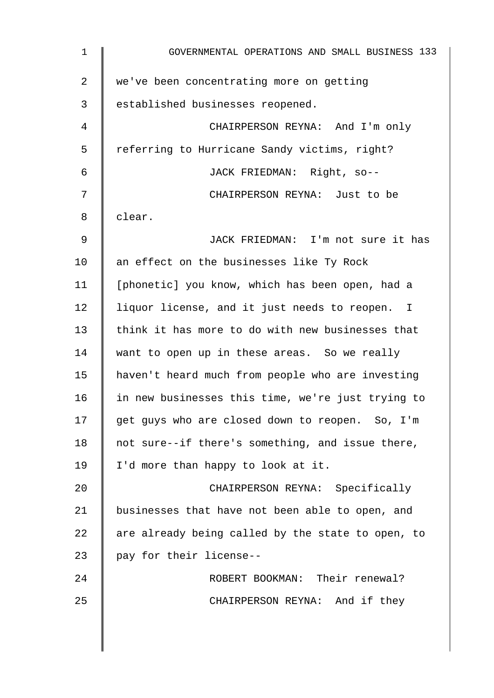| $\mathbf 1$    | GOVERNMENTAL OPERATIONS AND SMALL BUSINESS 133    |
|----------------|---------------------------------------------------|
| $\overline{2}$ | we've been concentrating more on getting          |
| 3              | established businesses reopened.                  |
| 4              | CHAIRPERSON REYNA: And I'm only                   |
| 5              | referring to Hurricane Sandy victims, right?      |
| 6              | JACK FRIEDMAN: Right, so--                        |
| 7              | CHAIRPERSON REYNA: Just to be                     |
| 8              | clear.                                            |
| 9              | JACK FRIEDMAN: I'm not sure it has                |
| 10             | an effect on the businesses like Ty Rock          |
| 11             | [phonetic] you know, which has been open, had a   |
| 12             | liquor license, and it just needs to reopen. I    |
| 13             | think it has more to do with new businesses that  |
| 14             | want to open up in these areas. So we really      |
| 15             | haven't heard much from people who are investing  |
| 16             | in new businesses this time, we're just trying to |
| 17             | get guys who are closed down to reopen. So, I'm   |
| 18             | not sure--if there's something, and issue there,  |
| 19             | I'd more than happy to look at it.                |
| 20             | CHAIRPERSON REYNA: Specifically                   |
| 21             | businesses that have not been able to open, and   |
| 22             | are already being called by the state to open, to |
| 23             | pay for their license--                           |
| 24             | ROBERT BOOKMAN: Their renewal?                    |
| 25             | CHAIRPERSON REYNA: And if they                    |
|                |                                                   |
|                |                                                   |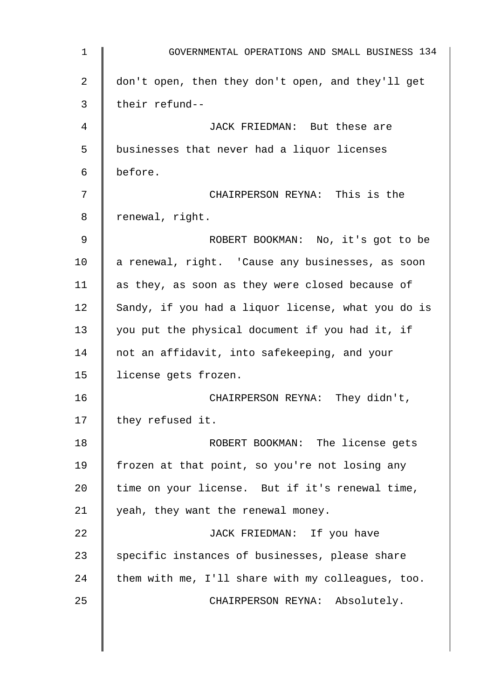| $\mathbf{1}$ | GOVERNMENTAL OPERATIONS AND SMALL BUSINESS 134     |
|--------------|----------------------------------------------------|
| 2            | don't open, then they don't open, and they'll get  |
| 3            | their refund--                                     |
| 4            | JACK FRIEDMAN: But these are                       |
| 5            | businesses that never had a liquor licenses        |
| 6            | before.                                            |
| 7            | CHAIRPERSON REYNA: This is the                     |
| 8            | renewal, right.                                    |
| 9            | ROBERT BOOKMAN: No, it's got to be                 |
| 10           | a renewal, right. 'Cause any businesses, as soon   |
| 11           | as they, as soon as they were closed because of    |
| 12           | Sandy, if you had a liquor license, what you do is |
| 13           | you put the physical document if you had it, if    |
| 14           | not an affidavit, into safekeeping, and your       |
| 15           | license gets frozen.                               |
| 16           | CHAIRPERSON REYNA: They didn't,                    |
| 17           | they refused it.                                   |
| 18           | ROBERT BOOKMAN: The license gets                   |
| 19           | frozen at that point, so you're not losing any     |
| 20           | time on your license. But if it's renewal time,    |
| 21           | yeah, they want the renewal money.                 |
| 22           | JACK FRIEDMAN: If you have                         |
| 23           | specific instances of businesses, please share     |
| 24           | them with me, I'll share with my colleagues, too.  |
| 25           | CHAIRPERSON REYNA: Absolutely.                     |
|              |                                                    |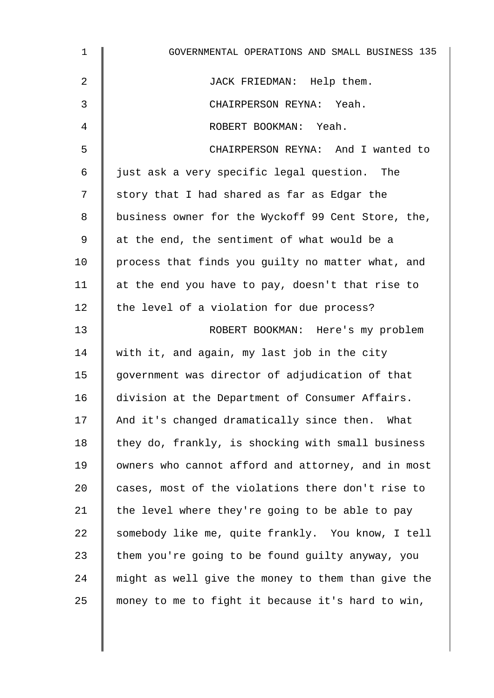| $\mathbf 1$     | GOVERNMENTAL OPERATIONS AND SMALL BUSINESS 135     |
|-----------------|----------------------------------------------------|
| 2               | JACK FRIEDMAN: Help them.                          |
| 3               | CHAIRPERSON REYNA: Yeah.                           |
| 4               | ROBERT BOOKMAN: Yeah.                              |
| 5               | CHAIRPERSON REYNA: And I wanted to                 |
| 6               | just ask a very specific legal question. The       |
| 7               | story that I had shared as far as Edgar the        |
| 8               | business owner for the Wyckoff 99 Cent Store, the, |
| 9               | at the end, the sentiment of what would be a       |
| 10 <sub>1</sub> | process that finds you guilty no matter what, and  |
| 11              | at the end you have to pay, doesn't that rise to   |
| 12              | the level of a violation for due process?          |
| 13              | ROBERT BOOKMAN: Here's my problem                  |
| 14              | with it, and again, my last job in the city        |
| 15              | government was director of adjudication of that    |
| 16              | division at the Department of Consumer Affairs.    |
| 17              | And it's changed dramatically since then. What     |
| 18              | they do, frankly, is shocking with small business  |
| 19              | owners who cannot afford and attorney, and in most |
| 20              | cases, most of the violations there don't rise to  |
| 21              | the level where they're going to be able to pay    |
| 22              | somebody like me, quite frankly. You know, I tell  |
| 23              | them you're going to be found guilty anyway, you   |
| 24              | might as well give the money to them than give the |
| 25              | money to me to fight it because it's hard to win,  |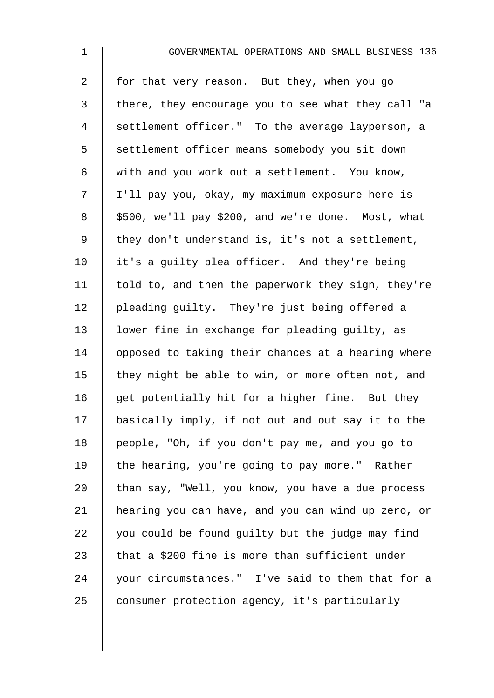| $\mathbf{1}$   | GOVERNMENTAL OPERATIONS AND SMALL BUSINESS 136     |
|----------------|----------------------------------------------------|
| $\overline{a}$ | for that very reason. But they, when you go        |
| $\mathfrak{Z}$ | there, they encourage you to see what they call "a |
| 4              | settlement officer." To the average layperson, a   |
| 5              | settlement officer means somebody you sit down     |
| 6              | with and you work out a settlement. You know,      |
| 7              | I'll pay you, okay, my maximum exposure here is    |
| 8              | \$500, we'll pay \$200, and we're done. Most, what |
| 9              | they don't understand is, it's not a settlement,   |
| 10             | it's a guilty plea officer. And they're being      |
| 11             | told to, and then the paperwork they sign, they're |
| 12             | pleading guilty. They're just being offered a      |
| 13             | lower fine in exchange for pleading guilty, as     |
| 14             | opposed to taking their chances at a hearing where |
| 15             | they might be able to win, or more often not, and  |
| 16             | get potentially hit for a higher fine. But they    |
| 17             | basically imply, if not out and out say it to the  |
| 18             | people, "Oh, if you don't pay me, and you go to    |
| 19             | the hearing, you're going to pay more." Rather     |
| 20             | than say, "Well, you know, you have a due process  |
| 21             | hearing you can have, and you can wind up zero, or |
| 22             | you could be found guilty but the judge may find   |
| 23             | that a \$200 fine is more than sufficient under    |
| 24             | your circumstances." I've said to them that for a  |
| 25             | consumer protection agency, it's particularly      |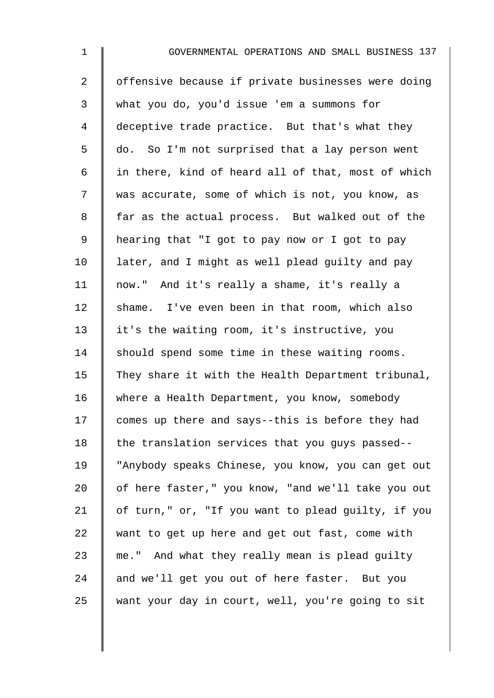| $\mathbf 1$    | GOVERNMENTAL OPERATIONS AND SMALL BUSINESS 137     |
|----------------|----------------------------------------------------|
| $\overline{2}$ | offensive because if private businesses were doing |
| 3              | what you do, you'd issue 'em a summons for         |
| $\overline{4}$ | deceptive trade practice. But that's what they     |
| 5              | do. So I'm not surprised that a lay person went    |
| 6              | in there, kind of heard all of that, most of which |
| 7              | was accurate, some of which is not, you know, as   |
| 8              | far as the actual process. But walked out of the   |
| $\mathsf 9$    | hearing that "I got to pay now or I got to pay     |
| 10             | later, and I might as well plead guilty and pay    |
| 11             | now." And it's really a shame, it's really a       |
| 12             | shame. I've even been in that room, which also     |
| 13             | it's the waiting room, it's instructive, you       |
| 14             | should spend some time in these waiting rooms.     |
| 15             | They share it with the Health Department tribunal, |
| 16             | where a Health Department, you know, somebody      |
| 17             | comes up there and says--this is before they had   |
| 18             | the translation services that you guys passed--    |
| 19             | "Anybody speaks Chinese, you know, you can get out |
| 20             | of here faster," you know, "and we'll take you out |
| 21             | of turn," or, "If you want to plead guilty, if you |
| 22             | want to get up here and get out fast, come with    |
| 23             | me." And what they really mean is plead guilty     |
| 24             | and we'll get you out of here faster. But you      |
| 25             | want your day in court, well, you're going to sit  |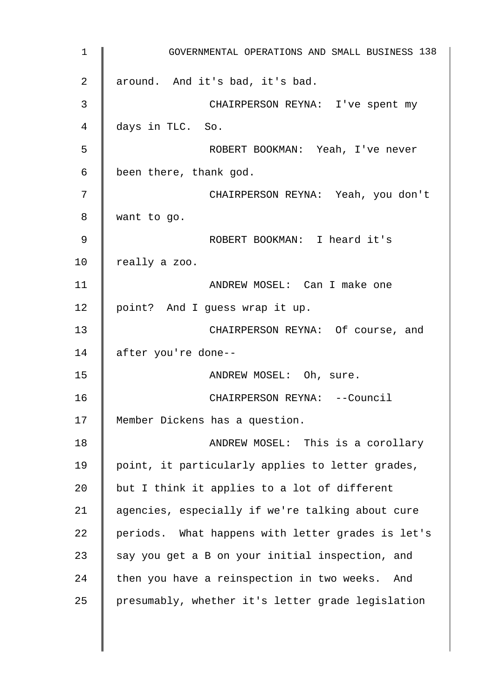| $\mathbf 1$ | GOVERNMENTAL OPERATIONS AND SMALL BUSINESS 138    |
|-------------|---------------------------------------------------|
| 2           | around. And it's bad, it's bad.                   |
| 3           | CHAIRPERSON REYNA: I've spent my                  |
| 4           | days in TLC. So.                                  |
| 5           | ROBERT BOOKMAN: Yeah, I've never                  |
| 6           | been there, thank god.                            |
| 7           | CHAIRPERSON REYNA: Yeah, you don't                |
| 8           | want to go.                                       |
| 9           | ROBERT BOOKMAN: I heard it's                      |
| 10          | really a zoo.                                     |
| 11          | ANDREW MOSEL: Can I make one                      |
| 12          | point? And I guess wrap it up.                    |
| 13          | CHAIRPERSON REYNA: Of course, and                 |
| 14          | after you're done--                               |
| 15          | ANDREW MOSEL: Oh, sure.                           |
| 16          | CHAIRPERSON REYNA: --Council                      |
| 17          | Member Dickens has a question.                    |
| 18          | ANDREW MOSEL: This is a corollary                 |
| 19          | point, it particularly applies to letter grades,  |
| 20          | but I think it applies to a lot of different      |
| 21          | agencies, especially if we're talking about cure  |
| 22          | periods. What happens with letter grades is let's |
| 23          | say you get a B on your initial inspection, and   |
| 24          | then you have a reinspection in two weeks. And    |
| 25          | presumably, whether it's letter grade legislation |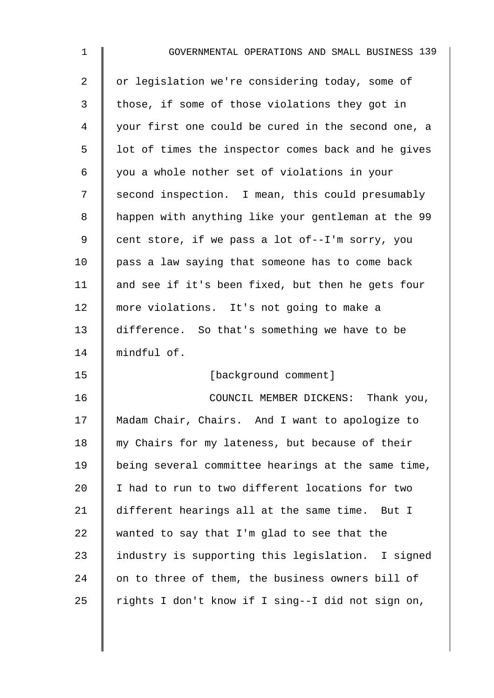| $\mathbf 1$ | GOVERNMENTAL OPERATIONS AND SMALL BUSINESS 139     |
|-------------|----------------------------------------------------|
| 2           | or legislation we're considering today, some of    |
| 3           | those, if some of those violations they got in     |
| 4           | your first one could be cured in the second one, a |
| 5           | lot of times the inspector comes back and he gives |
| 6           | you a whole nother set of violations in your       |
| 7           | second inspection. I mean, this could presumably   |
| 8           | happen with anything like your gentleman at the 99 |
| 9           | cent store, if we pass a lot of--I'm sorry, you    |
| 10          | pass a law saying that someone has to come back    |
| 11          | and see if it's been fixed, but then he gets four  |
| 12          | more violations. It's not going to make a          |
| 13          | difference. So that's something we have to be      |
| 14          | mindful of.                                        |
| 15          | [background comment]                               |
| 16          | COUNCIL MEMBER DICKENS:<br>Thank you,              |
| 17          | Madam Chair, Chairs. And I want to apologize to    |
| 18          | my Chairs for my lateness, but because of their    |
| 19          | being several committee hearings at the same time, |
| 20          | I had to run to two different locations for two    |
| 21          | different hearings all at the same time. But I     |
| 22          | wanted to say that I'm glad to see that the        |
| 23          | industry is supporting this legislation. I signed  |
| 24          | on to three of them, the business owners bill of   |
| 25          | rights I don't know if I sing--I did not sign on,  |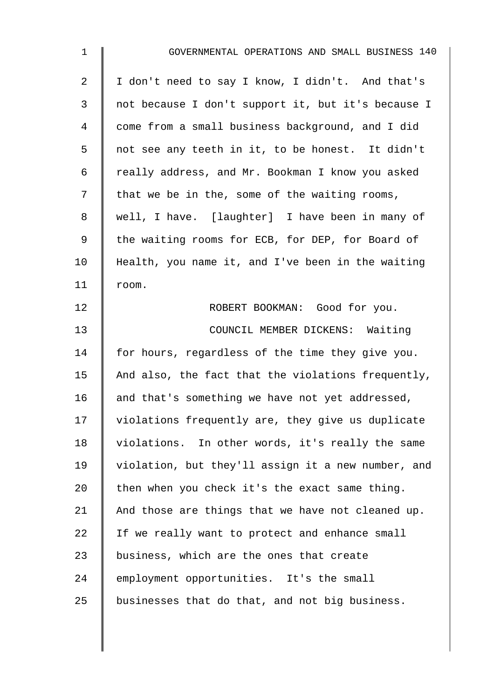| $\mathbf 1$ | GOVERNMENTAL OPERATIONS AND SMALL BUSINESS 140     |
|-------------|----------------------------------------------------|
| 2           | I don't need to say I know, I didn't. And that's   |
| 3           | not because I don't support it, but it's because I |
| 4           | come from a small business background, and I did   |
| 5           | not see any teeth in it, to be honest. It didn't   |
| 6           | really address, and Mr. Bookman I know you asked   |
| 7           | that we be in the, some of the waiting rooms,      |
| 8           | well, I have. [laughter] I have been in many of    |
| 9           | the waiting rooms for ECB, for DEP, for Board of   |
| 10          | Health, you name it, and I've been in the waiting  |
| 11          | room.                                              |
| 12          | ROBERT BOOKMAN: Good for you.                      |
| 13          | COUNCIL MEMBER DICKENS: Waiting                    |
| 14          | for hours, regardless of the time they give you.   |
| 15          | And also, the fact that the violations frequently, |
| 16          | and that's something we have not yet addressed,    |
| 17          | violations frequently are, they give us duplicate  |
| 18          | violations. In other words, it's really the same   |
| 19          | violation, but they'll assign it a new number, and |
| 20          | then when you check it's the exact same thing.     |
| 21          | And those are things that we have not cleaned up.  |
| 22          | If we really want to protect and enhance small     |
| 23          | business, which are the ones that create           |
| 24          | employment opportunities. It's the small           |
| 25          | businesses that do that, and not big business.     |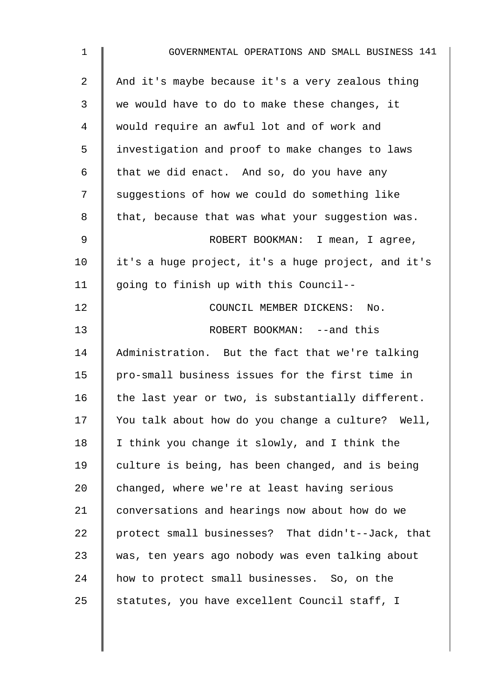| $\mathbf{1}$ | GOVERNMENTAL OPERATIONS AND SMALL BUSINESS 141     |
|--------------|----------------------------------------------------|
| 2            | And it's maybe because it's a very zealous thing   |
| 3            | we would have to do to make these changes, it      |
| 4            | would require an awful lot and of work and         |
| 5            | investigation and proof to make changes to laws    |
| 6            | that we did enact. And so, do you have any         |
| 7            | suggestions of how we could do something like      |
| 8            | that, because that was what your suggestion was.   |
| 9            | ROBERT BOOKMAN: I mean, I agree,                   |
| 10           | it's a huge project, it's a huge project, and it's |
| 11           | going to finish up with this Council--             |
| 12           | COUNCIL MEMBER DICKENS: No.                        |
| 13           | ROBERT BOOKMAN: --and this                         |
| 14           | Administration. But the fact that we're talking    |
| 15           | pro-small business issues for the first time in    |
| 16           | the last year or two, is substantially different.  |
| 17           | You talk about how do you change a culture? Well,  |
| 18           | I think you change it slowly, and I think the      |
| 19           | culture is being, has been changed, and is being   |
| 20           | changed, where we're at least having serious       |
| 21           | conversations and hearings now about how do we     |
| 22           | protect small businesses? That didn't--Jack, that  |
| 23           | was, ten years ago nobody was even talking about   |
| 24           | how to protect small businesses. So, on the        |
| 25           | statutes, you have excellent Council staff, I      |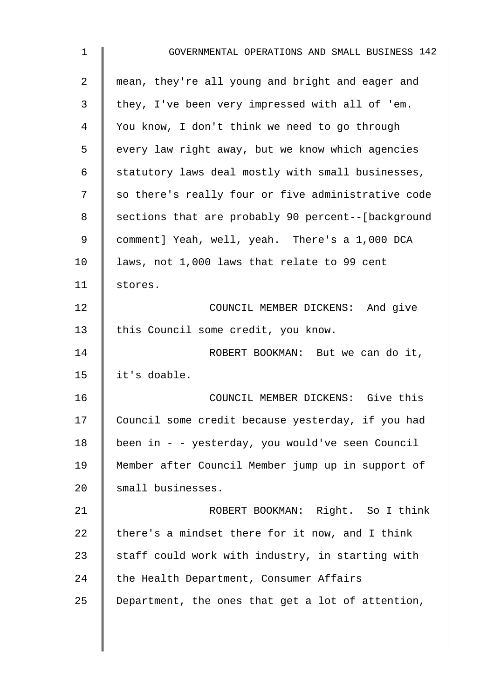| $\mathbf 1$    | GOVERNMENTAL OPERATIONS AND SMALL BUSINESS 142     |
|----------------|----------------------------------------------------|
| $\overline{a}$ | mean, they're all young and bright and eager and   |
| 3              | they, I've been very impressed with all of 'em.    |
| 4              | You know, I don't think we need to go through      |
| 5              | every law right away, but we know which agencies   |
| 6              | statutory laws deal mostly with small businesses,  |
| 7              | so there's really four or five administrative code |
| 8              | sections that are probably 90 percent--[background |
| 9              | comment] Yeah, well, yeah. There's a 1,000 DCA     |
| 10             | laws, not 1,000 laws that relate to 99 cent        |
| 11             | stores.                                            |
| 12             | COUNCIL MEMBER DICKENS: And give                   |
| 13             | this Council some credit, you know.                |
| 14             | ROBERT BOOKMAN: But we can do it,                  |
| 15             | it's doable.                                       |
| 16             | COUNCIL MEMBER DICKENS: Give this                  |
| 17             | Council some credit because yesterday, if you had  |
| 18             | been in - - yesterday, you would've seen Council   |
| 19             | Member after Council Member jump up in support of  |
| 20             | small businesses.                                  |
| 21             | ROBERT BOOKMAN: Right. So I think                  |
| 22             | there's a mindset there for it now, and I think    |
| 23             | staff could work with industry, in starting with   |
| 24             | the Health Department, Consumer Affairs            |
| 25             | Department, the ones that get a lot of attention,  |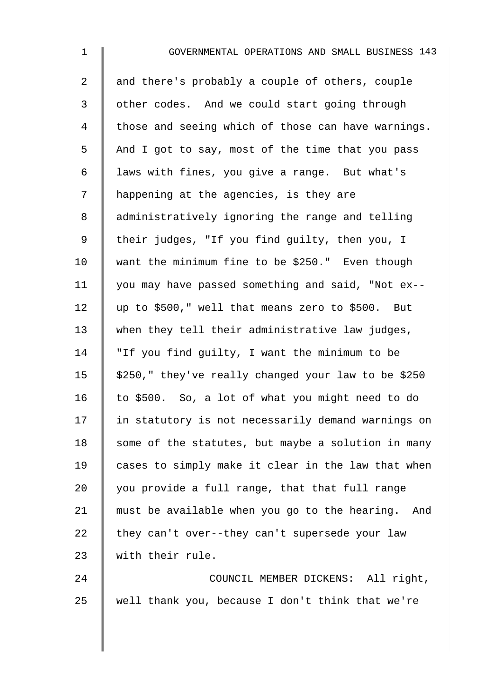| $\mathbf 1$    | GOVERNMENTAL OPERATIONS AND SMALL BUSINESS 143      |
|----------------|-----------------------------------------------------|
| $\overline{2}$ | and there's probably a couple of others, couple     |
| 3              | other codes. And we could start going through       |
| 4              | those and seeing which of those can have warnings.  |
| 5              | And I got to say, most of the time that you pass    |
| 6              | laws with fines, you give a range. But what's       |
| 7              | happening at the agencies, is they are              |
| 8              | administratively ignoring the range and telling     |
| $\mathsf 9$    | their judges, "If you find guilty, then you, I      |
| 10             | want the minimum fine to be \$250." Even though     |
| 11             | you may have passed something and said, "Not ex--   |
| 12             | up to \$500," well that means zero to \$500. But    |
| 13             | when they tell their administrative law judges,     |
| 14             | "If you find guilty, I want the minimum to be       |
| 15             | \$250," they've really changed your law to be \$250 |
| 16             | to \$500. So, a lot of what you might need to do    |
| 17             | in statutory is not necessarily demand warnings on  |
| 18             | some of the statutes, but maybe a solution in many  |
| 19             | cases to simply make it clear in the law that when  |
| 20             | you provide a full range, that that full range      |
| 21             | must be available when you go to the hearing. And   |
| 22             | they can't over--they can't supersede your law      |
| 23             | with their rule.                                    |
| 24             | COUNCIL MEMBER DICKENS: All right,                  |
| 25             | well thank you, because I don't think that we're    |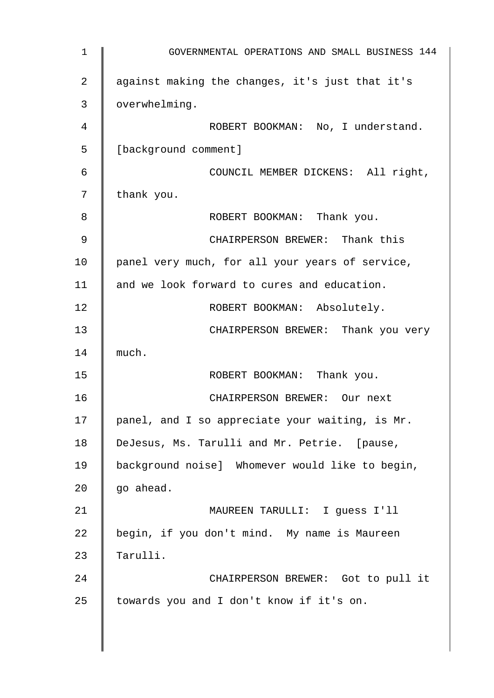1 GOVERNMENTAL OPERATIONS AND SMALL BUSINESS 144 2 against making the changes, it's just that it's 3 overwhelming. 4 | ROBERT BOOKMAN: No, I understand. 5 | [background comment] 6 COUNCIL MEMBER DICKENS: All right,  $7 \parallel$  thank you. 8 **8** ROBERT BOOKMAN: Thank you. 9 || CHAIRPERSON BREWER: Thank this 10 | panel very much, for all your years of service, 11 and we look forward to cures and education. 12 | ROBERT BOOKMAN: Absolutely. 13 **CHAIRPERSON BREWER:** Thank you very  $14 \parallel$  much. 15 | ROBERT BOOKMAN: Thank you. 16 CHAIRPERSON BREWER: Our next 17 | panel, and I so appreciate your waiting, is Mr. 18 | DeJesus, Ms. Tarulli and Mr. Petrie. [pause, 19 background noise] Whomever would like to begin,  $20$   $qo$  ahead. 21 MAUREEN TARULLI: I guess I'll  $22$  begin, if you don't mind. My name is Maureen 23  $\parallel$  Tarulli. 24 **CHAIRPERSON BREWER:** Got to pull it  $25$  towards you and I don't know if it's on.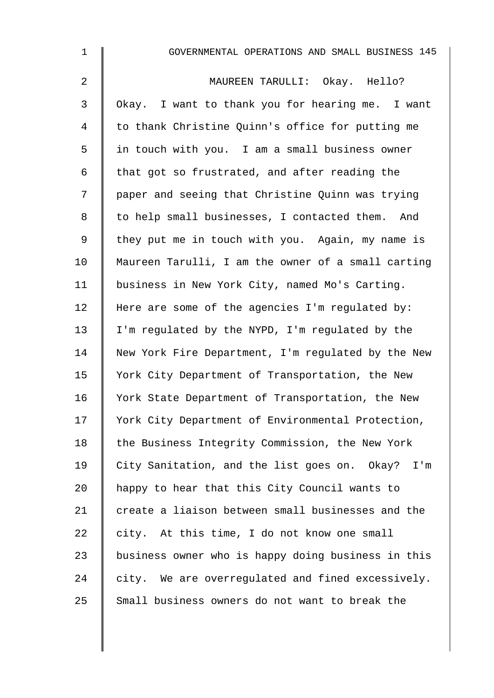| $\mathbf{1}$ | GOVERNMENTAL OPERATIONS AND SMALL BUSINESS 145     |
|--------------|----------------------------------------------------|
| 2            | MAUREEN TARULLI: Okay. Hello?                      |
| 3            | Okay. I want to thank you for hearing me. I want   |
| 4            | to thank Christine Quinn's office for putting me   |
| 5            | in touch with you. I am a small business owner     |
| 6            | that got so frustrated, and after reading the      |
| 7            | paper and seeing that Christine Quinn was trying   |
| 8            | to help small businesses, I contacted them. And    |
| 9            | they put me in touch with you. Again, my name is   |
| 10           | Maureen Tarulli, I am the owner of a small carting |
| 11           | business in New York City, named Mo's Carting.     |
| 12           | Here are some of the agencies I'm regulated by:    |
| 13           | I'm regulated by the NYPD, I'm regulated by the    |
| 14           | New York Fire Department, I'm regulated by the New |
| 15           | York City Department of Transportation, the New    |
| 16           | York State Department of Transportation, the New   |
| 17           | York City Department of Environmental Protection,  |
| 18           | the Business Integrity Commission, the New York    |
| 19           | City Sanitation, and the list goes on. Okay? I'm   |
| 20           | happy to hear that this City Council wants to      |
| 21           | create a liaison between small businesses and the  |
| 22           | city. At this time, I do not know one small        |
| 23           | business owner who is happy doing business in this |
| 24           | city. We are overregulated and fined excessively.  |
| 25           | Small business owners do not want to break the     |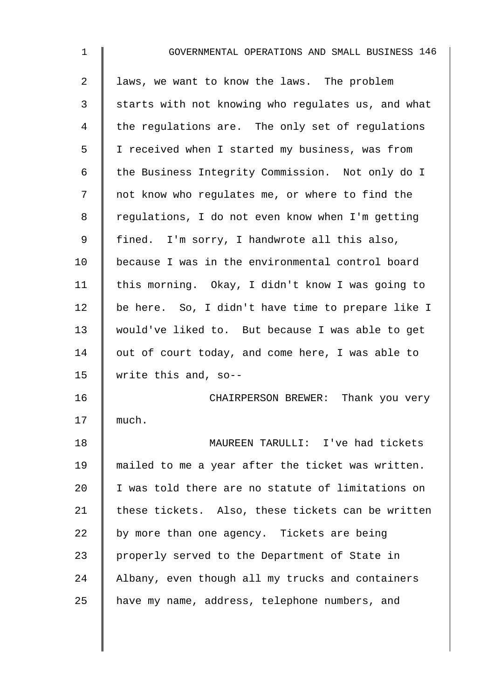| $\mathbf{1}$ | GOVERNMENTAL OPERATIONS AND SMALL BUSINESS 146     |
|--------------|----------------------------------------------------|
| 2            | laws, we want to know the laws. The problem        |
| 3            | starts with not knowing who regulates us, and what |
| 4            | the regulations are. The only set of regulations   |
| 5            | I received when I started my business, was from    |
| 6            | the Business Integrity Commission. Not only do I   |
| 7            | not know who regulates me, or where to find the    |
| 8            | regulations, I do not even know when I'm getting   |
| 9            | fined. I'm sorry, I handwrote all this also,       |
| 10           | because I was in the environmental control board   |
| 11           | this morning. Okay, I didn't know I was going to   |
| 12           | be here. So, I didn't have time to prepare like I  |
| 13           | would've liked to. But because I was able to get   |
| 14           | out of court today, and come here, I was able to   |
| 15           | write this and, so--                               |
| 16           | CHAIRPERSON BREWER: Thank you very                 |
| 17           | much.                                              |
| 18           | MAUREEN TARULLI: I've had tickets                  |
| 19           | mailed to me a year after the ticket was written.  |
| 20           | I was told there are no statute of limitations on  |
| 21           | these tickets. Also, these tickets can be written  |
| 22           | by more than one agency. Tickets are being         |
| 23           | properly served to the Department of State in      |
| 24           | Albany, even though all my trucks and containers   |
| 25           | have my name, address, telephone numbers, and      |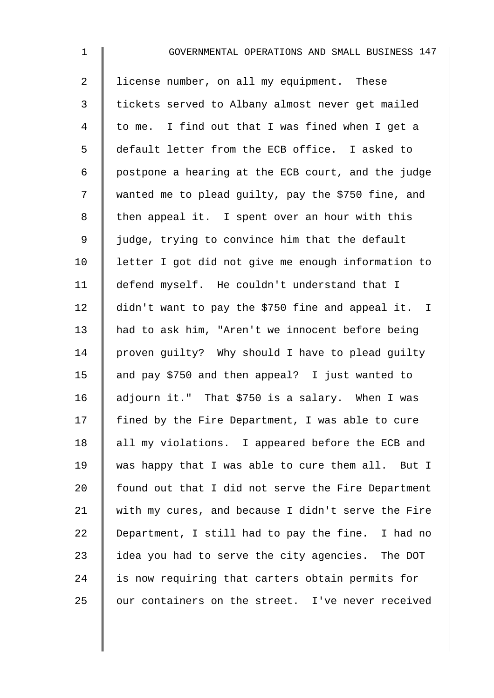| $\mathbf 1$    | GOVERNMENTAL OPERATIONS AND SMALL BUSINESS 147     |
|----------------|----------------------------------------------------|
| $\overline{2}$ | license number, on all my equipment. These         |
| 3              | tickets served to Albany almost never get mailed   |
| 4              | to me. I find out that I was fined when I get a    |
| 5              | default letter from the ECB office. I asked to     |
| 6              | postpone a hearing at the ECB court, and the judge |
| 7              | wanted me to plead guilty, pay the \$750 fine, and |
| 8              | then appeal it. I spent over an hour with this     |
| $\mathsf 9$    | judge, trying to convince him that the default     |
| 10             | letter I got did not give me enough information to |
| 11             | defend myself. He couldn't understand that I       |
| 12             | didn't want to pay the \$750 fine and appeal it. I |
| 13             | had to ask him, "Aren't we innocent before being   |
| 14             | proven guilty? Why should I have to plead guilty   |
| 15             | and pay \$750 and then appeal? I just wanted to    |
| 16             | adjourn it." That \$750 is a salary. When I was    |
| 17             | fined by the Fire Department, I was able to cure   |
| 18             | all my violations. I appeared before the ECB and   |
| 19             | was happy that I was able to cure them all. But I  |
| 20             | found out that I did not serve the Fire Department |
| 21             | with my cures, and because I didn't serve the Fire |
| 22             | Department, I still had to pay the fine. I had no  |
| 23             | idea you had to serve the city agencies. The DOT   |
| 24             | is now requiring that carters obtain permits for   |
| 25             | our containers on the street. I've never received  |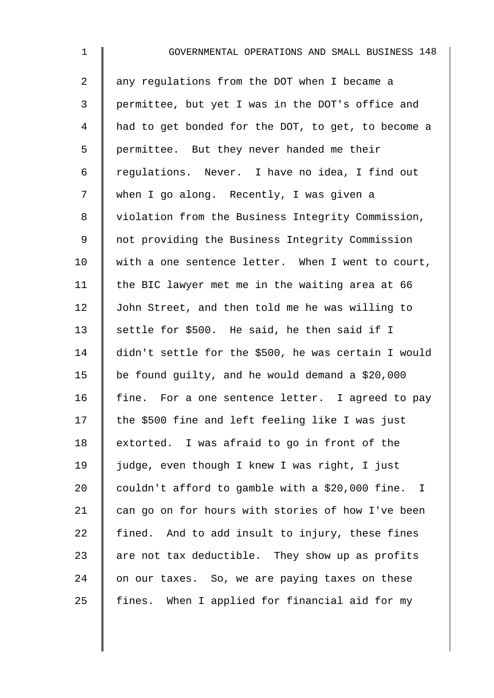| $\mathbf 1$ | GOVERNMENTAL OPERATIONS AND SMALL BUSINESS 148      |
|-------------|-----------------------------------------------------|
| 2           | any regulations from the DOT when I became a        |
| 3           | permittee, but yet I was in the DOT's office and    |
| 4           | had to get bonded for the DOT, to get, to become a  |
| 5           | permittee. But they never handed me their           |
| 6           | regulations. Never. I have no idea, I find out      |
| 7           | when I go along. Recently, I was given a            |
| $\,8\,$     | violation from the Business Integrity Commission,   |
| $\mathsf 9$ | not providing the Business Integrity Commission     |
| 10          | with a one sentence letter. When I went to court,   |
| 11          | the BIC lawyer met me in the waiting area at 66     |
| 12          | John Street, and then told me he was willing to     |
| 13          | settle for \$500. He said, he then said if I        |
| 14          | didn't settle for the \$500, he was certain I would |
| 15          | be found guilty, and he would demand a \$20,000     |
| 16          | fine. For a one sentence letter. I agreed to pay    |
| 17          | the \$500 fine and left feeling like I was just     |
| 18          | extorted. I was afraid to go in front of the        |
| 19          | judge, even though I knew I was right, I just       |
| 20          | couldn't afford to gamble with a \$20,000 fine. I   |
| 21          | can go on for hours with stories of how I've been   |
| 22          | fined. And to add insult to injury, these fines     |
| 23          | are not tax deductible. They show up as profits     |
| 24          | on our taxes. So, we are paying taxes on these      |
| 25          | When I applied for financial aid for my<br>fines.   |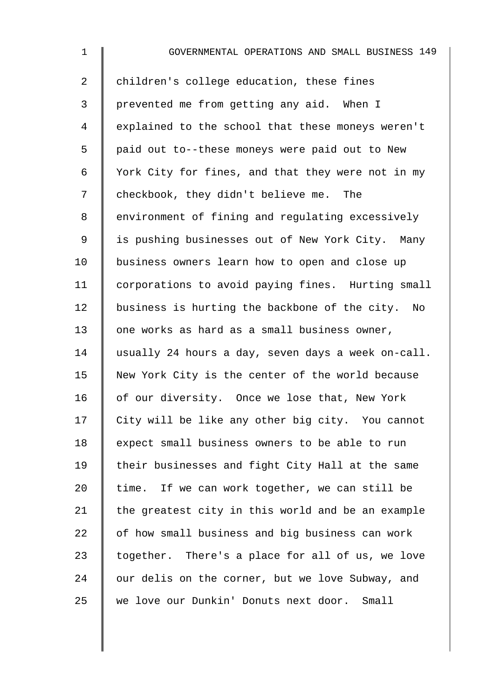| $\mathbf 1$    | GOVERNMENTAL OPERATIONS AND SMALL BUSINESS 149     |
|----------------|----------------------------------------------------|
| $\overline{a}$ | children's college education, these fines          |
| 3              | prevented me from getting any aid. When I          |
| $\overline{4}$ | explained to the school that these moneys weren't  |
| 5              | paid out to--these moneys were paid out to New     |
| 6              | York City for fines, and that they were not in my  |
| 7              | checkbook, they didn't believe me. The             |
| 8              | environment of fining and regulating excessively   |
| $\mathsf 9$    | is pushing businesses out of New York City. Many   |
| 10             | business owners learn how to open and close up     |
| 11             | corporations to avoid paying fines. Hurting small  |
| 12             | business is hurting the backbone of the city. No   |
| 13             | one works as hard as a small business owner,       |
| 14             | usually 24 hours a day, seven days a week on-call. |
| 15             | New York City is the center of the world because   |
| 16             | of our diversity. Once we lose that, New York      |
| 17             | City will be like any other big city. You cannot   |
| 18             | expect small business owners to be able to run     |
| 19             | their businesses and fight City Hall at the same   |
| 20             | time. If we can work together, we can still be     |
| 21             | the greatest city in this world and be an example  |
| 22             | of how small business and big business can work    |
| 23             | together. There's a place for all of us, we love   |
| 24             | our delis on the corner, but we love Subway, and   |
| 25             | we love our Dunkin' Donuts next door.<br>Small     |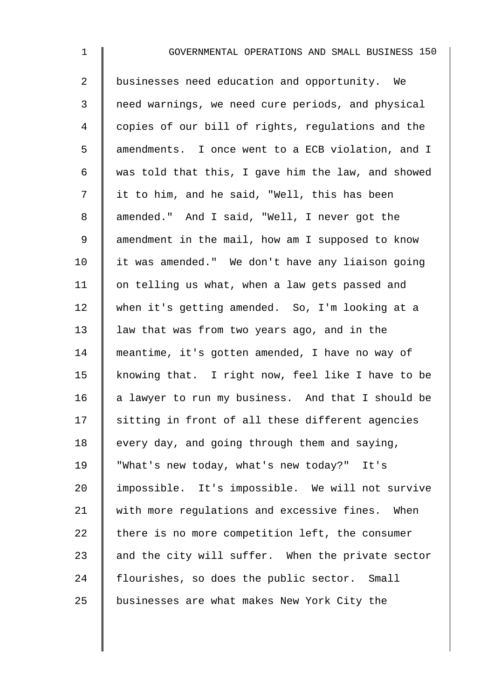2 businesses need education and opportunity. We 3 | need warnings, we need cure periods, and physical 4 | copies of our bill of rights, regulations and the 5 amendments. I once went to a ECB violation, and I 6  $\parallel$  was told that this, I gave him the law, and showed 7 | it to him, and he said, "Well, this has been 8 amended." And I said, "Well, I never got the 9 amendment in the mail, how am I supposed to know 10 | it was amended." We don't have any liaison going 11 | on telling us what, when a law gets passed and 12 when it's getting amended. So, I'm looking at a 13 law that was from two years ago, and in the 14 meantime, it's gotten amended, I have no way of 15 | knowing that. I right now, feel like I have to be 16  $\parallel$  a lawyer to run my business. And that I should be  $17$  sitting in front of all these different agencies 18  $\parallel$  every day, and going through them and saying, 19 "What's new today, what's new today?" It's 20 I impossible. It's impossible. We will not survive 21 with more regulations and excessive fines. When  $22$  there is no more competition left, the consumer 23  $\parallel$  and the city will suffer. When the private sector 24  $\parallel$  flourishes, so does the public sector. Small 25 businesses are what makes New York City the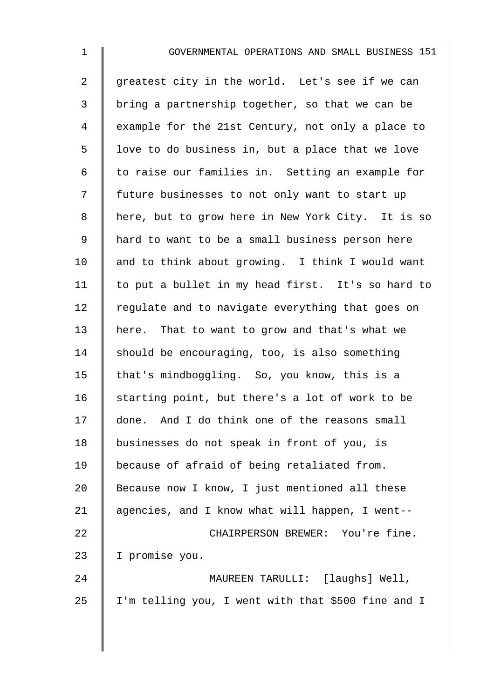$2 \parallel$  greatest city in the world. Let's see if we can  $3 \parallel$  bring a partnership together, so that we can be 4 Example for the 21st Century, not only a place to  $5 \parallel$  love to do business in, but a place that we love  $6 \parallel$  to raise our families in. Setting an example for 7 | future businesses to not only want to start up 8 | here, but to grow here in New York City. It is so 9 | hard to want to be a small business person here 10  $\parallel$  and to think about growing. I think I would want 11 | to put a bullet in my head first. It's so hard to  $12$  regulate and to navigate everything that goes on 13 here. That to want to grow and that's what we 14 Should be encouraging, too, is also something 15 | that's mindboggling. So, you know, this is a 16  $\parallel$  starting point, but there's a lot of work to be 17 done. And I do think one of the reasons small 18 | businesses do not speak in front of you, is 19 because of afraid of being retaliated from. 20 Because now I know, I just mentioned all these 21  $\parallel$  agencies, and I know what will happen, I went--22 **CHAIRPERSON BREWER:** You're fine. 23 | I promise you. 24 MAUREEN TARULLI: [laughs] Well,  $25$  | I'm telling you, I went with that \$500 fine and I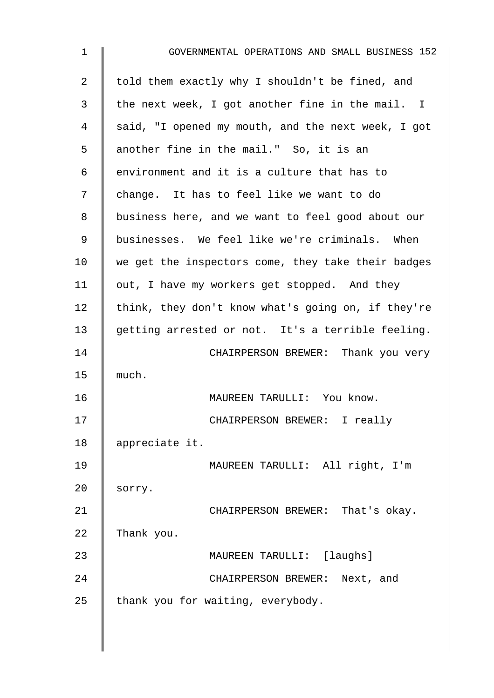| $\mathbf 1$    | GOVERNMENTAL OPERATIONS AND SMALL BUSINESS 152     |
|----------------|----------------------------------------------------|
| $\overline{a}$ | told them exactly why I shouldn't be fined, and    |
| 3              | the next week, I got another fine in the mail. I   |
| 4              | said, "I opened my mouth, and the next week, I got |
| 5              | another fine in the mail." So, it is an            |
| 6              | environment and it is a culture that has to        |
| 7              | change. It has to feel like we want to do          |
| 8              | business here, and we want to feel good about our  |
| 9              | businesses. We feel like we're criminals. When     |
| 10             | we get the inspectors come, they take their badges |
| 11             | out, I have my workers get stopped. And they       |
| 12             | think, they don't know what's going on, if they're |
| 13             | getting arrested or not. It's a terrible feeling.  |
| 14             | CHAIRPERSON BREWER: Thank you very                 |
| 15             | much.                                              |
| 16             | MAUREEN TARULLI: You know.                         |
| 17             | CHAIRPERSON BREWER: I really                       |
| 18             | appreciate it.                                     |
| 19             | MAUREEN TARULLI: All right, I'm                    |
| 20             | sorry.                                             |
| 21             | CHAIRPERSON BREWER: That's okay.                   |
| 22             | Thank you.                                         |
| 23             | MAUREEN TARULLI: [laughs]                          |
| 24             | CHAIRPERSON BREWER: Next, and                      |
| 25             | thank you for waiting, everybody.                  |
|                |                                                    |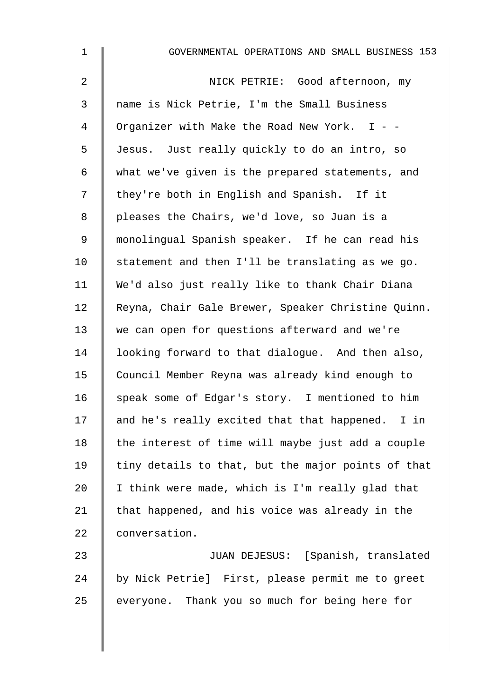| $\mathbf 1$    | GOVERNMENTAL OPERATIONS AND SMALL BUSINESS 153     |
|----------------|----------------------------------------------------|
| 2              | NICK PETRIE: Good afternoon, my                    |
| $\mathfrak{Z}$ | name is Nick Petrie, I'm the Small Business        |
| 4              | Organizer with Make the Road New York. I - -       |
| 5              | Jesus. Just really quickly to do an intro, so      |
| 6              | what we've given is the prepared statements, and   |
| 7              | they're both in English and Spanish. If it         |
| 8              | pleases the Chairs, we'd love, so Juan is a        |
| 9              | monolingual Spanish speaker. If he can read his    |
| 10             | statement and then I'll be translating as we go.   |
| 11             | We'd also just really like to thank Chair Diana    |
| 12             | Reyna, Chair Gale Brewer, Speaker Christine Quinn. |
| 13             | we can open for questions afterward and we're      |
| 14             | looking forward to that dialogue. And then also,   |
| 15             | Council Member Reyna was already kind enough to    |
| 16             | speak some of Edgar's story. I mentioned to him    |
| 17             | and he's really excited that that happened. I in   |
| 18             | the interest of time will maybe just add a couple  |
| 19             | tiny details to that, but the major points of that |
| 20             | I think were made, which is I'm really glad that   |
| 21             | that happened, and his voice was already in the    |
| 22             | conversation.                                      |
| 23             | JUAN DEJESUS: [Spanish, translated                 |
| 24             | by Nick Petrie] First, please permit me to greet   |
| 25             | everyone. Thank you so much for being here for     |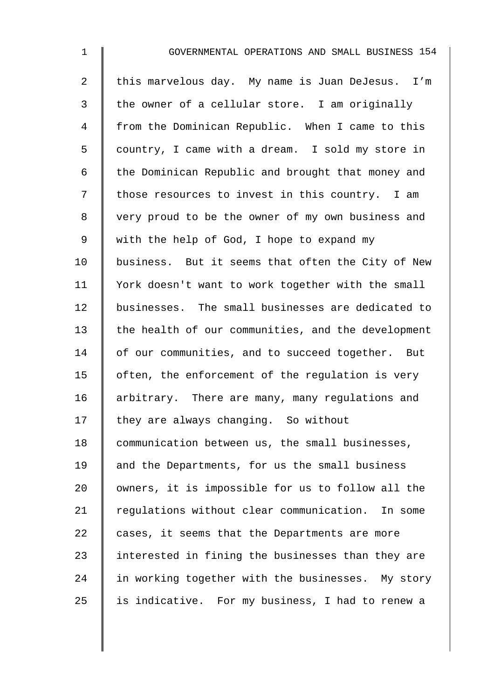| $\mathbf 1$    | GOVERNMENTAL OPERATIONS AND SMALL BUSINESS 154     |
|----------------|----------------------------------------------------|
| $\overline{a}$ | this marvelous day. My name is Juan DeJesus. I'm   |
| 3              | the owner of a cellular store. I am originally     |
| 4              | from the Dominican Republic. When I came to this   |
| 5              | country, I came with a dream. I sold my store in   |
| 6              | the Dominican Republic and brought that money and  |
| 7              | those resources to invest in this country. I am    |
| 8              | very proud to be the owner of my own business and  |
| 9              | with the help of God, I hope to expand my          |
| 10             | business. But it seems that often the City of New  |
| 11             | York doesn't want to work together with the small  |
| 12             | businesses. The small businesses are dedicated to  |
| 13             | the health of our communities, and the development |
| 14             | of our communities, and to succeed together. But   |
| 15             | often, the enforcement of the regulation is very   |
| 16             | arbitrary. There are many, many regulations and    |
| 17             | they are always changing. So without               |
| 18             | communication between us, the small businesses,    |
| 19             | and the Departments, for us the small business     |
| 20             | owners, it is impossible for us to follow all the  |
| 21             | regulations without clear communication. In some   |
| 22             | cases, it seems that the Departments are more      |
| 23             | interested in fining the businesses than they are  |
| 24             | in working together with the businesses. My story  |
| 25             | is indicative. For my business, I had to renew a   |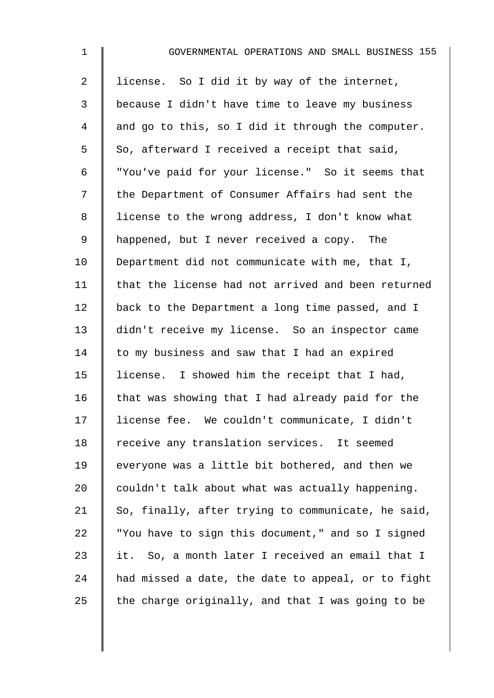| $\mathbf{1}$   | GOVERNMENTAL OPERATIONS AND SMALL BUSINESS 155     |
|----------------|----------------------------------------------------|
| $\overline{2}$ | license. So I did it by way of the internet,       |
| 3              | because I didn't have time to leave my business    |
| 4              | and go to this, so I did it through the computer.  |
| 5              | So, afterward I received a receipt that said,      |
| 6              | "You've paid for your license." So it seems that   |
| 7              | the Department of Consumer Affairs had sent the    |
| 8              | license to the wrong address, I don't know what    |
| 9              | happened, but I never received a copy. The         |
| 10             | Department did not communicate with me, that I,    |
| 11             | that the license had not arrived and been returned |
| 12             | back to the Department a long time passed, and I   |
| 13             | didn't receive my license. So an inspector came    |
| 14             | to my business and saw that I had an expired       |
| 15             | license. I showed him the receipt that I had,      |
| 16             | that was showing that I had already paid for the   |
| 17             | license fee. We couldn't communicate, I didn't     |
| 18             | receive any translation services. It seemed        |
| 19             | everyone was a little bit bothered, and then we    |
| 20             | couldn't talk about what was actually happening.   |
| 21             | So, finally, after trying to communicate, he said, |
| 22             | "You have to sign this document," and so I signed  |
| 23             | it. So, a month later I received an email that I   |
| 24             | had missed a date, the date to appeal, or to fight |
| 25             | the charge originally, and that I was going to be  |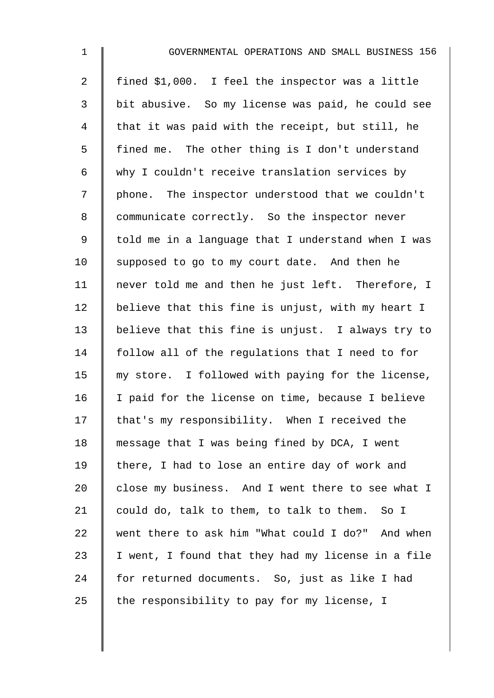| $\mathbf{1}$   | GOVERNMENTAL OPERATIONS AND SMALL BUSINESS 156     |
|----------------|----------------------------------------------------|
| $\overline{2}$ | fined \$1,000. I feel the inspector was a little   |
| 3              | bit abusive. So my license was paid, he could see  |
| 4              | that it was paid with the receipt, but still, he   |
| 5              | fined me. The other thing is I don't understand    |
| 6              | why I couldn't receive translation services by     |
| 7              | phone. The inspector understood that we couldn't   |
| 8              | communicate correctly. So the inspector never      |
| $\mathsf 9$    | told me in a language that I understand when I was |
| 10             | supposed to go to my court date. And then he       |
| 11             | never told me and then he just left. Therefore, I  |
| 12             | believe that this fine is unjust, with my heart I  |
| 13             | believe that this fine is unjust. I always try to  |
| 14             | follow all of the regulations that I need to for   |
| 15             | my store. I followed with paying for the license,  |
| 16             | I paid for the license on time, because I believe  |
| 17             | that's my responsibility. When I received the      |
| 18             | message that I was being fined by DCA, I went      |
| 19             | there, I had to lose an entire day of work and     |
| 20             | close my business. And I went there to see what I  |
| 21             | could do, talk to them, to talk to them. So I      |
| 22             | went there to ask him "What could I do?" And when  |
| 23             | I went, I found that they had my license in a file |
| 24             | for returned documents. So, just as like I had     |
| 25             | the responsibility to pay for my license, I        |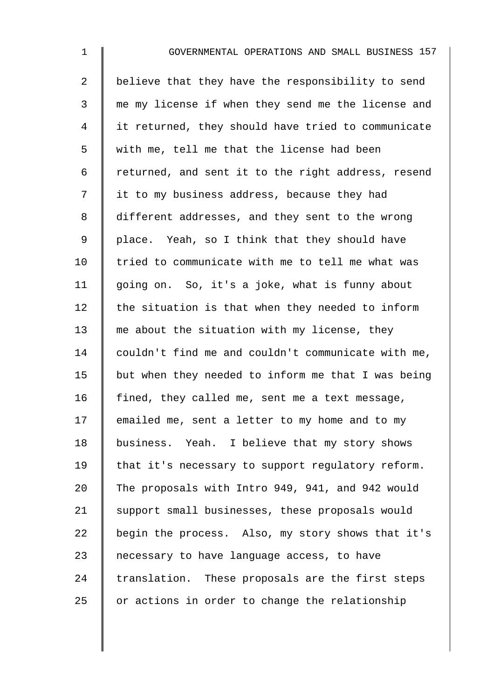| $\mathbf 1$    | GOVERNMENTAL OPERATIONS AND SMALL BUSINESS 157     |
|----------------|----------------------------------------------------|
| $\overline{2}$ | believe that they have the responsibility to send  |
| 3              | me my license if when they send me the license and |
| 4              | it returned, they should have tried to communicate |
| 5              | with me, tell me that the license had been         |
| 6              | returned, and sent it to the right address, resend |
| 7              | it to my business address, because they had        |
| 8              | different addresses, and they sent to the wrong    |
| $\mathsf 9$    | place. Yeah, so I think that they should have      |
| 10             | tried to communicate with me to tell me what was   |
| 11             | going on. So, it's a joke, what is funny about     |
| 12             | the situation is that when they needed to inform   |
| 13             | me about the situation with my license, they       |
| 14             | couldn't find me and couldn't communicate with me, |
| 15             | but when they needed to inform me that I was being |
| 16             | fined, they called me, sent me a text message,     |
| 17             | emailed me, sent a letter to my home and to my     |
| 18             | business. Yeah. I believe that my story shows      |
| 19             | that it's necessary to support regulatory reform.  |
| 20             | The proposals with Intro 949, 941, and 942 would   |
| 21             | support small businesses, these proposals would    |
| 22             | begin the process. Also, my story shows that it's  |
| 23             | necessary to have language access, to have         |
| 24             | translation. These proposals are the first steps   |
| 25             | or actions in order to change the relationship     |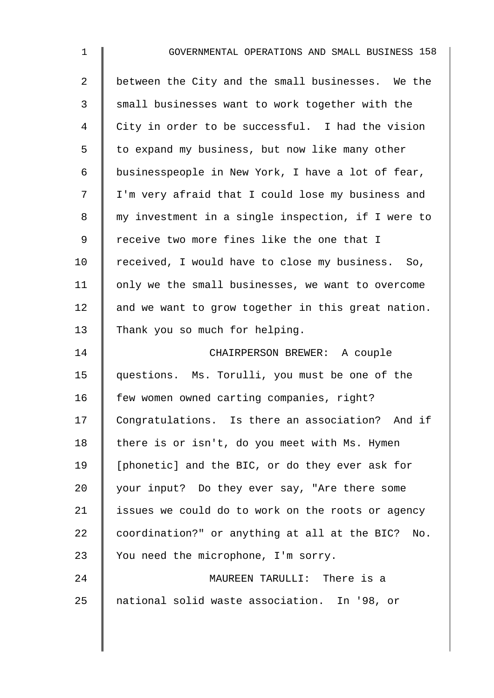| $\mathbf{1}$   | GOVERNMENTAL OPERATIONS AND SMALL BUSINESS 158       |
|----------------|------------------------------------------------------|
| $\overline{a}$ | between the City and the small businesses. We the    |
| 3              | small businesses want to work together with the      |
| 4              | City in order to be successful. I had the vision     |
| 5              | to expand my business, but now like many other       |
| 6              | businesspeople in New York, I have a lot of fear,    |
| 7              | I'm very afraid that I could lose my business and    |
| 8              | my investment in a single inspection, if I were to   |
| 9              | receive two more fines like the one that I           |
| 10             | received, I would have to close my business. So,     |
| 11             | only we the small businesses, we want to overcome    |
| 12             | and we want to grow together in this great nation.   |
| 13             | Thank you so much for helping.                       |
| 14             | CHAIRPERSON BREWER: A couple                         |
| 15             | questions. Ms. Torulli, you must be one of the       |
| 16             | few women owned carting companies, right?            |
| 17             | Congratulations. Is there an association? And if     |
| 18             | there is or isn't, do you meet with Ms. Hymen        |
| 19             | [phonetic] and the BIC, or do they ever ask for      |
| 20             | your input? Do they ever say, "Are there some        |
| 21             | issues we could do to work on the roots or agency    |
| 22             | coordination?" or anything at all at the BIC?<br>No. |
| 23             | You need the microphone, I'm sorry.                  |
| 24             | MAUREEN TARULLI: There is a                          |
| 25             | national solid waste association. In '98, or         |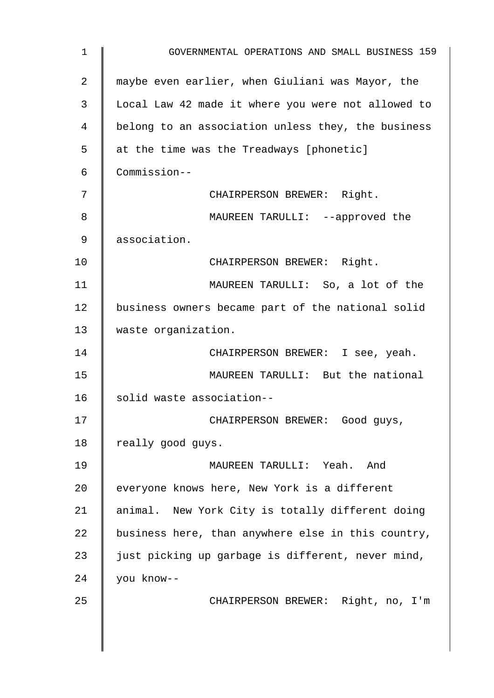| 1              | GOVERNMENTAL OPERATIONS AND SMALL BUSINESS 159     |
|----------------|----------------------------------------------------|
| $\overline{2}$ | maybe even earlier, when Giuliani was Mayor, the   |
| 3              | Local Law 42 made it where you were not allowed to |
| 4              | belong to an association unless they, the business |
| 5              | at the time was the Treadways [phonetic]           |
| 6              | Commission--                                       |
| 7              | CHAIRPERSON BREWER: Right.                         |
| 8              | MAUREEN TARULLI: --approved the                    |
| 9              | association.                                       |
| 10             | CHAIRPERSON BREWER: Right.                         |
| 11             | MAUREEN TARULLI: So, a lot of the                  |
| 12             | business owners became part of the national solid  |
| 13             | waste organization.                                |
| 14             | CHAIRPERSON BREWER: I see, yeah.                   |
| 15             | MAUREEN TARULLI: But the national                  |
| 16             | solid waste association--                          |
| 17             | CHAIRPERSON BREWER: Good guys,                     |
| 18             | really good guys.                                  |
| 19             | MAUREEN TARULLI: Yeah.<br>And                      |
| 20             | everyone knows here, New York is a different       |
| 21             | animal. New York City is totally different doing   |
| 22             | business here, than anywhere else in this country, |
| 23             | just picking up garbage is different, never mind,  |
| 24             | you know--                                         |
| 25             | CHAIRPERSON BREWER: Right, no, I'm                 |
|                |                                                    |
|                |                                                    |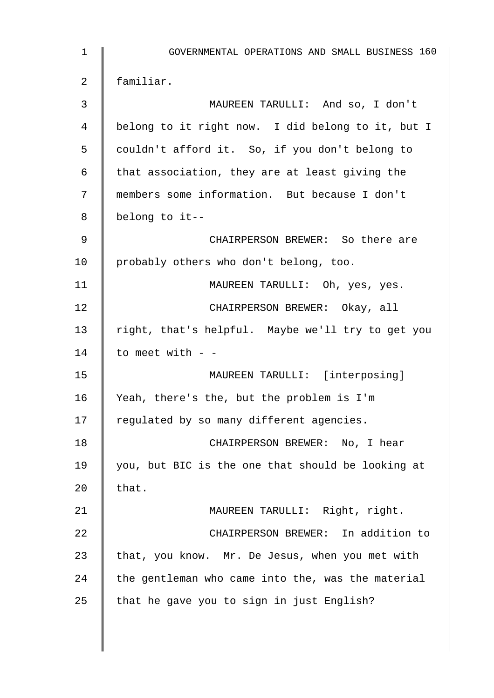| $\mathbf 1$ | GOVERNMENTAL OPERATIONS AND SMALL BUSINESS 160    |
|-------------|---------------------------------------------------|
| 2           | familiar.                                         |
| 3           | MAUREEN TARULLI: And so, I don't                  |
| 4           | belong to it right now. I did belong to it, but I |
| 5           | couldn't afford it. So, if you don't belong to    |
| 6           | that association, they are at least giving the    |
| 7           | members some information. But because I don't     |
| 8           | belong to it--                                    |
| 9           | CHAIRPERSON BREWER: So there are                  |
| 10          | probably others who don't belong, too.            |
| 11          | MAUREEN TARULLI: Oh, yes, yes.                    |
| 12          | CHAIRPERSON BREWER: Okay, all                     |
| 13          | right, that's helpful. Maybe we'll try to get you |
| 14          | to meet with - -                                  |
| 15          | MAUREEN TARULLI: [interposing]                    |
| 16          | Yeah, there's the, but the problem is I'm         |
| 17          | regulated by so many different agencies.          |
| 18          | CHAIRPERSON BREWER: No, I hear                    |
| 19          | you, but BIC is the one that should be looking at |
| 20          | that.                                             |
| 21          | MAUREEN TARULLI: Right, right.                    |
| 22          | CHAIRPERSON BREWER: In addition to                |
| 23          | that, you know. Mr. De Jesus, when you met with   |
| 24          | the gentleman who came into the, was the material |
| 25          | that he gave you to sign in just English?         |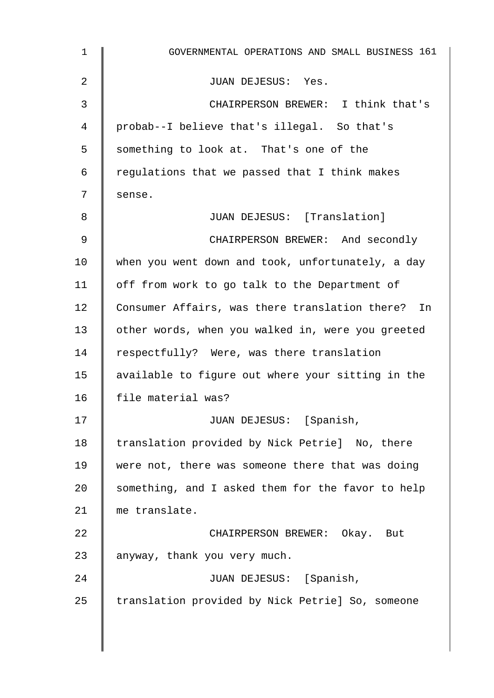| $\mathbf 1$ | GOVERNMENTAL OPERATIONS AND SMALL BUSINESS 161    |
|-------------|---------------------------------------------------|
| 2           | JUAN DEJESUS: Yes.                                |
| 3           | CHAIRPERSON BREWER: I think that's                |
| 4           | probab--I believe that's illegal. So that's       |
| 5           | something to look at. That's one of the           |
| 6           | regulations that we passed that I think makes     |
| 7           | sense.                                            |
| 8           | JUAN DEJESUS: [Translation]                       |
| 9           | CHAIRPERSON BREWER: And secondly                  |
| 10          | when you went down and took, unfortunately, a day |
| 11          | off from work to go talk to the Department of     |
| 12          | Consumer Affairs, was there translation there? In |
| 13          | other words, when you walked in, were you greeted |
| 14          | respectfully? Were, was there translation         |
| 15          | available to figure out where your sitting in the |
| 16          | file material was?                                |
| 17          | JUAN DEJESUS: [Spanish,                           |
| 18          | translation provided by Nick Petrie] No, there    |
| 19          | were not, there was someone there that was doing  |
| 20          | something, and I asked them for the favor to help |
| 21          | me translate.                                     |
| 22          | CHAIRPERSON BREWER: Okay. But                     |
| 23          | anyway, thank you very much.                      |
| 24          | JUAN DEJESUS: [Spanish,                           |
| 25          | translation provided by Nick Petrie] So, someone  |
|             |                                                   |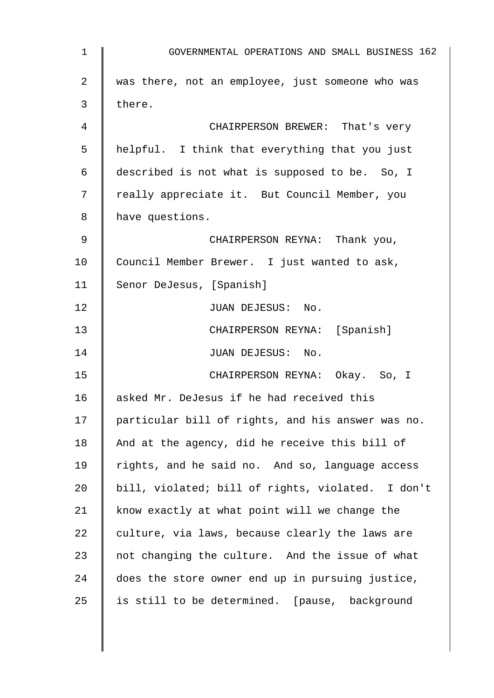1 GOVERNMENTAL OPERATIONS AND SMALL BUSINESS 162 2 was there, not an employee, just someone who was  $3 \parallel$  there. 4 **4** CHAIRPERSON BREWER: That's very 5 helpful. I think that everything that you just 6 described is not what is supposed to be. So, I 7 | really appreciate it. But Council Member, you 8 have questions. 9 CHAIRPERSON REYNA: Thank you, 10 Council Member Brewer. I just wanted to ask, 11 Senor DeJesus, [Spanish] 12 | JUAN DEJESUS: No. 13 || CHAIRPERSON REYNA: [Spanish] 14 | JUAN DEJESUS: No. 15 | CHAIRPERSON REYNA: Okay. So, I 16 asked Mr. DeJesus if he had received this 17 | particular bill of rights, and his answer was no. 18  $\parallel$  And at the agency, did he receive this bill of 19 | rights, and he said no. And so, language access 20 | bill, violated; bill of rights, violated. I don't 21  $\parallel$  know exactly at what point will we change the 22  $\parallel$  culture, via laws, because clearly the laws are 23  $\parallel$  not changing the culture. And the issue of what 24 does the store owner end up in pursuing justice, 25  $\parallel$  is still to be determined. [pause, background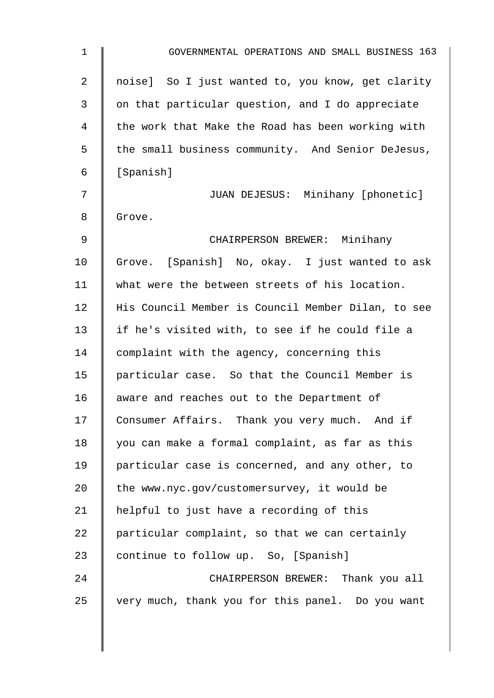| $\mathbf 1$ | GOVERNMENTAL OPERATIONS AND SMALL BUSINESS 163     |
|-------------|----------------------------------------------------|
| 2           | noise] So I just wanted to, you know, get clarity  |
| 3           | on that particular question, and I do appreciate   |
| 4           | the work that Make the Road has been working with  |
| 5           | the small business community. And Senior DeJesus,  |
| 6           | [Spanish]                                          |
| 7           | JUAN DEJESUS: Minihany [phonetic]                  |
| 8           | Grove.                                             |
| $\mathsf 9$ | CHAIRPERSON BREWER: Minihany                       |
| 10          | Grove. [Spanish] No, okay. I just wanted to ask    |
| 11          | what were the between streets of his location.     |
| 12          | His Council Member is Council Member Dilan, to see |
| 13          | if he's visited with, to see if he could file a    |
| 14          | complaint with the agency, concerning this         |
| 15          | particular case. So that the Council Member is     |
| 16          | aware and reaches out to the Department of         |
| 17          | Consumer Affairs. Thank you very much. And if      |
| 18          | you can make a formal complaint, as far as this    |
| 19          | particular case is concerned, and any other, to    |
| 20          | the www.nyc.gov/customersurvey, it would be        |
| 21          | helpful to just have a recording of this           |
| 22          | particular complaint, so that we can certainly     |
| 23          | continue to follow up. So, [Spanish]               |
| 24          | CHAIRPERSON BREWER: Thank you all                  |
| 25          | very much, thank you for this panel. Do you want   |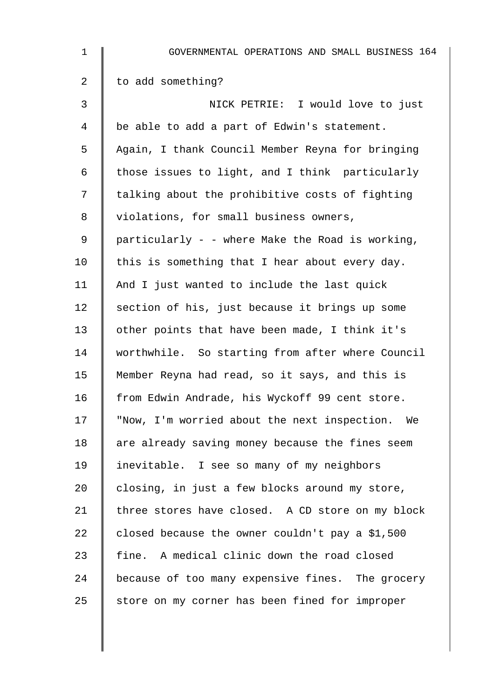| $\mathbf 1$ | GOVERNMENTAL OPERATIONS AND SMALL BUSINESS 164   |
|-------------|--------------------------------------------------|
| 2           | to add something?                                |
| 3           | NICK PETRIE: I would love to just                |
| 4           | be able to add a part of Edwin's statement.      |
| 5           | Again, I thank Council Member Reyna for bringing |
| 6           | those issues to light, and I think particularly  |
| 7           | talking about the prohibitive costs of fighting  |
| 8           | violations, for small business owners,           |
| 9           | particularly - - where Make the Road is working, |
| 10          | this is something that I hear about every day.   |
| 11          | And I just wanted to include the last quick      |
| 12          | section of his, just because it brings up some   |
| 13          | other points that have been made, I think it's   |
| 14          | worthwhile. So starting from after where Council |
| 15          | Member Reyna had read, so it says, and this is   |
| 16          | from Edwin Andrade, his Wyckoff 99 cent store.   |
| 17          | "Now, I'm worried about the next inspection. We  |
| 18          | are already saving money because the fines seem  |
| 19          | inevitable. I see so many of my neighbors        |
| 20          | closing, in just a few blocks around my store,   |
| 21          | three stores have closed. A CD store on my block |
| 22          | closed because the owner couldn't pay a \$1,500  |
| 23          | fine. A medical clinic down the road closed      |
| 24          | because of too many expensive fines. The grocery |
| 25          | store on my corner has been fined for improper   |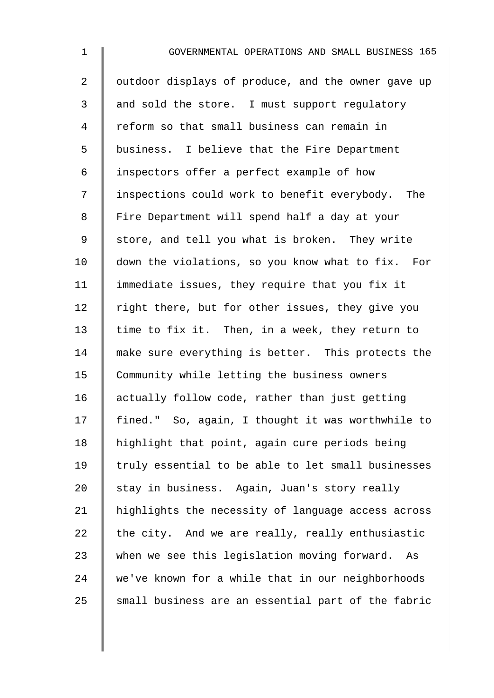| $\mathbf 1$    | GOVERNMENTAL OPERATIONS AND SMALL BUSINESS 165     |
|----------------|----------------------------------------------------|
| $\overline{a}$ | outdoor displays of produce, and the owner gave up |
| 3              | and sold the store. I must support regulatory      |
| $\overline{4}$ | reform so that small business can remain in        |
| 5              | business. I believe that the Fire Department       |
| $\epsilon$     | inspectors offer a perfect example of how          |
| 7              | inspections could work to benefit everybody. The   |
| 8              | Fire Department will spend half a day at your      |
| $\mathsf 9$    | store, and tell you what is broken. They write     |
| 10             | down the violations, so you know what to fix. For  |
| 11             | immediate issues, they require that you fix it     |
| 12             | right there, but for other issues, they give you   |
| 13             | time to fix it. Then, in a week, they return to    |
| 14             | make sure everything is better. This protects the  |
| 15             | Community while letting the business owners        |
| 16             | actually follow code, rather than just getting     |
| 17             | fined." So, again, I thought it was worthwhile to  |
| 18             | highlight that point, again cure periods being     |
| 19             | truly essential to be able to let small businesses |
| 20             | stay in business. Again, Juan's story really       |
| 21             | highlights the necessity of language access across |
| 22             | the city. And we are really, really enthusiastic   |
| 23             | when we see this legislation moving forward.<br>As |
| 24             | we've known for a while that in our neighborhoods  |
| 25             | small business are an essential part of the fabric |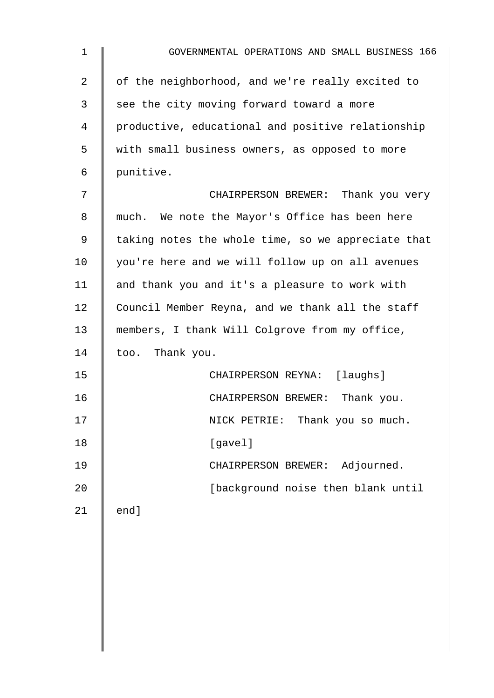| $\mathbf 1$     | GOVERNMENTAL OPERATIONS AND SMALL BUSINESS 166     |
|-----------------|----------------------------------------------------|
| 2               | of the neighborhood, and we're really excited to   |
| 3               | see the city moving forward toward a more          |
| 4               | productive, educational and positive relationship  |
| 5               | with small business owners, as opposed to more     |
| 6               | punitive.                                          |
| 7               | CHAIRPERSON BREWER: Thank you very                 |
| 8               | much. We note the Mayor's Office has been here     |
| 9               | taking notes the whole time, so we appreciate that |
| 10              | you're here and we will follow up on all avenues   |
| 11              | and thank you and it's a pleasure to work with     |
| 12 <sub>1</sub> | Council Member Reyna, and we thank all the staff   |
| 13              | members, I thank Will Colgrove from my office,     |
| 14              | too. Thank you.                                    |
| 15              | CHAIRPERSON REYNA: [laughs]                        |
| 16              | CHAIRPERSON BREWER: Thank you.                     |
| 17              | NICK PETRIE: Thank you so much.                    |
| 18              | [gavel]                                            |
| 19              | CHAIRPERSON BREWER: Adjourned.                     |
| 20              | [background noise then blank until                 |
| 21              | end]                                               |
|                 |                                                    |
|                 |                                                    |